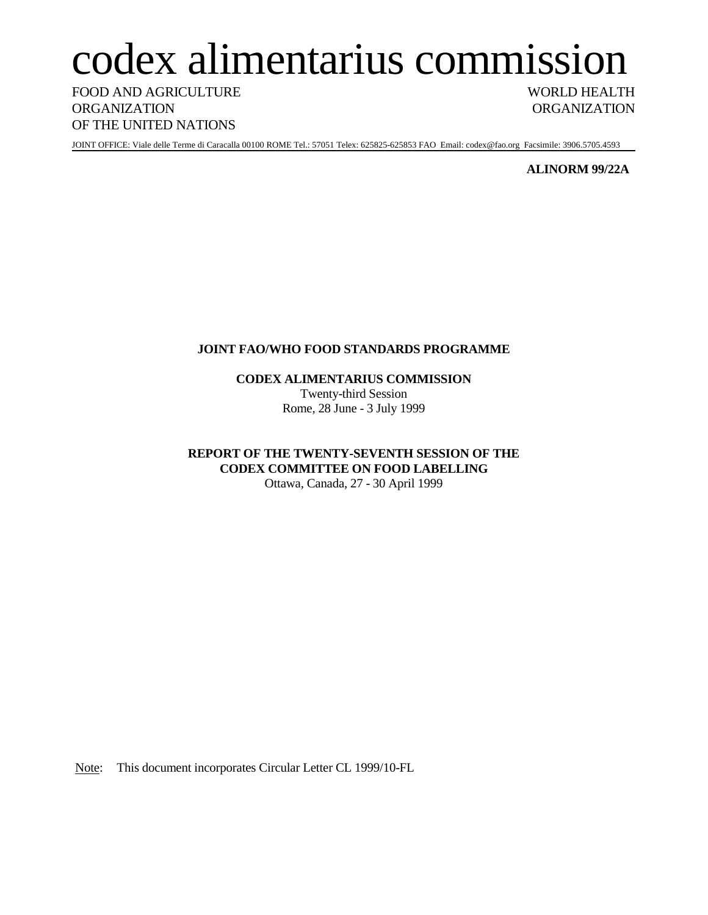# codex alimentarius commission

FOOD AND AGRICULTURE WORLD HEALTH ORGANIZATION ORGANIZATION OF THE UNITED NATIONS

JOINT OFFICE: Viale delle Terme di Caracalla 00100 ROME Tel.: 57051 Telex: 625825-625853 FAO Email: codex@fao.org Facsimile: 3906.5705.4593

**ALINORM 99/22A**

## **JOINT FAO/WHO FOOD STANDARDS PROGRAMME**

**CODEX ALIMENTARIUS COMMISSION** Twenty-third Session Rome, 28 June - 3 July 1999

**REPORT OF THE TWENTY-SEVENTH SESSION OF THE CODEX COMMITTEE ON FOOD LABELLING** Ottawa, Canada, 27 - 30 April 1999

Note: This document incorporates Circular Letter CL 1999/10-FL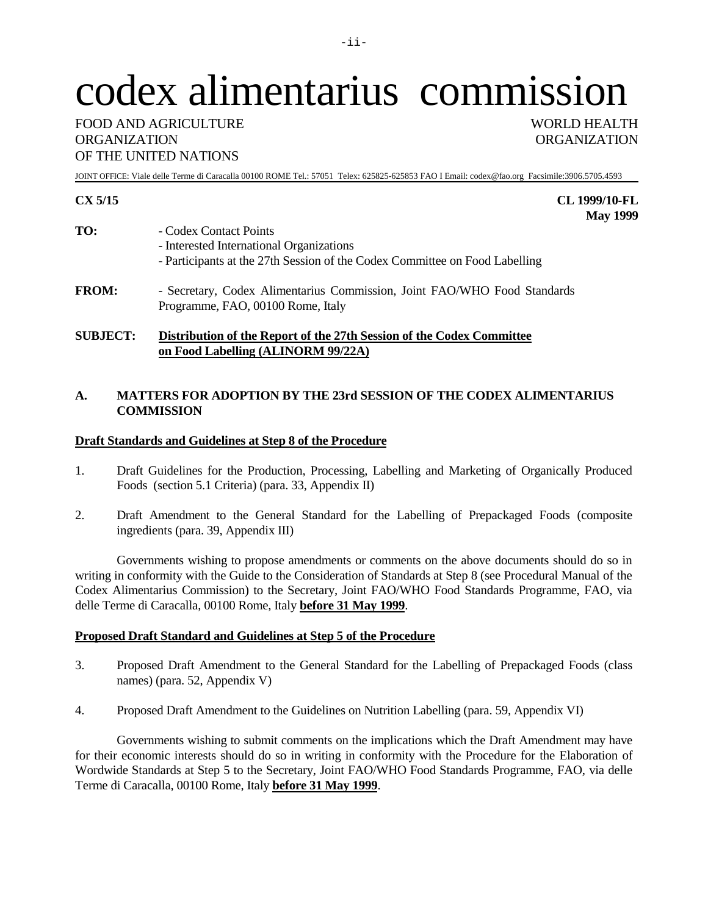# codex alimentarius commission

## FOOD AND AGRICULTURE WORLD HEALTH ORGANIZATION ORGANIZATION OF THE UNITED NATIONS

JOINT OFFICE: Viale delle Terme di Caracalla 00100 ROME Tel.: 57051 Telex: 625825-625853 FAO I Email: codex@fao.org Facsimile:3906.5705.4593

| TO:          | - Codex Contact Points<br>- Interested International Organizations<br>- Participants at the 27th Session of the Codex Committee on Food Labelling |
|--------------|---------------------------------------------------------------------------------------------------------------------------------------------------|
| <b>FROM:</b> | - Secretary, Codex Alimentarius Commission, Joint FAO/WHO Food Standards<br>Programme, FAO, 00100 Rome, Italy                                     |

**SUBJECT: Distribution of the Report of the 27th Session of the Codex Committee on Food Labelling (ALINORM 99/22A)**

## **A. MATTERS FOR ADOPTION BY THE 23rd SESSION OF THE CODEX ALIMENTARIUS COMMISSION**

## **Draft Standards and Guidelines at Step 8 of the Procedure**

- 1. Draft Guidelines for the Production, Processing, Labelling and Marketing of Organically Produced Foods (section 5.1 Criteria) (para. 33, Appendix II)
- 2. Draft Amendment to the General Standard for the Labelling of Prepackaged Foods (composite ingredients (para. 39, Appendix III)

Governments wishing to propose amendments or comments on the above documents should do so in writing in conformity with the Guide to the Consideration of Standards at Step 8 (see Procedural Manual of the Codex Alimentarius Commission) to the Secretary, Joint FAO/WHO Food Standards Programme, FAO, via delle Terme di Caracalla, 00100 Rome, Italy **before 31 May 1999**.

## **Proposed Draft Standard and Guidelines at Step 5 of the Procedure**

- 3. Proposed Draft Amendment to the General Standard for the Labelling of Prepackaged Foods (class names) (para. 52, Appendix V)
- 4. Proposed Draft Amendment to the Guidelines on Nutrition Labelling (para. 59, Appendix VI)

Governments wishing to submit comments on the implications which the Draft Amendment may have for their economic interests should do so in writing in conformity with the Procedure for the Elaboration of Wordwide Standards at Step 5 to the Secretary, Joint FAO/WHO Food Standards Programme, FAO, via delle Terme di Caracalla, 00100 Rome, Italy **before 31 May 1999**.

**CX 5/15 CL 1999/10-FL May 1999**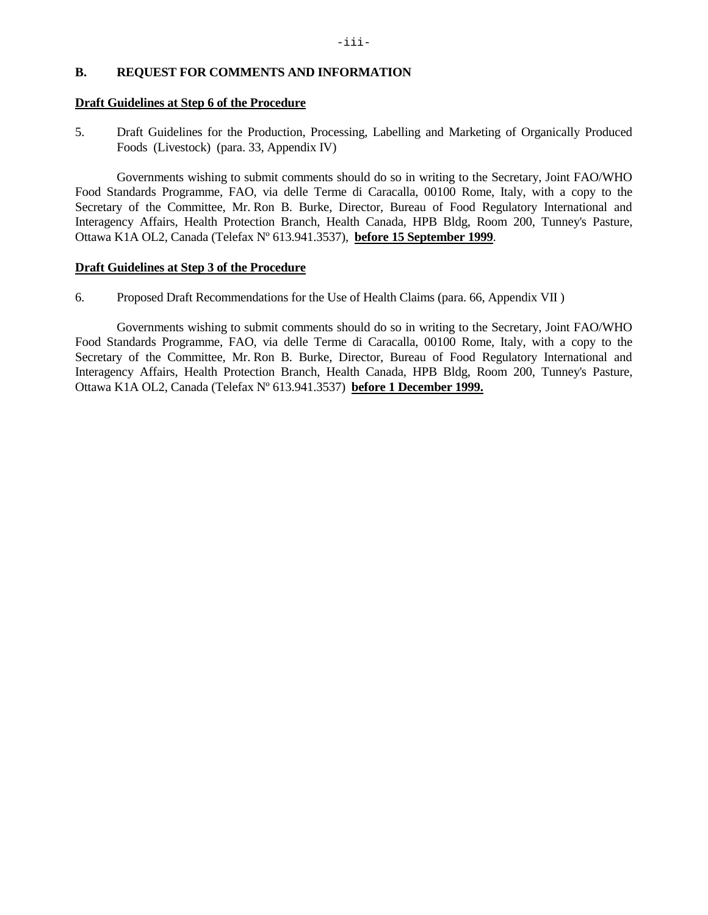## **B. REQUEST FOR COMMENTS AND INFORMATION**

#### **Draft Guidelines at Step 6 of the Procedure**

5. Draft Guidelines for the Production, Processing, Labelling and Marketing of Organically Produced Foods (Livestock) (para. 33, Appendix IV)

Governments wishing to submit comments should do so in writing to the Secretary, Joint FAO/WHO Food Standards Programme, FAO, via delle Terme di Caracalla, 00100 Rome, Italy, with a copy to the Secretary of the Committee, Mr. Ron B. Burke, Director, Bureau of Food Regulatory International and Interagency Affairs, Health Protection Branch, Health Canada, HPB Bldg, Room 200, Tunney's Pasture, Ottawa K1A OL2, Canada (Telefax Nº 613.941.3537), **before 15 September 1999**.

#### **Draft Guidelines at Step 3 of the Procedure**

6. Proposed Draft Recommendations for the Use of Health Claims (para. 66, Appendix VII )

Governments wishing to submit comments should do so in writing to the Secretary, Joint FAO/WHO Food Standards Programme, FAO, via delle Terme di Caracalla, 00100 Rome, Italy, with a copy to the Secretary of the Committee, Mr. Ron B. Burke, Director, Bureau of Food Regulatory International and Interagency Affairs, Health Protection Branch, Health Canada, HPB Bldg, Room 200, Tunney's Pasture, Ottawa K1A OL2, Canada (Telefax Nº 613.941.3537) **before 1 December 1999.**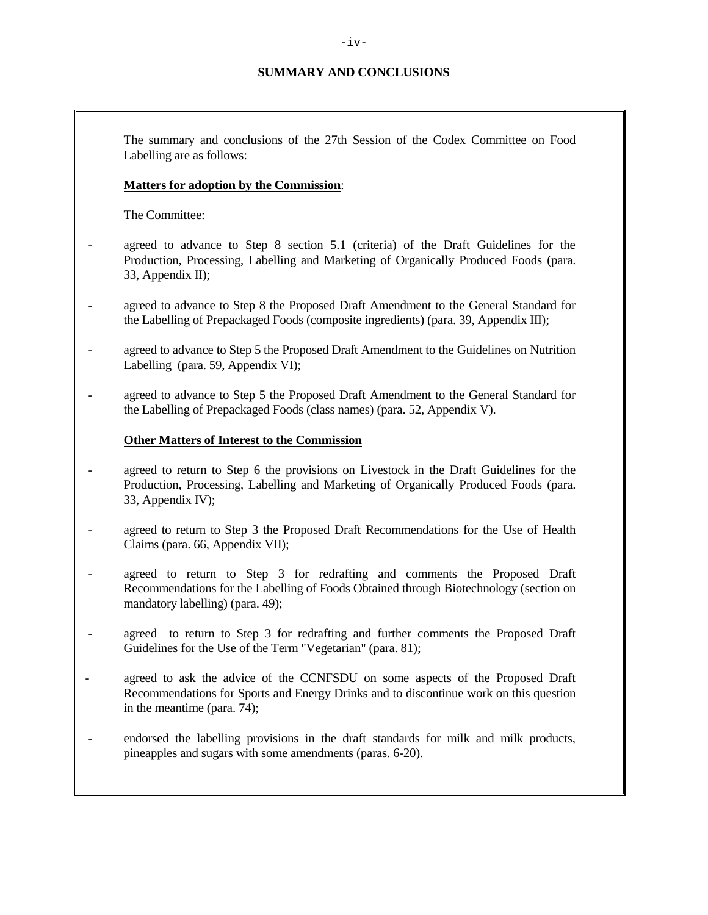## **SUMMARY AND CONCLUSIONS**

The summary and conclusions of the 27th Session of the Codex Committee on Food Labelling are as follows:

## **Matters for adoption by the Commission**:

The Committee:

- agreed to advance to Step 8 section 5.1 (criteria) of the Draft Guidelines for the Production, Processing, Labelling and Marketing of Organically Produced Foods (para. 33, Appendix II);
- agreed to advance to Step 8 the Proposed Draft Amendment to the General Standard for the Labelling of Prepackaged Foods (composite ingredients) (para. 39, Appendix III);
- agreed to advance to Step 5 the Proposed Draft Amendment to the Guidelines on Nutrition Labelling (para. 59, Appendix VI);
- agreed to advance to Step 5 the Proposed Draft Amendment to the General Standard for the Labelling of Prepackaged Foods (class names) (para. 52, Appendix V).

#### **Other Matters of Interest to the Commission**

- agreed to return to Step 6 the provisions on Livestock in the Draft Guidelines for the Production, Processing, Labelling and Marketing of Organically Produced Foods (para. 33, Appendix IV);
- agreed to return to Step 3 the Proposed Draft Recommendations for the Use of Health Claims (para. 66, Appendix VII);
- agreed to return to Step 3 for redrafting and comments the Proposed Draft Recommendations for the Labelling of Foods Obtained through Biotechnology (section on mandatory labelling) (para. 49);
- agreed to return to Step 3 for redrafting and further comments the Proposed Draft Guidelines for the Use of the Term "Vegetarian" (para. 81);
- agreed to ask the advice of the CCNFSDU on some aspects of the Proposed Draft Recommendations for Sports and Energy Drinks and to discontinue work on this question in the meantime (para. 74);
- endorsed the labelling provisions in the draft standards for milk and milk products, pineapples and sugars with some amendments (paras. 6-20).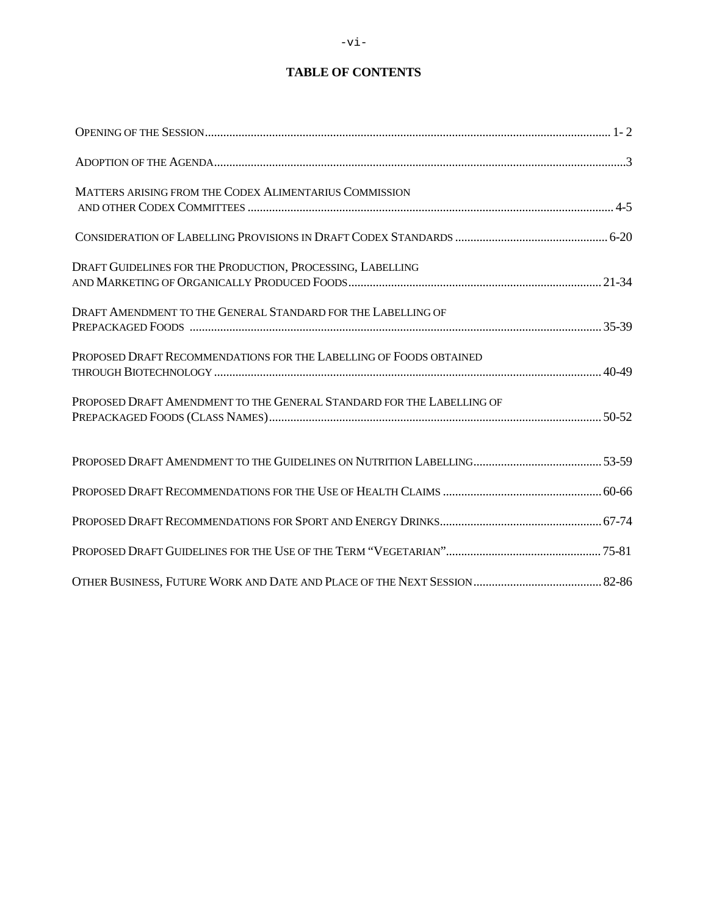## **TABLE OF CONTENTS**

| MATTERS ARISING FROM THE CODEX ALIMENTARIUS COMMISSION                |  |
|-----------------------------------------------------------------------|--|
|                                                                       |  |
| DRAFT GUIDELINES FOR THE PRODUCTION, PROCESSING, LABELLING            |  |
| DRAFT AMENDMENT TO THE GENERAL STANDARD FOR THE LABELLING OF          |  |
| PROPOSED DRAFT RECOMMENDATIONS FOR THE LABELLING OF FOODS OBTAINED    |  |
| PROPOSED DRAFT AMENDMENT TO THE GENERAL STANDARD FOR THE LABELLING OF |  |
|                                                                       |  |
|                                                                       |  |
|                                                                       |  |
|                                                                       |  |
|                                                                       |  |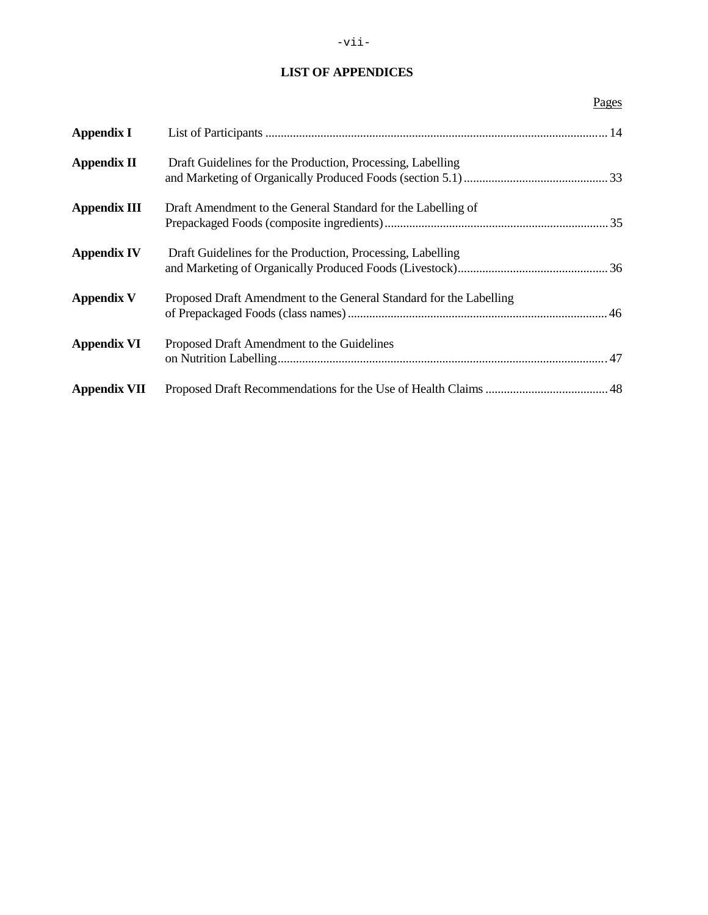## **LIST OF APPENDICES**

|                     |                                                                    | Pages |
|---------------------|--------------------------------------------------------------------|-------|
| Appendix I          |                                                                    |       |
| <b>Appendix II</b>  | Draft Guidelines for the Production, Processing, Labelling         |       |
| <b>Appendix III</b> | Draft Amendment to the General Standard for the Labelling of       |       |
| <b>Appendix IV</b>  | Draft Guidelines for the Production, Processing, Labelling         |       |
| Appendix V          | Proposed Draft Amendment to the General Standard for the Labelling |       |
| <b>Appendix VI</b>  | Proposed Draft Amendment to the Guidelines                         |       |
| <b>Appendix VII</b> |                                                                    |       |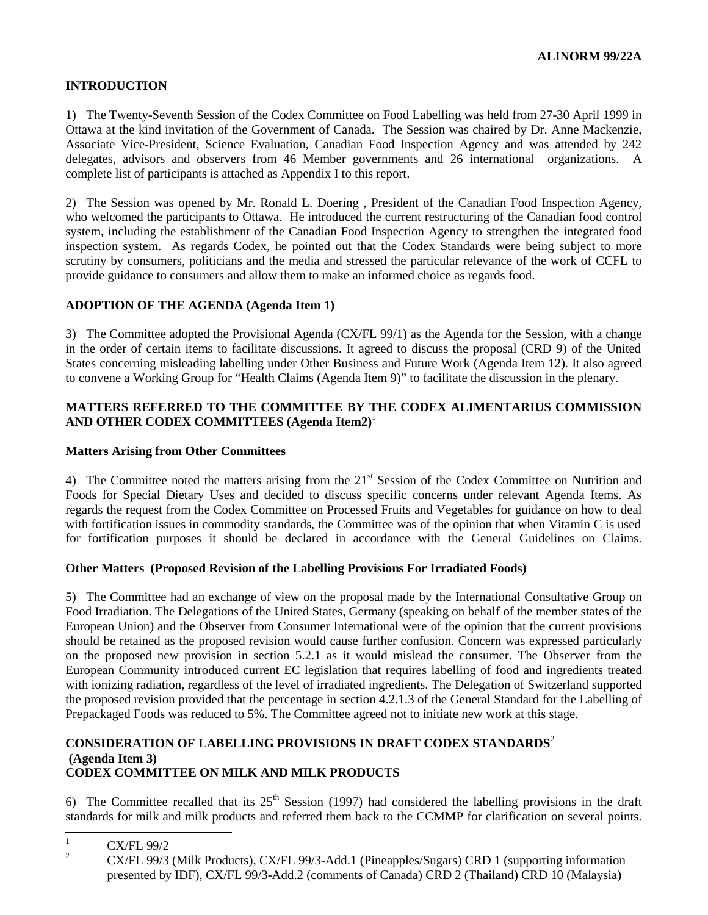## **INTRODUCTION**

1) The Twenty-Seventh Session of the Codex Committee on Food Labelling was held from 27-30 April 1999 in Ottawa at the kind invitation of the Government of Canada. The Session was chaired by Dr. Anne Mackenzie, Associate Vice-President, Science Evaluation, Canadian Food Inspection Agency and was attended by 242 delegates, advisors and observers from 46 Member governments and 26 international organizations. A complete list of participants is attached as Appendix I to this report.

2) The Session was opened by Mr. Ronald L. Doering , President of the Canadian Food Inspection Agency, who welcomed the participants to Ottawa. He introduced the current restructuring of the Canadian food control system, including the establishment of the Canadian Food Inspection Agency to strengthen the integrated food inspection system. As regards Codex, he pointed out that the Codex Standards were being subject to more scrutiny by consumers, politicians and the media and stressed the particular relevance of the work of CCFL to provide guidance to consumers and allow them to make an informed choice as regards food.

## **ADOPTION OF THE AGENDA (Agenda Item 1)**

3) The Committee adopted the Provisional Agenda (CX/FL 99/1) as the Agenda for the Session, with a change in the order of certain items to facilitate discussions. It agreed to discuss the proposal (CRD 9) of the United States concerning misleading labelling under Other Business and Future Work (Agenda Item 12). It also agreed to convene a Working Group for "Health Claims (Agenda Item 9)" to facilitate the discussion in the plenary.

## **MATTERS REFERRED TO THE COMMITTEE BY THE CODEX ALIMENTARIUS COMMISSION AND OTHER CODEX COMMITTEES (Agenda Item2)**<sup>1</sup>

## **Matters Arising from Other Committees**

4) The Committee noted the matters arising from the 21<sup>st</sup> Session of the Codex Committee on Nutrition and Foods for Special Dietary Uses and decided to discuss specific concerns under relevant Agenda Items. As regards the request from the Codex Committee on Processed Fruits and Vegetables for guidance on how to deal with fortification issues in commodity standards, the Committee was of the opinion that when Vitamin C is used for fortification purposes it should be declared in accordance with the General Guidelines on Claims.

## **Other Matters (Proposed Revision of the Labelling Provisions For Irradiated Foods)**

5) The Committee had an exchange of view on the proposal made by the International Consultative Group on Food Irradiation. The Delegations of the United States, Germany (speaking on behalf of the member states of the European Union) and the Observer from Consumer International were of the opinion that the current provisions should be retained as the proposed revision would cause further confusion. Concern was expressed particularly on the proposed new provision in section 5.2.1 as it would mislead the consumer. The Observer from the European Community introduced current EC legislation that requires labelling of food and ingredients treated with ionizing radiation, regardless of the level of irradiated ingredients. The Delegation of Switzerland supported the proposed revision provided that the percentage in section 4.2.1.3 of the General Standard for the Labelling of Prepackaged Foods was reduced to 5%. The Committee agreed not to initiate new work at this stage.

## **CONSIDERATION OF LABELLING PROVISIONS IN DRAFT CODEX STANDARDS**<sup>2</sup> **(Agenda Item 3) CODEX COMMITTEE ON MILK AND MILK PRODUCTS**

6) The Committee recalled that its  $25<sup>th</sup>$  Session (1997) had considered the labelling provisions in the draft standards for milk and milk products and referred them back to the CCMMP for clarification on several points.

 $\frac{1}{2}$  CX/FL 99/2

<sup>2</sup> CX/FL 99/3 (Milk Products), CX/FL 99/3-Add.1 (Pineapples/Sugars) CRD 1 (supporting information presented by IDF), CX/FL 99/3-Add.2 (comments of Canada) CRD 2 (Thailand) CRD 10 (Malaysia)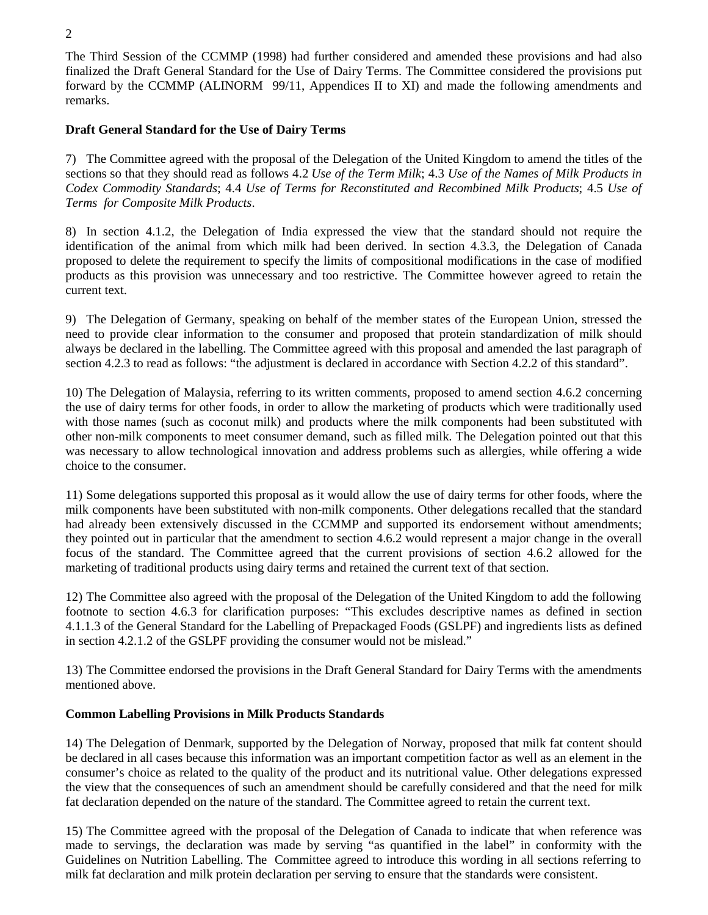The Third Session of the CCMMP (1998) had further considered and amended these provisions and had also finalized the Draft General Standard for the Use of Dairy Terms. The Committee considered the provisions put forward by the CCMMP (ALINORM 99/11, Appendices II to XI) and made the following amendments and remarks.

## **Draft General Standard for the Use of Dairy Terms**

7) The Committee agreed with the proposal of the Delegation of the United Kingdom to amend the titles of the sections so that they should read as follows 4.2 *Use of the Term Milk*; 4.3 *Use of the Names of Milk Products in Codex Commodity Standards*; 4.4 *Use of Terms for Reconstituted and Recombined Milk Products*; 4.5 *Use of Terms for Composite Milk Products*.

8) In section 4.1.2, the Delegation of India expressed the view that the standard should not require the identification of the animal from which milk had been derived. In section 4.3.3, the Delegation of Canada proposed to delete the requirement to specify the limits of compositional modifications in the case of modified products as this provision was unnecessary and too restrictive. The Committee however agreed to retain the current text.

9) The Delegation of Germany, speaking on behalf of the member states of the European Union, stressed the need to provide clear information to the consumer and proposed that protein standardization of milk should always be declared in the labelling. The Committee agreed with this proposal and amended the last paragraph of section 4.2.3 to read as follows: "the adjustment is declared in accordance with Section 4.2.2 of this standard".

10) The Delegation of Malaysia, referring to its written comments, proposed to amend section 4.6.2 concerning the use of dairy terms for other foods, in order to allow the marketing of products which were traditionally used with those names (such as coconut milk) and products where the milk components had been substituted with other non-milk components to meet consumer demand, such as filled milk. The Delegation pointed out that this was necessary to allow technological innovation and address problems such as allergies, while offering a wide choice to the consumer.

11) Some delegations supported this proposal as it would allow the use of dairy terms for other foods, where the milk components have been substituted with non-milk components. Other delegations recalled that the standard had already been extensively discussed in the CCMMP and supported its endorsement without amendments; they pointed out in particular that the amendment to section 4.6.2 would represent a major change in the overall focus of the standard. The Committee agreed that the current provisions of section 4.6.2 allowed for the marketing of traditional products using dairy terms and retained the current text of that section.

12) The Committee also agreed with the proposal of the Delegation of the United Kingdom to add the following footnote to section 4.6.3 for clarification purposes: "This excludes descriptive names as defined in section 4.1.1.3 of the General Standard for the Labelling of Prepackaged Foods (GSLPF) and ingredients lists as defined in section 4.2.1.2 of the GSLPF providing the consumer would not be mislead."

13) The Committee endorsed the provisions in the Draft General Standard for Dairy Terms with the amendments mentioned above.

## **Common Labelling Provisions in Milk Products Standards**

14) The Delegation of Denmark, supported by the Delegation of Norway, proposed that milk fat content should be declared in all cases because this information was an important competition factor as well as an element in the consumer's choice as related to the quality of the product and its nutritional value. Other delegations expressed the view that the consequences of such an amendment should be carefully considered and that the need for milk fat declaration depended on the nature of the standard. The Committee agreed to retain the current text.

15) The Committee agreed with the proposal of the Delegation of Canada to indicate that when reference was made to servings, the declaration was made by serving "as quantified in the label" in conformity with the Guidelines on Nutrition Labelling. The Committee agreed to introduce this wording in all sections referring to milk fat declaration and milk protein declaration per serving to ensure that the standards were consistent.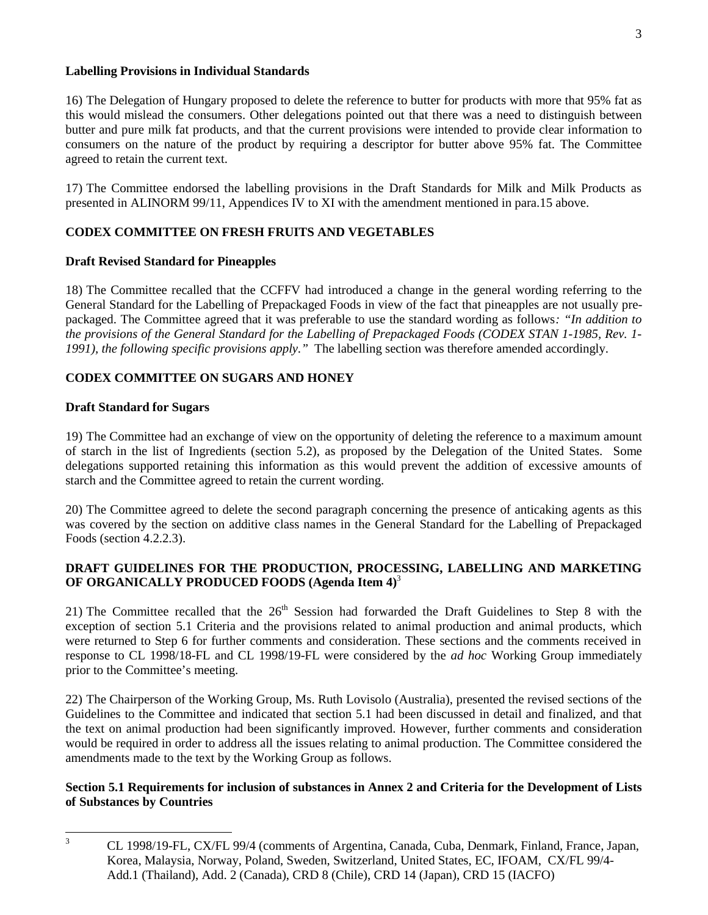## **Labelling Provisions in Individual Standards**

16) The Delegation of Hungary proposed to delete the reference to butter for products with more that 95% fat as this would mislead the consumers. Other delegations pointed out that there was a need to distinguish between butter and pure milk fat products, and that the current provisions were intended to provide clear information to consumers on the nature of the product by requiring a descriptor for butter above 95% fat. The Committee agreed to retain the current text.

17) The Committee endorsed the labelling provisions in the Draft Standards for Milk and Milk Products as presented in ALINORM 99/11, Appendices IV to XI with the amendment mentioned in para.15 above.

## **CODEX COMMITTEE ON FRESH FRUITS AND VEGETABLES**

## **Draft Revised Standard for Pineapples**

18) The Committee recalled that the CCFFV had introduced a change in the general wording referring to the General Standard for the Labelling of Prepackaged Foods in view of the fact that pineapples are not usually prepackaged. The Committee agreed that it was preferable to use the standard wording as follows*: "In addition to the provisions of the General Standard for the Labelling of Prepackaged Foods (CODEX STAN 1-1985, Rev. 1- 1991), the following specific provisions apply."* The labelling section was therefore amended accordingly.

## **CODEX COMMITTEE ON SUGARS AND HONEY**

## **Draft Standard for Sugars**

19) The Committee had an exchange of view on the opportunity of deleting the reference to a maximum amount of starch in the list of Ingredients (section 5.2), as proposed by the Delegation of the United States. Some delegations supported retaining this information as this would prevent the addition of excessive amounts of starch and the Committee agreed to retain the current wording.

20) The Committee agreed to delete the second paragraph concerning the presence of anticaking agents as this was covered by the section on additive class names in the General Standard for the Labelling of Prepackaged Foods (section 4.2.2.3).

## **DRAFT GUIDELINES FOR THE PRODUCTION, PROCESSING, LABELLING AND MARKETING OF ORGANICALLY PRODUCED FOODS (Agenda Item 4)**<sup>3</sup>

21) The Committee recalled that the  $26<sup>th</sup>$  Session had forwarded the Draft Guidelines to Step 8 with the exception of section 5.1 Criteria and the provisions related to animal production and animal products, which were returned to Step 6 for further comments and consideration. These sections and the comments received in response to CL 1998/18-FL and CL 1998/19-FL were considered by the *ad hoc* Working Group immediately prior to the Committee's meeting.

22) The Chairperson of the Working Group, Ms. Ruth Lovisolo (Australia), presented the revised sections of the Guidelines to the Committee and indicated that section 5.1 had been discussed in detail and finalized, and that the text on animal production had been significantly improved. However, further comments and consideration would be required in order to address all the issues relating to animal production. The Committee considered the amendments made to the text by the Working Group as follows.

## **Section 5.1 Requirements for inclusion of substances in Annex 2 and Criteria for the Development of Lists of Substances by Countries**

<sup>&</sup>lt;sup>3</sup> CL 1998/19-FL, CX/FL 99/4 (comments of Argentina, Canada, Cuba, Denmark, Finland, France, Japan, Korea, Malaysia, Norway, Poland, Sweden, Switzerland, United States, EC, IFOAM, CX/FL 99/4- Add.1 (Thailand), Add. 2 (Canada), CRD 8 (Chile), CRD 14 (Japan), CRD 15 (IACFO)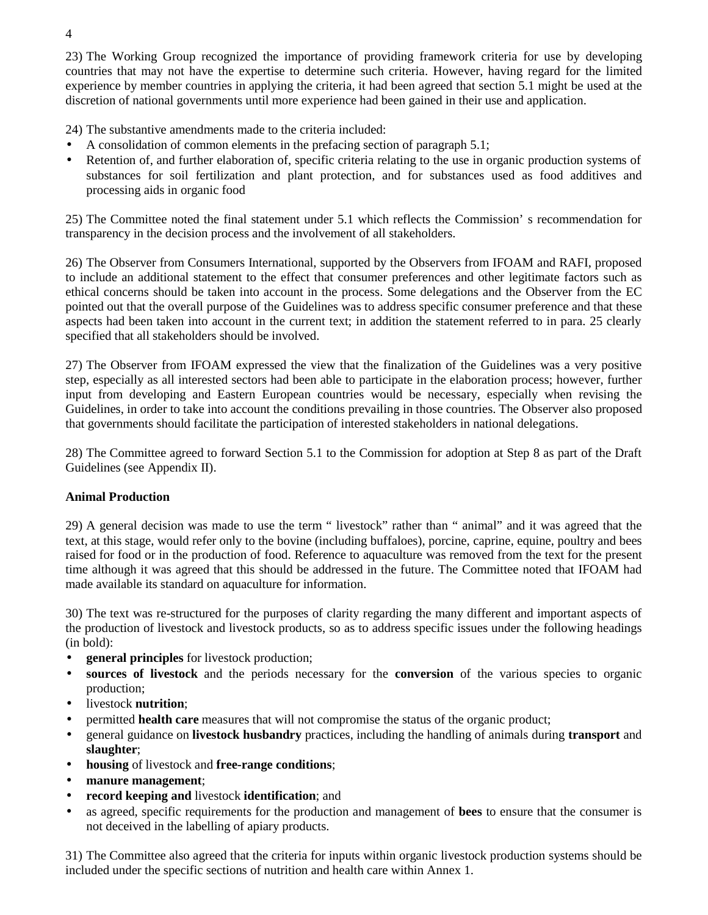23) The Working Group recognized the importance of providing framework criteria for use by developing countries that may not have the expertise to determine such criteria. However, having regard for the limited experience by member countries in applying the criteria, it had been agreed that section 5.1 might be used at the discretion of national governments until more experience had been gained in their use and application.

24) The substantive amendments made to the criteria included:

- A consolidation of common elements in the prefacing section of paragraph 5.1;
- Retention of, and further elaboration of, specific criteria relating to the use in organic production systems of substances for soil fertilization and plant protection, and for substances used as food additives and processing aids in organic food

25) The Committee noted the final statement under 5.1 which reflects the Commission' s recommendation for transparency in the decision process and the involvement of all stakeholders.

26) The Observer from Consumers International, supported by the Observers from IFOAM and RAFI, proposed to include an additional statement to the effect that consumer preferences and other legitimate factors such as ethical concerns should be taken into account in the process. Some delegations and the Observer from the EC pointed out that the overall purpose of the Guidelines was to address specific consumer preference and that these aspects had been taken into account in the current text; in addition the statement referred to in para. 25 clearly specified that all stakeholders should be involved.

27) The Observer from IFOAM expressed the view that the finalization of the Guidelines was a very positive step, especially as all interested sectors had been able to participate in the elaboration process; however, further input from developing and Eastern European countries would be necessary, especially when revising the Guidelines, in order to take into account the conditions prevailing in those countries. The Observer also proposed that governments should facilitate the participation of interested stakeholders in national delegations.

28) The Committee agreed to forward Section 5.1 to the Commission for adoption at Step 8 as part of the Draft Guidelines (see Appendix II).

## **Animal Production**

29) A general decision was made to use the term " livestock" rather than " animal" and it was agreed that the text, at this stage, would refer only to the bovine (including buffaloes), porcine, caprine, equine, poultry and bees raised for food or in the production of food. Reference to aquaculture was removed from the text for the present time although it was agreed that this should be addressed in the future. The Committee noted that IFOAM had made available its standard on aquaculture for information.

30) The text was re-structured for the purposes of clarity regarding the many different and important aspects of the production of livestock and livestock products, so as to address specific issues under the following headings (in bold):

- **general principles** for livestock production;
- **sources of livestock** and the periods necessary for the **conversion** of the various species to organic production;
- livestock **nutrition**;
- permitted **health care** measures that will not compromise the status of the organic product;
- general guidance on **livestock husbandry** practices, including the handling of animals during **transport** and **slaughter**;
- **housing** of livestock and **free-range conditions**;
- **manure management**;
- **record keeping and** livestock **identification**; and
- as agreed, specific requirements for the production and management of **bees** to ensure that the consumer is not deceived in the labelling of apiary products.

31) The Committee also agreed that the criteria for inputs within organic livestock production systems should be included under the specific sections of nutrition and health care within Annex 1.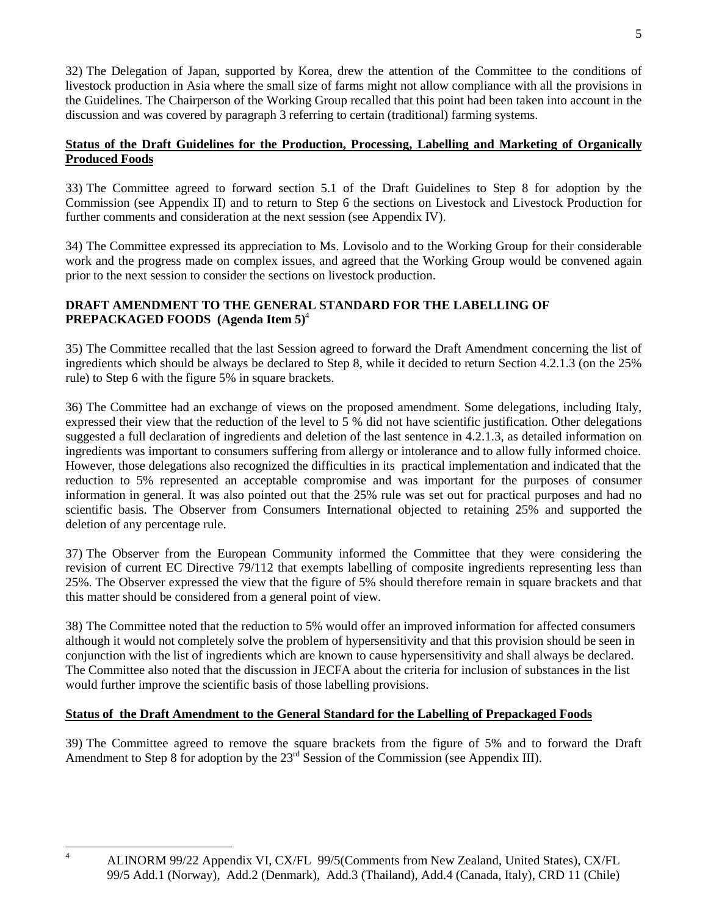32) The Delegation of Japan, supported by Korea, drew the attention of the Committee to the conditions of livestock production in Asia where the small size of farms might not allow compliance with all the provisions in the Guidelines. The Chairperson of the Working Group recalled that this point had been taken into account in the discussion and was covered by paragraph 3 referring to certain (traditional) farming systems.

## **Status of the Draft Guidelines for the Production, Processing, Labelling and Marketing of Organically Produced Foods**

33) The Committee agreed to forward section 5.1 of the Draft Guidelines to Step 8 for adoption by the Commission (see Appendix II) and to return to Step 6 the sections on Livestock and Livestock Production for further comments and consideration at the next session (see Appendix IV).

34) The Committee expressed its appreciation to Ms. Lovisolo and to the Working Group for their considerable work and the progress made on complex issues, and agreed that the Working Group would be convened again prior to the next session to consider the sections on livestock production.

## **DRAFT AMENDMENT TO THE GENERAL STANDARD FOR THE LABELLING OF PREPACKAGED FOODS (Agenda Item 5)**<sup>4</sup>

35) The Committee recalled that the last Session agreed to forward the Draft Amendment concerning the list of ingredients which should be always be declared to Step 8, while it decided to return Section 4.2.1.3 (on the 25% rule) to Step 6 with the figure 5% in square brackets.

36) The Committee had an exchange of views on the proposed amendment. Some delegations, including Italy, expressed their view that the reduction of the level to 5 % did not have scientific justification. Other delegations suggested a full declaration of ingredients and deletion of the last sentence in 4.2.1.3, as detailed information on ingredients was important to consumers suffering from allergy or intolerance and to allow fully informed choice. However, those delegations also recognized the difficulties in its practical implementation and indicated that the reduction to 5% represented an acceptable compromise and was important for the purposes of consumer information in general. It was also pointed out that the 25% rule was set out for practical purposes and had no scientific basis. The Observer from Consumers International objected to retaining 25% and supported the deletion of any percentage rule.

37) The Observer from the European Community informed the Committee that they were considering the revision of current EC Directive 79/112 that exempts labelling of composite ingredients representing less than 25%. The Observer expressed the view that the figure of 5% should therefore remain in square brackets and that this matter should be considered from a general point of view.

38) The Committee noted that the reduction to 5% would offer an improved information for affected consumers although it would not completely solve the problem of hypersensitivity and that this provision should be seen in conjunction with the list of ingredients which are known to cause hypersensitivity and shall always be declared. The Committee also noted that the discussion in JECFA about the criteria for inclusion of substances in the list would further improve the scientific basis of those labelling provisions.

## **Status of the Draft Amendment to the General Standard for the Labelling of Prepackaged Foods**

39) The Committee agreed to remove the square brackets from the figure of 5% and to forward the Draft Amendment to Step 8 for adoption by the 23<sup>rd</sup> Session of the Commission (see Appendix III).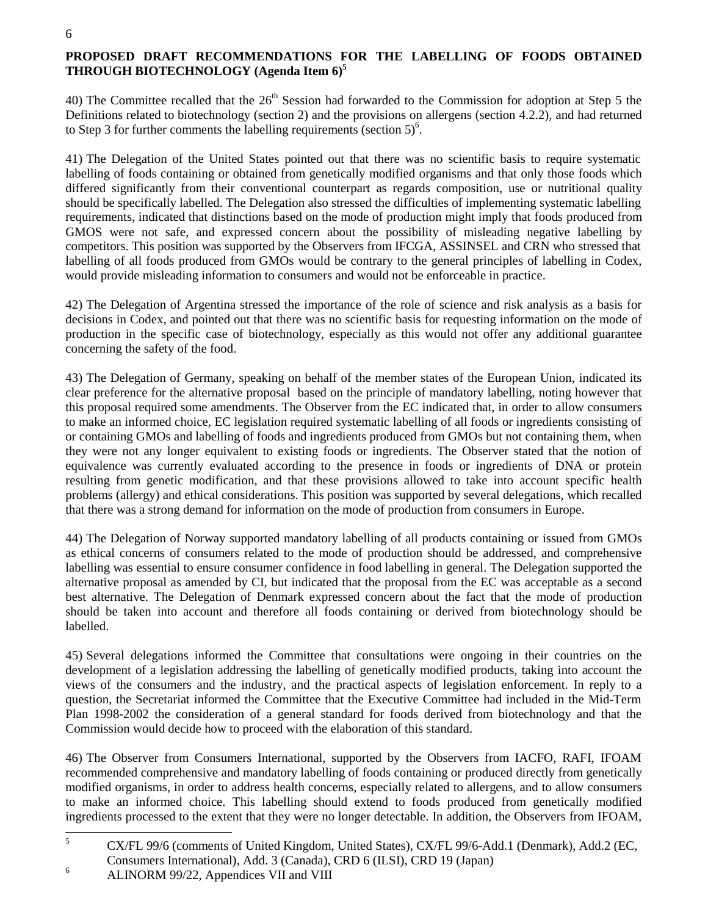## **PROPOSED DRAFT RECOMMENDATIONS FOR THE LABELLING OF FOODS OBTAINED THROUGH BIOTECHNOLOGY (Agenda Item 6)5**

40) The Committee recalled that the  $26<sup>th</sup>$  Session had forwarded to the Commission for adoption at Step 5 the Definitions related to biotechnology (section 2) and the provisions on allergens (section 4.2.2), and had returned to Step 3 for further comments the labelling requirements (section  $5$ )<sup>6</sup>.

41) The Delegation of the United States pointed out that there was no scientific basis to require systematic labelling of foods containing or obtained from genetically modified organisms and that only those foods which differed significantly from their conventional counterpart as regards composition, use or nutritional quality should be specifically labelled. The Delegation also stressed the difficulties of implementing systematic labelling requirements, indicated that distinctions based on the mode of production might imply that foods produced from GMOS were not safe, and expressed concern about the possibility of misleading negative labelling by competitors. This position was supported by the Observers from IFCGA, ASSINSEL and CRN who stressed that labelling of all foods produced from GMOs would be contrary to the general principles of labelling in Codex, would provide misleading information to consumers and would not be enforceable in practice.

42) The Delegation of Argentina stressed the importance of the role of science and risk analysis as a basis for decisions in Codex, and pointed out that there was no scientific basis for requesting information on the mode of production in the specific case of biotechnology, especially as this would not offer any additional guarantee concerning the safety of the food.

43) The Delegation of Germany, speaking on behalf of the member states of the European Union, indicated its clear preference for the alternative proposal based on the principle of mandatory labelling, noting however that this proposal required some amendments. The Observer from the EC indicated that, in order to allow consumers to make an informed choice, EC legislation required systematic labelling of all foods or ingredients consisting of or containing GMOs and labelling of foods and ingredients produced from GMOs but not containing them, when they were not any longer equivalent to existing foods or ingredients. The Observer stated that the notion of equivalence was currently evaluated according to the presence in foods or ingredients of DNA or protein resulting from genetic modification, and that these provisions allowed to take into account specific health problems (allergy) and ethical considerations. This position was supported by several delegations, which recalled that there was a strong demand for information on the mode of production from consumers in Europe.

44) The Delegation of Norway supported mandatory labelling of all products containing or issued from GMOs as ethical concerns of consumers related to the mode of production should be addressed, and comprehensive labelling was essential to ensure consumer confidence in food labelling in general. The Delegation supported the alternative proposal as amended by CI, but indicated that the proposal from the EC was acceptable as a second best alternative. The Delegation of Denmark expressed concern about the fact that the mode of production should be taken into account and therefore all foods containing or derived from biotechnology should be labelled.

45) Several delegations informed the Committee that consultations were ongoing in their countries on the development of a legislation addressing the labelling of genetically modified products, taking into account the views of the consumers and the industry, and the practical aspects of legislation enforcement. In reply to a question, the Secretariat informed the Committee that the Executive Committee had included in the Mid-Term Plan 1998-2002 the consideration of a general standard for foods derived from biotechnology and that the Commission would decide how to proceed with the elaboration of this standard.

46) The Observer from Consumers International, supported by the Observers from IACFO, RAFI, IFOAM recommended comprehensive and mandatory labelling of foods containing or produced directly from genetically modified organisms, in order to address health concerns, especially related to allergens, and to allow consumers to make an informed choice. This labelling should extend to foods produced from genetically modified ingredients processed to the extent that they were no longer detectable. In addition, the Observers from IFOAM,

<sup>&</sup>lt;sup>5</sup> CX/FL 99/6 (comments of United Kingdom, United States), CX/FL 99/6-Add.1 (Denmark), Add.2 (EC, Consumers International), Add. 3 (Canada), CRD 6 (ILSI), CRD 19 (Japan) <sup>6</sup> ALINORM 99/22, Appendices VII and VIII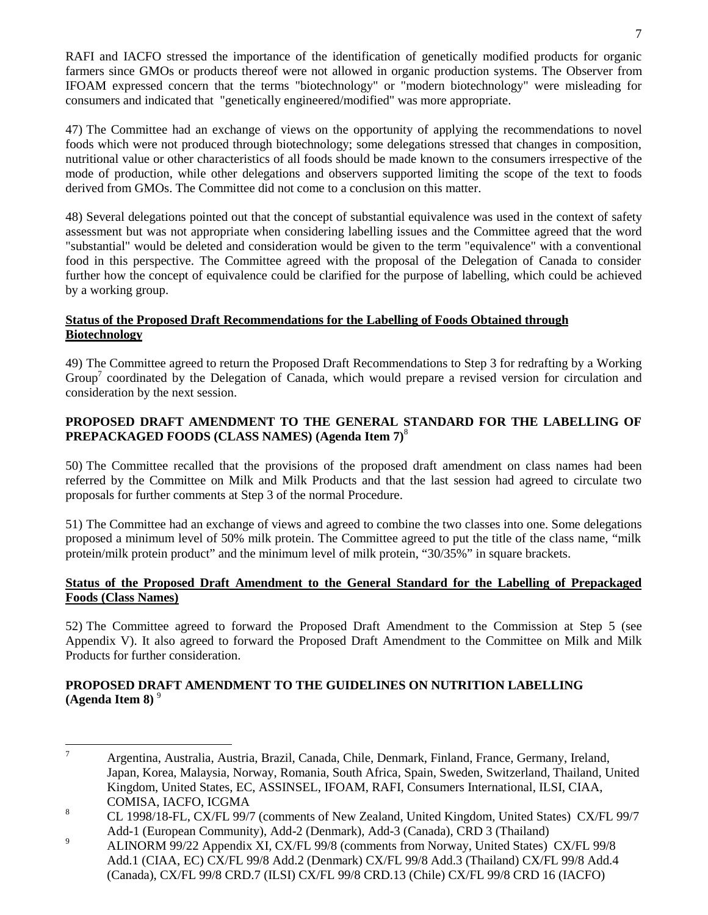RAFI and IACFO stressed the importance of the identification of genetically modified products for organic farmers since GMOs or products thereof were not allowed in organic production systems. The Observer from IFOAM expressed concern that the terms "biotechnology" or "modern biotechnology" were misleading for consumers and indicated that "genetically engineered/modified" was more appropriate.

47) The Committee had an exchange of views on the opportunity of applying the recommendations to novel foods which were not produced through biotechnology; some delegations stressed that changes in composition, nutritional value or other characteristics of all foods should be made known to the consumers irrespective of the mode of production, while other delegations and observers supported limiting the scope of the text to foods derived from GMOs. The Committee did not come to a conclusion on this matter.

48) Several delegations pointed out that the concept of substantial equivalence was used in the context of safety assessment but was not appropriate when considering labelling issues and the Committee agreed that the word "substantial" would be deleted and consideration would be given to the term "equivalence" with a conventional food in this perspective. The Committee agreed with the proposal of the Delegation of Canada to consider further how the concept of equivalence could be clarified for the purpose of labelling, which could be achieved by a working group.

## **Status of the Proposed Draft Recommendations for the Labelling of Foods Obtained through Biotechnology**

49) The Committee agreed to return the Proposed Draft Recommendations to Step 3 for redrafting by a Working Group<sup>7</sup> coordinated by the Delegation of Canada, which would prepare a revised version for circulation and consideration by the next session.

## **PROPOSED DRAFT AMENDMENT TO THE GENERAL STANDARD FOR THE LABELLING OF PREPACKAGED FOODS (CLASS NAMES) (Agenda Item 7)**<sup>8</sup>

50) The Committee recalled that the provisions of the proposed draft amendment on class names had been referred by the Committee on Milk and Milk Products and that the last session had agreed to circulate two proposals for further comments at Step 3 of the normal Procedure.

51) The Committee had an exchange of views and agreed to combine the two classes into one. Some delegations proposed a minimum level of 50% milk protein. The Committee agreed to put the title of the class name, "milk protein/milk protein product" and the minimum level of milk protein, "30/35%" in square brackets.

## **Status of the Proposed Draft Amendment to the General Standard for the Labelling of Prepackaged Foods (Class Names)**

52) The Committee agreed to forward the Proposed Draft Amendment to the Commission at Step 5 (see Appendix V). It also agreed to forward the Proposed Draft Amendment to the Committee on Milk and Milk Products for further consideration.

## **PROPOSED DRAFT AMENDMENT TO THE GUIDELINES ON NUTRITION LABELLING (Agenda Item 8)** <sup>9</sup>

<sup>7</sup> Argentina, Australia, Austria, Brazil, Canada, Chile, Denmark, Finland, France, Germany, Ireland, Japan, Korea, Malaysia, Norway, Romania, South Africa, Spain, Sweden, Switzerland, Thailand, United Kingdom, United States, EC, ASSINSEL, IFOAM, RAFI, Consumers International, ILSI, CIAA, COMISA, IACFO, ICGMA

<sup>8</sup> CL 1998/18-FL, CX/FL 99/7 (comments of New Zealand, United Kingdom, United States) CX/FL 99/7 Add-1 (European Community), Add-2 (Denmark), Add-3 (Canada), CRD 3 (Thailand)

<sup>&</sup>lt;sup>9</sup> ALINORM 99/22 Appendix XI, CX/FL 99/8 (comments from Norway, United States) CX/FL 99/8 Add.1 (CIAA, EC) CX/FL 99/8 Add.2 (Denmark) CX/FL 99/8 Add.3 (Thailand) CX/FL 99/8 Add.4 (Canada), CX/FL 99/8 CRD.7 (ILSI) CX/FL 99/8 CRD.13 (Chile) CX/FL 99/8 CRD 16 (IACFO)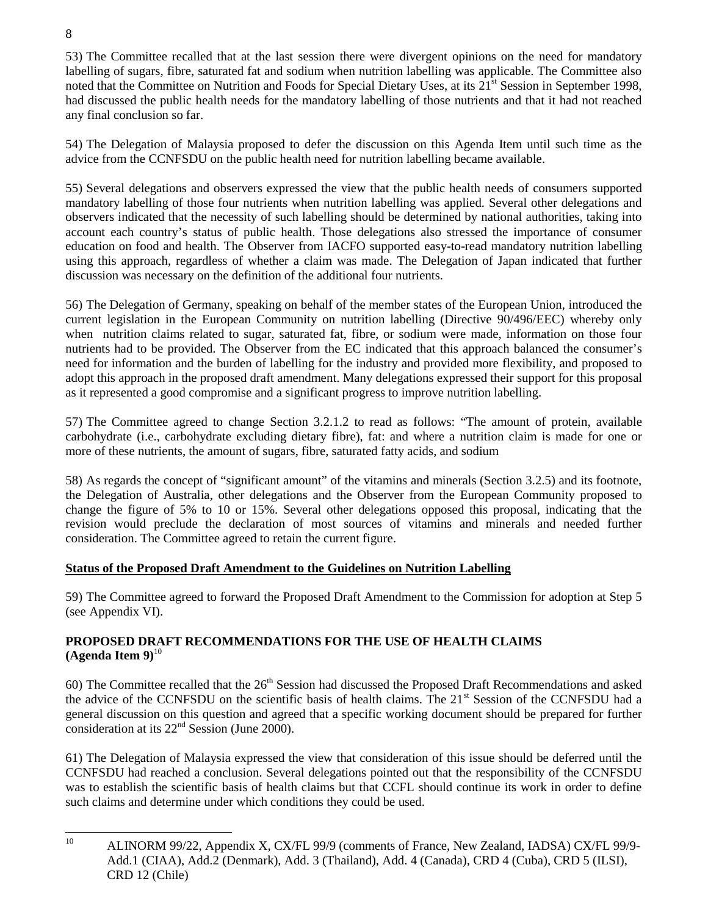53) The Committee recalled that at the last session there were divergent opinions on the need for mandatory labelling of sugars, fibre, saturated fat and sodium when nutrition labelling was applicable. The Committee also noted that the Committee on Nutrition and Foods for Special Dietary Uses, at its 21<sup>st</sup> Session in September 1998, had discussed the public health needs for the mandatory labelling of those nutrients and that it had not reached any final conclusion so far.

54) The Delegation of Malaysia proposed to defer the discussion on this Agenda Item until such time as the advice from the CCNFSDU on the public health need for nutrition labelling became available.

55) Several delegations and observers expressed the view that the public health needs of consumers supported mandatory labelling of those four nutrients when nutrition labelling was applied. Several other delegations and observers indicated that the necessity of such labelling should be determined by national authorities, taking into account each country's status of public health. Those delegations also stressed the importance of consumer education on food and health. The Observer from IACFO supported easy-to-read mandatory nutrition labelling using this approach, regardless of whether a claim was made. The Delegation of Japan indicated that further discussion was necessary on the definition of the additional four nutrients.

56) The Delegation of Germany, speaking on behalf of the member states of the European Union, introduced the current legislation in the European Community on nutrition labelling (Directive 90/496/EEC) whereby only when nutrition claims related to sugar, saturated fat, fibre, or sodium were made, information on those four nutrients had to be provided. The Observer from the EC indicated that this approach balanced the consumer's need for information and the burden of labelling for the industry and provided more flexibility, and proposed to adopt this approach in the proposed draft amendment. Many delegations expressed their support for this proposal as it represented a good compromise and a significant progress to improve nutrition labelling.

57) The Committee agreed to change Section 3.2.1.2 to read as follows: "The amount of protein, available carbohydrate (i.e., carbohydrate excluding dietary fibre), fat: and where a nutrition claim is made for one or more of these nutrients, the amount of sugars, fibre, saturated fatty acids, and sodium

58) As regards the concept of "significant amount" of the vitamins and minerals (Section 3.2.5) and its footnote, the Delegation of Australia, other delegations and the Observer from the European Community proposed to change the figure of 5% to 10 or 15%. Several other delegations opposed this proposal, indicating that the revision would preclude the declaration of most sources of vitamins and minerals and needed further consideration. The Committee agreed to retain the current figure.

## **Status of the Proposed Draft Amendment to the Guidelines on Nutrition Labelling**

59) The Committee agreed to forward the Proposed Draft Amendment to the Commission for adoption at Step 5 (see Appendix VI).

## **PROPOSED DRAFT RECOMMENDATIONS FOR THE USE OF HEALTH CLAIMS**  $(A$ genda Item  $9)^{10}$

60) The Committee recalled that the  $26<sup>th</sup>$  Session had discussed the Proposed Draft Recommendations and asked the advice of the CCNFSDU on the scientific basis of health claims. The 21<sup>st</sup> Session of the CCNFSDU had a general discussion on this question and agreed that a specific working document should be prepared for further consideration at its  $22<sup>nd</sup>$  Session (June 2000).

61) The Delegation of Malaysia expressed the view that consideration of this issue should be deferred until the CCNFSDU had reached a conclusion. Several delegations pointed out that the responsibility of the CCNFSDU was to establish the scientific basis of health claims but that CCFL should continue its work in order to define such claims and determine under which conditions they could be used.

<sup>&</sup>lt;sup>10</sup> ALINORM 99/22, Appendix X, CX/FL 99/9 (comments of France, New Zealand, IADSA) CX/FL 99/9-Add.1 (CIAA), Add.2 (Denmark), Add. 3 (Thailand), Add. 4 (Canada), CRD 4 (Cuba), CRD 5 (ILSI), CRD 12 (Chile)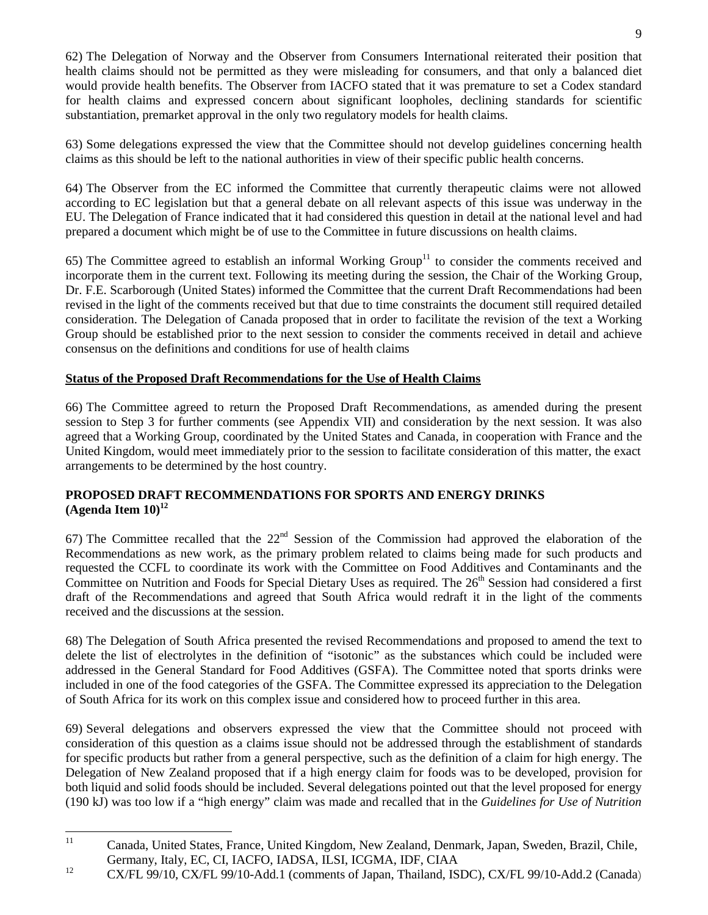62) The Delegation of Norway and the Observer from Consumers International reiterated their position that health claims should not be permitted as they were misleading for consumers, and that only a balanced diet would provide health benefits. The Observer from IACFO stated that it was premature to set a Codex standard for health claims and expressed concern about significant loopholes, declining standards for scientific substantiation, premarket approval in the only two regulatory models for health claims.

63) Some delegations expressed the view that the Committee should not develop guidelines concerning health claims as this should be left to the national authorities in view of their specific public health concerns.

64) The Observer from the EC informed the Committee that currently therapeutic claims were not allowed according to EC legislation but that a general debate on all relevant aspects of this issue was underway in the EU. The Delegation of France indicated that it had considered this question in detail at the national level and had prepared a document which might be of use to the Committee in future discussions on health claims.

65) The Committee agreed to establish an informal Working Group<sup>11</sup> to consider the comments received and incorporate them in the current text. Following its meeting during the session, the Chair of the Working Group, Dr. F.E. Scarborough (United States) informed the Committee that the current Draft Recommendations had been revised in the light of the comments received but that due to time constraints the document still required detailed consideration. The Delegation of Canada proposed that in order to facilitate the revision of the text a Working Group should be established prior to the next session to consider the comments received in detail and achieve consensus on the definitions and conditions for use of health claims

## **Status of the Proposed Draft Recommendations for the Use of Health Claims**

66) The Committee agreed to return the Proposed Draft Recommendations, as amended during the present session to Step 3 for further comments (see Appendix VII) and consideration by the next session. It was also agreed that a Working Group, coordinated by the United States and Canada, in cooperation with France and the United Kingdom, would meet immediately prior to the session to facilitate consideration of this matter, the exact arrangements to be determined by the host country.

## **PROPOSED DRAFT RECOMMENDATIONS FOR SPORTS AND ENERGY DRINKS**  $(A$ genda Item  $10$ <sup>12</sup>

67) The Committee recalled that the  $22<sup>nd</sup>$  Session of the Commission had approved the elaboration of the Recommendations as new work, as the primary problem related to claims being made for such products and requested the CCFL to coordinate its work with the Committee on Food Additives and Contaminants and the Committee on Nutrition and Foods for Special Dietary Uses as required. The  $26<sup>th</sup>$  Session had considered a first draft of the Recommendations and agreed that South Africa would redraft it in the light of the comments received and the discussions at the session.

68) The Delegation of South Africa presented the revised Recommendations and proposed to amend the text to delete the list of electrolytes in the definition of "isotonic" as the substances which could be included were addressed in the General Standard for Food Additives (GSFA). The Committee noted that sports drinks were included in one of the food categories of the GSFA. The Committee expressed its appreciation to the Delegation of South Africa for its work on this complex issue and considered how to proceed further in this area.

69) Several delegations and observers expressed the view that the Committee should not proceed with consideration of this question as a claims issue should not be addressed through the establishment of standards for specific products but rather from a general perspective, such as the definition of a claim for high energy. The Delegation of New Zealand proposed that if a high energy claim for foods was to be developed, provision for both liquid and solid foods should be included. Several delegations pointed out that the level proposed for energy (190 kJ) was too low if a "high energy" claim was made and recalled that in the *Guidelines for Use of Nutrition*

<sup>&</sup>lt;sup>11</sup> Canada, United States, France, United Kingdom, New Zealand, Denmark, Japan, Sweden, Brazil, Chile, Germany, Italy, EC, CI, IACFO, IADSA, ILSI, ICGMA, IDF, CIAA

<sup>&</sup>lt;sup>12</sup> CX/FL 99/10, CX/FL 99/10-Add.1 (comments of Japan, Thailand, ISDC), CX/FL 99/10-Add.2 (Canada)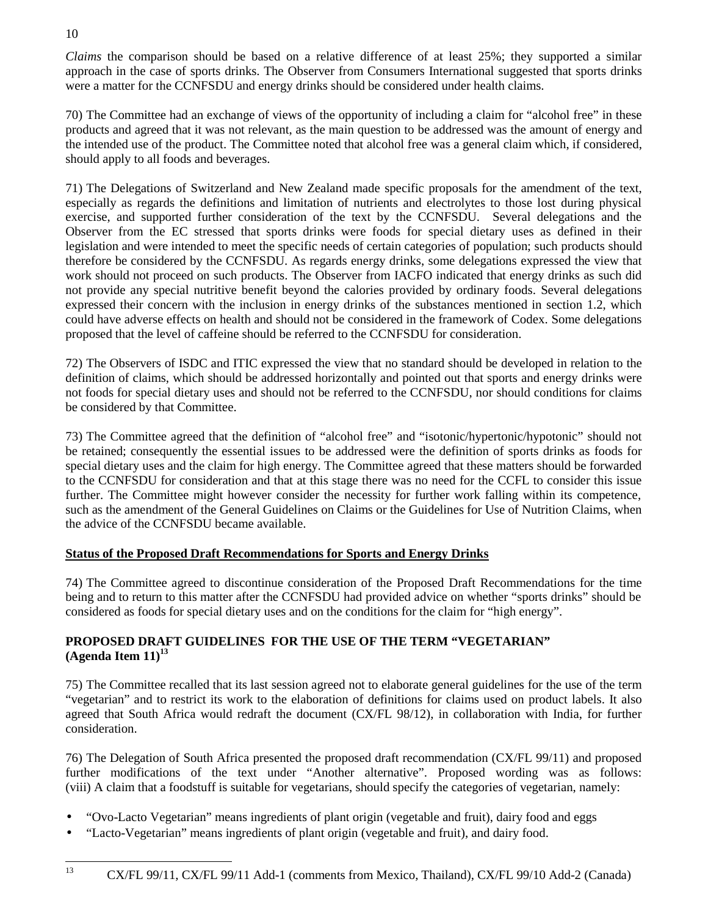*Claims* the comparison should be based on a relative difference of at least 25%; they supported a similar approach in the case of sports drinks. The Observer from Consumers International suggested that sports drinks were a matter for the CCNFSDU and energy drinks should be considered under health claims.

70) The Committee had an exchange of views of the opportunity of including a claim for "alcohol free" in these products and agreed that it was not relevant, as the main question to be addressed was the amount of energy and the intended use of the product. The Committee noted that alcohol free was a general claim which, if considered, should apply to all foods and beverages.

71) The Delegations of Switzerland and New Zealand made specific proposals for the amendment of the text, especially as regards the definitions and limitation of nutrients and electrolytes to those lost during physical exercise, and supported further consideration of the text by the CCNFSDU. Several delegations and the Observer from the EC stressed that sports drinks were foods for special dietary uses as defined in their legislation and were intended to meet the specific needs of certain categories of population; such products should therefore be considered by the CCNFSDU. As regards energy drinks, some delegations expressed the view that work should not proceed on such products. The Observer from IACFO indicated that energy drinks as such did not provide any special nutritive benefit beyond the calories provided by ordinary foods. Several delegations expressed their concern with the inclusion in energy drinks of the substances mentioned in section 1.2, which could have adverse effects on health and should not be considered in the framework of Codex. Some delegations proposed that the level of caffeine should be referred to the CCNFSDU for consideration.

72) The Observers of ISDC and ITIC expressed the view that no standard should be developed in relation to the definition of claims, which should be addressed horizontally and pointed out that sports and energy drinks were not foods for special dietary uses and should not be referred to the CCNFSDU, nor should conditions for claims be considered by that Committee.

73) The Committee agreed that the definition of "alcohol free" and "isotonic/hypertonic/hypotonic" should not be retained; consequently the essential issues to be addressed were the definition of sports drinks as foods for special dietary uses and the claim for high energy. The Committee agreed that these matters should be forwarded to the CCNFSDU for consideration and that at this stage there was no need for the CCFL to consider this issue further. The Committee might however consider the necessity for further work falling within its competence, such as the amendment of the General Guidelines on Claims or the Guidelines for Use of Nutrition Claims, when the advice of the CCNFSDU became available.

## **Status of the Proposed Draft Recommendations for Sports and Energy Drinks**

74) The Committee agreed to discontinue consideration of the Proposed Draft Recommendations for the time being and to return to this matter after the CCNFSDU had provided advice on whether "sports drinks" should be considered as foods for special dietary uses and on the conditions for the claim for "high energy".

## **PROPOSED DRAFT GUIDELINES FOR THE USE OF THE TERM "VEGETARIAN"**  $(A$ genda Item  $11$ <sup>13</sup>

75) The Committee recalled that its last session agreed not to elaborate general guidelines for the use of the term "vegetarian" and to restrict its work to the elaboration of definitions for claims used on product labels. It also agreed that South Africa would redraft the document (CX/FL 98/12), in collaboration with India, for further consideration.

76) The Delegation of South Africa presented the proposed draft recommendation (CX/FL 99/11) and proposed further modifications of the text under "Another alternative". Proposed wording was as follows: (viii) A claim that a foodstuff is suitable for vegetarians, should specify the categories of vegetarian, namely:

- "Ovo-Lacto Vegetarian" means ingredients of plant origin (vegetable and fruit), dairy food and eggs
- "Lacto-Vegetarian" means ingredients of plant origin (vegetable and fruit), and dairy food.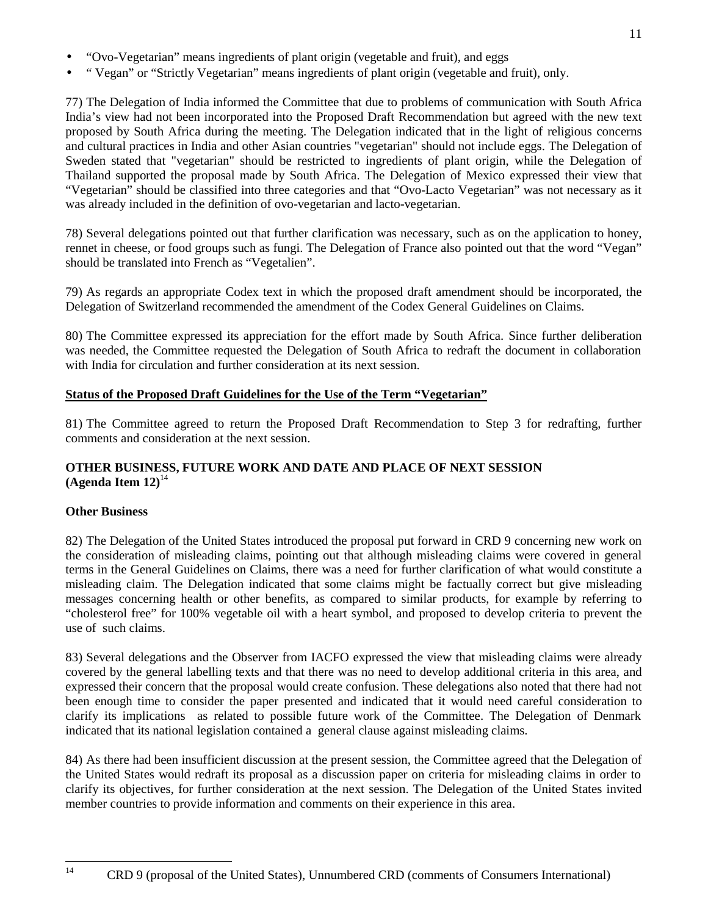• " Vegan" or "Strictly Vegetarian" means ingredients of plant origin (vegetable and fruit), only.

77) The Delegation of India informed the Committee that due to problems of communication with South Africa India's view had not been incorporated into the Proposed Draft Recommendation but agreed with the new text proposed by South Africa during the meeting. The Delegation indicated that in the light of religious concerns and cultural practices in India and other Asian countries "vegetarian" should not include eggs. The Delegation of Sweden stated that "vegetarian" should be restricted to ingredients of plant origin, while the Delegation of Thailand supported the proposal made by South Africa. The Delegation of Mexico expressed their view that "Vegetarian" should be classified into three categories and that "Ovo-Lacto Vegetarian" was not necessary as it was already included in the definition of ovo-vegetarian and lacto-vegetarian.

78) Several delegations pointed out that further clarification was necessary, such as on the application to honey, rennet in cheese, or food groups such as fungi. The Delegation of France also pointed out that the word "Vegan" should be translated into French as "Vegetalien".

79) As regards an appropriate Codex text in which the proposed draft amendment should be incorporated, the Delegation of Switzerland recommended the amendment of the Codex General Guidelines on Claims.

80) The Committee expressed its appreciation for the effort made by South Africa. Since further deliberation was needed, the Committee requested the Delegation of South Africa to redraft the document in collaboration with India for circulation and further consideration at its next session.

## **Status of the Proposed Draft Guidelines for the Use of the Term "Vegetarian"**

81) The Committee agreed to return the Proposed Draft Recommendation to Step 3 for redrafting, further comments and consideration at the next session.

## **OTHER BUSINESS, FUTURE WORK AND DATE AND PLACE OF NEXT SESSION**  $(A$ genda Item  $12)^{14}$

## **Other Business**

82) The Delegation of the United States introduced the proposal put forward in CRD 9 concerning new work on the consideration of misleading claims, pointing out that although misleading claims were covered in general terms in the General Guidelines on Claims, there was a need for further clarification of what would constitute a misleading claim. The Delegation indicated that some claims might be factually correct but give misleading messages concerning health or other benefits, as compared to similar products, for example by referring to "cholesterol free" for 100% vegetable oil with a heart symbol, and proposed to develop criteria to prevent the use of such claims.

83) Several delegations and the Observer from IACFO expressed the view that misleading claims were already covered by the general labelling texts and that there was no need to develop additional criteria in this area, and expressed their concern that the proposal would create confusion. These delegations also noted that there had not been enough time to consider the paper presented and indicated that it would need careful consideration to clarify its implications as related to possible future work of the Committee. The Delegation of Denmark indicated that its national legislation contained a general clause against misleading claims.

84) As there had been insufficient discussion at the present session, the Committee agreed that the Delegation of the United States would redraft its proposal as a discussion paper on criteria for misleading claims in order to clarify its objectives, for further consideration at the next session. The Delegation of the United States invited member countries to provide information and comments on their experience in this area.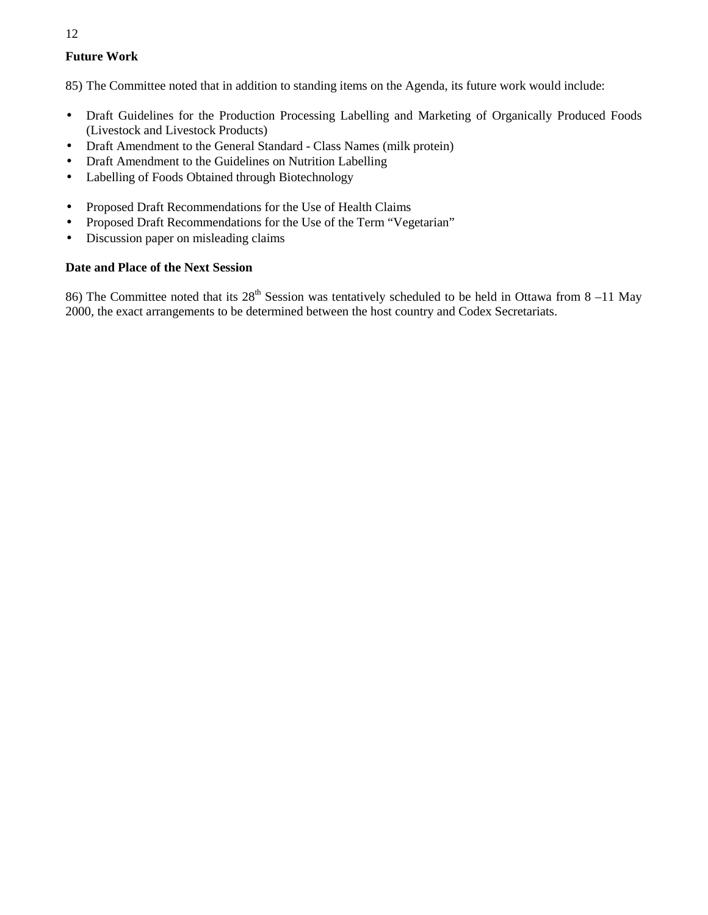## **Future Work**

85) The Committee noted that in addition to standing items on the Agenda, its future work would include:

- Draft Guidelines for the Production Processing Labelling and Marketing of Organically Produced Foods (Livestock and Livestock Products)
- Draft Amendment to the General Standard Class Names (milk protein)
- Draft Amendment to the Guidelines on Nutrition Labelling
- Labelling of Foods Obtained through Biotechnology
- Proposed Draft Recommendations for the Use of Health Claims
- Proposed Draft Recommendations for the Use of the Term "Vegetarian"
- Discussion paper on misleading claims

## **Date and Place of the Next Session**

86) The Committee noted that its  $28<sup>th</sup>$  Session was tentatively scheduled to be held in Ottawa from 8 –11 May 2000, the exact arrangements to be determined between the host country and Codex Secretariats.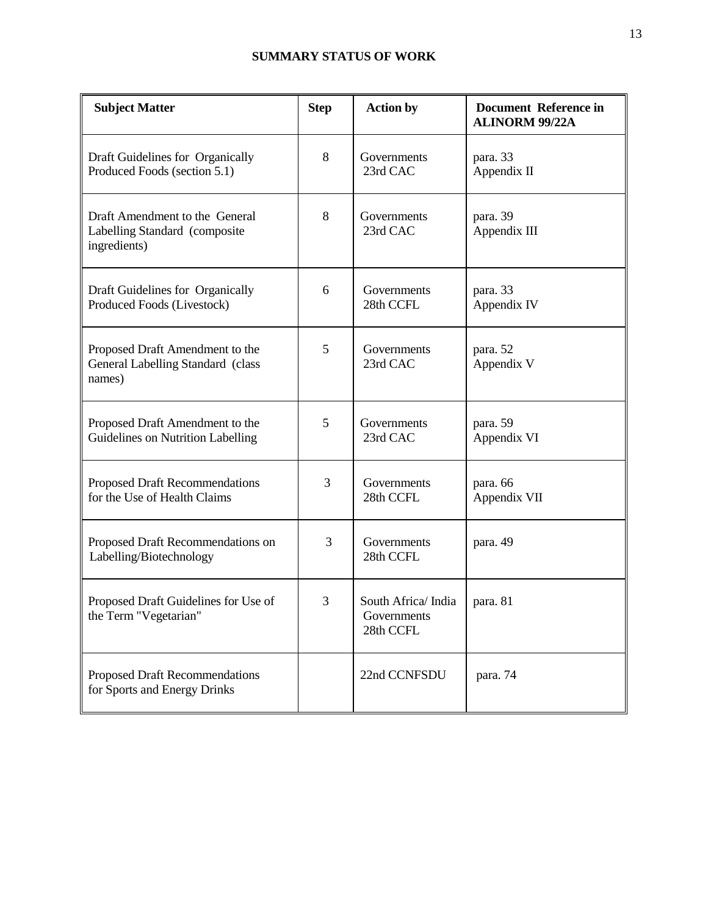| <b>Subject Matter</b>                                                           | <b>Step</b> | <b>Action by</b>                               | <b>Document Reference in</b><br><b>ALINORM 99/22A</b> |
|---------------------------------------------------------------------------------|-------------|------------------------------------------------|-------------------------------------------------------|
| Draft Guidelines for Organically<br>Produced Foods (section 5.1)                | 8           | Governments<br>23rd CAC                        | para. 33<br>Appendix II                               |
| Draft Amendment to the General<br>Labelling Standard (composite<br>ingredients) | 8           | Governments<br>23rd CAC                        | para. 39<br>Appendix III                              |
| Draft Guidelines for Organically<br>Produced Foods (Livestock)                  | 6           | Governments<br>28th CCFL                       | para. 33<br>Appendix IV                               |
| Proposed Draft Amendment to the<br>General Labelling Standard (class<br>names)  | 5           | Governments<br>23rd CAC                        | para. 52<br>Appendix V                                |
| Proposed Draft Amendment to the<br>Guidelines on Nutrition Labelling            | 5           | Governments<br>23rd CAC                        | para. 59<br>Appendix VI                               |
| Proposed Draft Recommendations<br>for the Use of Health Claims                  | 3           | Governments<br>28th CCFL                       | para. 66<br>Appendix VII                              |
| Proposed Draft Recommendations on<br>Labelling/Biotechnology                    | 3           | Governments<br>28th CCFL                       | para. 49                                              |
| Proposed Draft Guidelines for Use of<br>the Term "Vegetarian"                   | 3           | South Africa/India<br>Governments<br>28th CCFL | para. 81                                              |
| Proposed Draft Recommendations<br>for Sports and Energy Drinks                  |             | 22nd CCNFSDU                                   | para. 74                                              |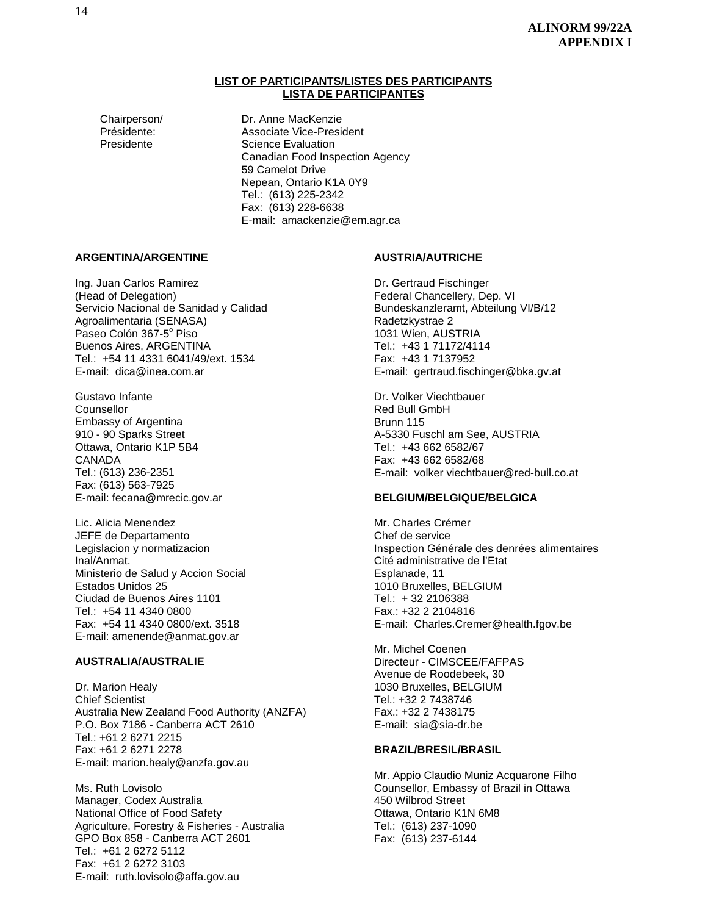#### **LIST OF PARTICIPANTS/LISTES DES PARTICIPANTS LISTA DE PARTICIPANTES**

Chairperson/ Dr. Anne MacKenzie Présidente: Associate Vice-President Presidente **Science Evaluation** Canadian Food Inspection Agency 59 Camelot Drive Nepean, Ontario K1A 0Y9 Tel.: (613) 225-2342 Fax: (613) 228-6638 E-mail: amackenzie@em.agr.ca

#### **ARGENTINA/ARGENTINE**

Ing. Juan Carlos Ramirez (Head of Delegation) Servicio Nacional de Sanidad y Calidad Agroalimentaria (SENASA) Paseo Colón 367-5<sup>°</sup> Piso Buenos Aires, ARGENTINA Tel.: +54 11 4331 6041/49/ext. 1534 E-mail: dica@inea.com.ar

Gustavo Infante Counsellor Embassy of Argentina 910 - 90 Sparks Street Ottawa, Ontario K1P 5B4 CANADA Tel.: (613) 236-2351 Fax: (613) 563-7925 E-mail: fecana@mrecic.gov.ar

Lic. Alicia Menendez JEFE de Departamento Legislacion y normatizacion Inal/Anmat. Ministerio de Salud y Accion Social Estados Unidos 25 Ciudad de Buenos Aires 1101 Tel.: +54 11 4340 0800 Fax: +54 11 4340 0800/ext. 3518 E-mail: amenende@anmat.gov.ar

#### **AUSTRALIA/AUSTRALIE**

Dr. Marion Healy Chief Scientist Australia New Zealand Food Authority (ANZFA) P.O. Box 7186 - Canberra ACT 2610 Tel.: +61 2 6271 2215 Fax: +61 2 6271 2278 E-mail: marion.healy@anzfa.gov.au

Ms. Ruth Lovisolo Manager, Codex Australia National Office of Food Safety Agriculture, Forestry & Fisheries - Australia GPO Box 858 - Canberra ACT 2601 Tel.: +61 2 6272 5112 Fax: +61 2 6272 3103 E-mail: ruth.lovisolo@affa.gov.au

#### **AUSTRIA/AUTRICHE**

Dr. Gertraud Fischinger Federal Chancellery, Dep. VI Bundeskanzleramt, Abteilung VI/B/12 Radetzkystrae 2 1031 Wien, AUSTRIA Tel.: +43 1 71172/4114 Fax: +43 1 7137952 E-mail: gertraud.fischinger@bka.gv.at

Dr. Volker Viechtbauer Red Bull GmbH Brunn 115 A-5330 Fuschl am See, AUSTRIA Tel.: +43 662 6582/67 Fax: +43 662 6582/68 E-mail: volker viechtbauer@red-bull.co.at

#### **BELGIUM/BELGIQUE/BELGICA**

Mr. Charles Crémer Chef de service Inspection Générale des denrées alimentaires Cité administrative de l'Etat Esplanade, 11 1010 Bruxelles, BELGIUM Tel.: + 32 2106388 Fax.: +32 2 2104816 E-mail: Charles.Cremer@health.fgov.be

Mr. Michel Coenen Directeur - CIMSCEE/FAFPAS Avenue de Roodebeek, 30 1030 Bruxelles, BELGIUM Tel.: +32 2 7438746 Fax.: +32 2 7438175 E-mail: sia@sia-dr.be

#### **BRAZIL/BRESIL/BRASIL**

Mr. Appio Claudio Muniz Acquarone Filho Counsellor, Embassy of Brazil in Ottawa 450 Wilbrod Street Ottawa, Ontario K1N 6M8 Tel.: (613) 237-1090 Fax: (613) 237-6144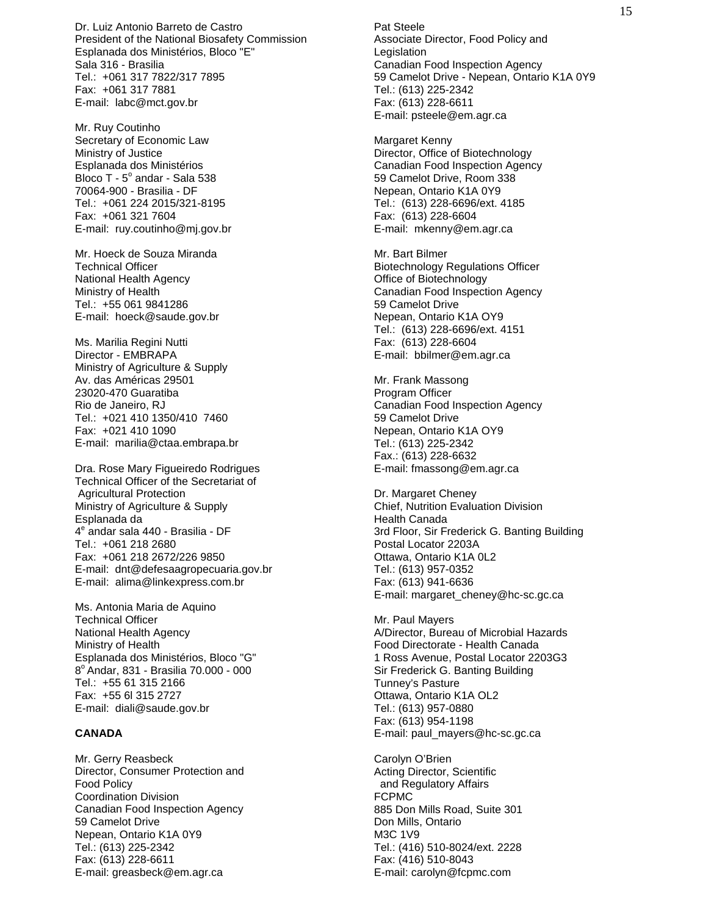Dr. Luiz Antonio Barreto de Castro President of the National Biosafety Commission Esplanada dos Ministérios, Bloco "E" Sala 316 - Brasilia Tel.: +061 317 7822/317 7895 Fax: +061 317 7881 E-mail: labc@mct.gov.br

Mr. Ruy Coutinho Secretary of Economic Law Ministry of Justice Esplanada dos Ministérios Bloco T - 5° andar - Sala 538 70064-900 - Brasilia - DF Tel.: +061 224 2015/321-8195 Fax: +061 321 7604 E-mail: ruy.coutinho@mj.gov.br

Mr. Hoeck de Souza Miranda Technical Officer National Health Agency Ministry of Health Tel.: +55 061 9841286 E-mail: hoeck@saude.gov.br

Ms. Marilia Regini Nutti Director - EMBRAPA Ministry of Agriculture & Supply Av. das Américas 29501 23020-470 Guaratiba Rio de Janeiro, RJ Tel.: +021 410 1350/410 7460 Fax: +021 410 1090 E-mail: marilia@ctaa.embrapa.br

Dra. Rose Mary Figueiredo Rodrigues Technical Officer of the Secretariat of Agricultural Protection Ministry of Agriculture & Supply Esplanada da 4<sup>e</sup> andar sala 440 - Brasilia - DF Tel.: +061 218 2680 Fax: +061 218 2672/226 9850 E-mail: dnt@defesaagropecuaria.gov.br E-mail: alima@linkexpress.com.br

Ms. Antonia Maria de Aquino Technical Officer National Health Agency Ministry of Health Esplanada dos Ministérios, Bloco "G" 8<sup>°</sup> Andar, 831 - Brasilia 70.000 - 000 Tel.: +55 61 315 2166 Fax: +55 6l 315 2727 E-mail: diali@saude.gov.br

#### **CANADA**

Mr. Gerry Reasbeck Director, Consumer Protection and Food Policy Coordination Division Canadian Food Inspection Agency 59 Camelot Drive Nepean, Ontario K1A 0Y9 Tel.: (613) 225-2342 Fax: (613) 228-6611 E-mail: greasbeck@em.agr.ca

Pat Steele Associate Director, Food Policy and Legislation Canadian Food Inspection Agency 59 Camelot Drive - Nepean, Ontario K1A 0Y9 Tel.: (613) 225-2342 Fax: (613) 228-6611 E-mail: psteele@em.agr.ca

Margaret Kenny Director, Office of Biotechnology Canadian Food Inspection Agency 59 Camelot Drive, Room 338 Nepean, Ontario K1A 0Y9 Tel.: (613) 228-6696/ext. 4185 Fax: (613) 228-6604 E-mail: mkenny@em.agr.ca

Mr. Bart Bilmer Biotechnology Regulations Officer Office of Biotechnology Canadian Food Inspection Agency 59 Camelot Drive Nepean, Ontario K1A OY9 Tel.: (613) 228-6696/ext. 4151 Fax: (613) 228-6604 E-mail: bbilmer@em.agr.ca

Mr. Frank Massong Program Officer Canadian Food Inspection Agency 59 Camelot Drive Nepean, Ontario K1A OY9 Tel.: (613) 225-2342 Fax.: (613) 228-6632 E-mail: fmassong@em.agr.ca

Dr. Margaret Cheney Chief, Nutrition Evaluation Division Health Canada 3rd Floor, Sir Frederick G. Banting Building Postal Locator 2203A Ottawa, Ontario K1A 0L2 Tel.: (613) 957-0352 Fax: (613) 941-6636 E-mail: margaret\_cheney@hc-sc.gc.ca

Mr. Paul Mayers A/Director, Bureau of Microbial Hazards Food Directorate - Health Canada 1 Ross Avenue, Postal Locator 2203G3 Sir Frederick G. Banting Building Tunney's Pasture Ottawa, Ontario K1A OL2 Tel.: (613) 957-0880 Fax: (613) 954-1198 E-mail: paul\_mayers@hc-sc.gc.ca

Carolyn O'Brien Acting Director, Scientific and Regulatory Affairs FCPMC 885 Don Mills Road, Suite 301 Don Mills, Ontario M3C 1V9 Tel.: (416) 510-8024/ext. 2228 Fax: (416) 510-8043 E-mail: carolyn@fcpmc.com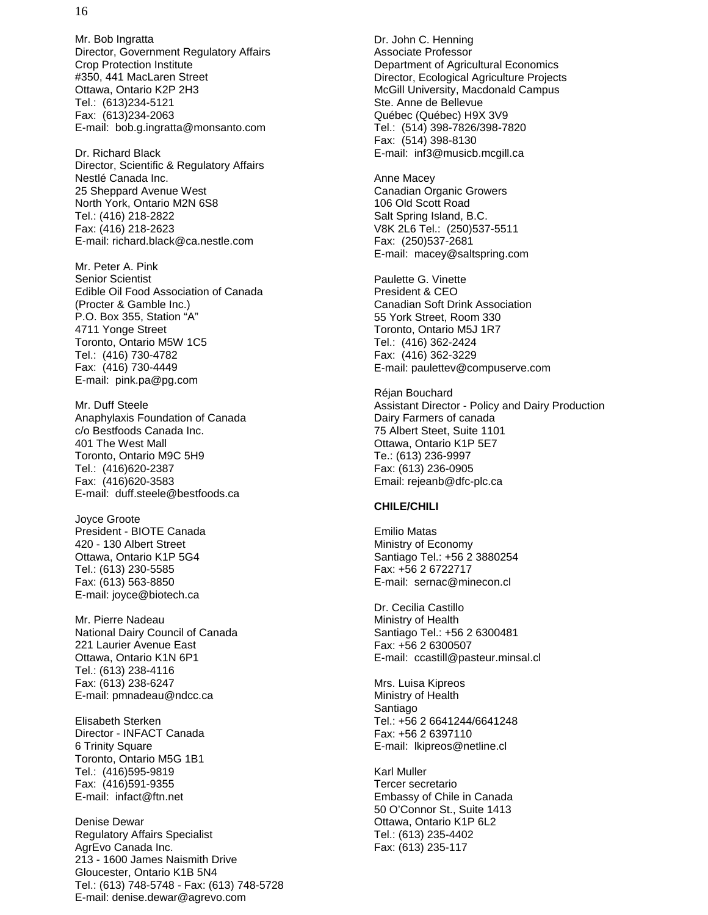Mr. Bob Ingratta Director, Government Regulatory Affairs Crop Protection Institute #350, 441 MacLaren Street Ottawa, Ontario K2P 2H3 Tel.: (613)234-5121 Fax: (613)234-2063 E-mail: bob.g.ingratta@monsanto.com

Dr. Richard Black Director, Scientific & Regulatory Affairs Nestlé Canada Inc. 25 Sheppard Avenue West North York, Ontario M2N 6S8 Tel.: (416) 218-2822 Fax: (416) 218-2623 E-mail: richard.black@ca.nestle.com

Mr. Peter A. Pink Senior Scientist Edible Oil Food Association of Canada (Procter & Gamble Inc.) P.O. Box 355, Station "A" 4711 Yonge Street Toronto, Ontario M5W 1C5 Tel.: (416) 730-4782 Fax: (416) 730-4449 E-mail: pink.pa@pg.com

Mr. Duff Steele Anaphylaxis Foundation of Canada c/o Bestfoods Canada Inc. 401 The West Mall Toronto, Ontario M9C 5H9 Tel.: (416)620-2387 Fax: (416)620-3583 E-mail: duff.steele@bestfoods.ca

Joyce Groote President - BIOTE Canada 420 - 130 Albert Street Ottawa, Ontario K1P 5G4 Tel.: (613) 230-5585 Fax: (613) 563-8850 E-mail: joyce@biotech.ca

Mr. Pierre Nadeau National Dairy Council of Canada 221 Laurier Avenue East Ottawa, Ontario K1N 6P1 Tel.: (613) 238-4116 Fax: (613) 238-6247 E-mail: pmnadeau@ndcc.ca

Elisabeth Sterken Director - INFACT Canada 6 Trinity Square Toronto, Ontario M5G 1B1 Tel.: (416)595-9819 Fax: (416)591-9355 E-mail: infact@ftn.net

Denise Dewar Regulatory Affairs Specialist AgrEvo Canada Inc. 213 - 1600 James Naismith Drive Gloucester, Ontario K1B 5N4 Tel.: (613) 748-5748 - Fax: (613) 748-5728 E-mail: denise.dewar@agrevo.com

Dr. John C. Henning Associate Professor Department of Agricultural Economics Director, Ecological Agriculture Projects McGill University, Macdonald Campus Ste. Anne de Bellevue Québec (Québec) H9X 3V9 Tel.: (514) 398-7826/398-7820 Fax: (514) 398-8130 E-mail: inf3@musicb.mcgill.ca

Anne Macey Canadian Organic Growers 106 Old Scott Road Salt Spring Island, B.C. V8K 2L6 Tel.: (250)537-5511 Fax: (250)537-2681 E-mail: macey@saltspring.com

Paulette G. Vinette President & CEO Canadian Soft Drink Association 55 York Street, Room 330 Toronto, Ontario M5J 1R7 Tel.: (416) 362-2424 Fax: (416) 362-3229 E-mail: paulettev@compuserve.com

Réjan Bouchard Assistant Director - Policy and Dairy Production Dairy Farmers of canada 75 Albert Steet, Suite 1101 Ottawa, Ontario K1P 5E7 Te.: (613) 236-9997 Fax: (613) 236-0905 Email: rejeanb@dfc-plc.ca

#### **CHILE/CHILI**

Emilio Matas Ministry of Economy Santiago Tel.: +56 2 3880254 Fax: +56 2 6722717 E-mail: sernac@minecon.cl

Dr. Cecilia Castillo Ministry of Health Santiago Tel.: +56 2 6300481 Fax: +56 2 6300507 E-mail: ccastill@pasteur.minsal.cl

Mrs. Luisa Kipreos Ministry of Health Santiago Tel.: +56 2 6641244/6641248 Fax: +56 2 6397110 E-mail: lkipreos@netline.cl

Karl Muller Tercer secretario Embassy of Chile in Canada 50 O'Connor St., Suite 1413 Ottawa, Ontario K1P 6L2 Tel.: (613) 235-4402 Fax: (613) 235-117

16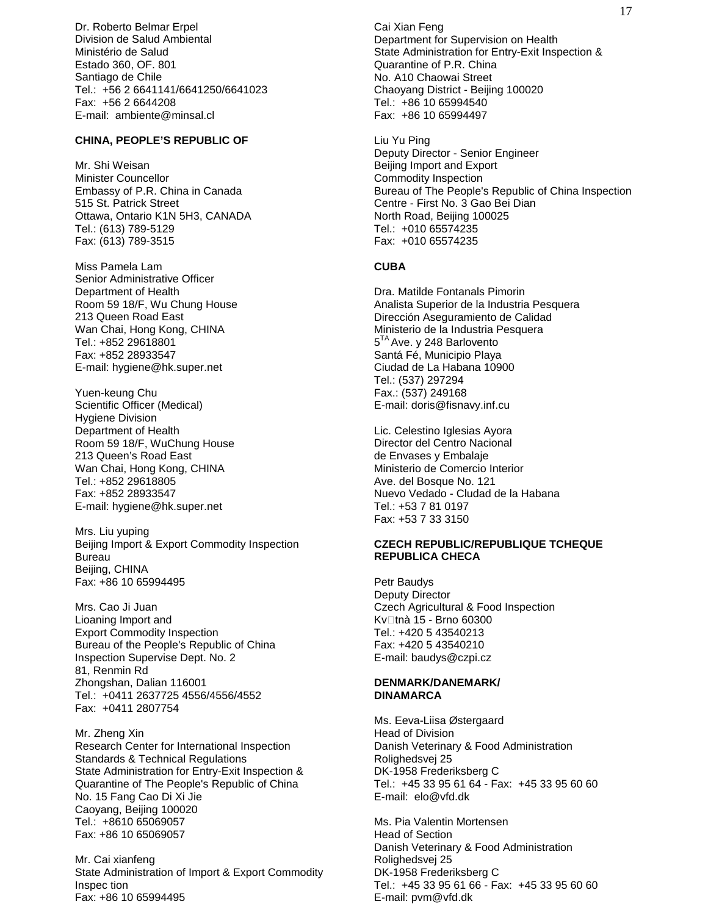Dr. Roberto Belmar Erpel Division de Salud Ambiental Ministério de Salud Estado 360, OF. 801 Santiago de Chile Tel.: +56 2 6641141/6641250/6641023 Fax: +56 2 6644208 E-mail: ambiente@minsal.cl

#### **CHINA, PEOPLE'S REPUBLIC OF**

Mr. Shi Weisan Minister Councellor Embassy of P.R. China in Canada 515 St. Patrick Street Ottawa, Ontario K1N 5H3, CANADA Tel.: (613) 789-5129 Fax: (613) 789-3515

Miss Pamela Lam Senior Administrative Officer Department of Health Room 59 18/F, Wu Chung House 213 Queen Road East Wan Chai, Hong Kong, CHINA Tel.: +852 29618801 Fax: +852 28933547 E-mail: hygiene@hk.super.net

Yuen-keung Chu Scientific Officer (Medical) Hygiene Division Department of Health Room 59 18/F, WuChung House 213 Queen's Road East Wan Chai, Hong Kong, CHINA Tel.: +852 29618805 Fax: +852 28933547 E-mail: hygiene@hk.super.net

Mrs. Liu yuping Beijing Import & Export Commodity Inspection Bureau Beijing, CHINA Fax: +86 10 65994495

Mrs. Cao Ji Juan Lioaning Import and Export Commodity Inspection Bureau of the People's Republic of China Inspection Supervise Dept. No. 2 81, Renmin Rd Zhongshan, Dalian 116001 Tel.: +0411 2637725 4556/4556/4552 Fax: +0411 2807754

Mr. Zheng Xin Research Center for International Inspection Standards & Technical Regulations State Administration for Entry-Exit Inspection & Quarantine of The People's Republic of China No. 15 Fang Cao Di Xi Jie Caoyang, Beijing 100020 Tel.: +8610 65069057 Fax: +86 10 65069057

Mr. Cai xianfeng State Administration of Import & Export Commodity Inspec tion Fax: +86 10 65994495

Cai Xian Feng Department for Supervision on Health State Administration for Entry-Exit Inspection & Quarantine of P.R. China No. A10 Chaowai Street Chaoyang District - Beijing 100020 Tel.: +86 10 65994540 Fax: +86 10 65994497

Liu Yu Ping Deputy Director - Senior Engineer Beijing Import and Export Commodity Inspection Bureau of The People's Republic of China Inspection Centre - First No. 3 Gao Bei Dian North Road, Beijing 100025 Tel.: +010 65574235 Fax: +010 65574235

#### **CUBA**

Dra. Matilde Fontanals Pimorin Analista Superior de la Industria Pesquera Dirección Aseguramiento de Calidad Ministerio de la Industria Pesquera 5<sup>TA</sup> Ave. y 248 Barlovento Santá Fé, Municipio Playa Ciudad de La Habana 10900 Tel.: (537) 297294 Fax.: (537) 249168 E-mail: doris@fisnavy.inf.cu

Lic. Celestino Iglesias Ayora Director del Centro Nacional de Envases y Embalaje Ministerio de Comercio Interior Ave. del Bosque No. 121 Nuevo Vedado - Cludad de la Habana Tel.: +53 7 81 0197 Fax: +53 7 33 3150

#### **CZECH REPUBLIC/REPUBLIQUE TCHEQUE REPUBLICA CHECA**

Petr Baudys Deputy Director Czech Agricultural & Food Inspection Kv tnà 15 - Brno 60300  $Tel: +420.543540213$ Fax: +420 5 43540210 E-mail: baudys@czpi.cz

#### **DENMARK/DANEMARK/ DINAMARCA**

Ms. Eeva-Liisa Østergaard Head of Division Danish Veterinary & Food Administration Rolighedsvej 25 DK-1958 Frederiksberg C Tel.: +45 33 95 61 64 - Fax: +45 33 95 60 60 E-mail: elo@vfd.dk

Ms. Pia Valentin Mortensen Head of Section Danish Veterinary & Food Administration Rolighedsvej 25 DK-1958 Frederiksberg C Tel.: +45 33 95 61 66 - Fax: +45 33 95 60 60 E-mail: pvm@vfd.dk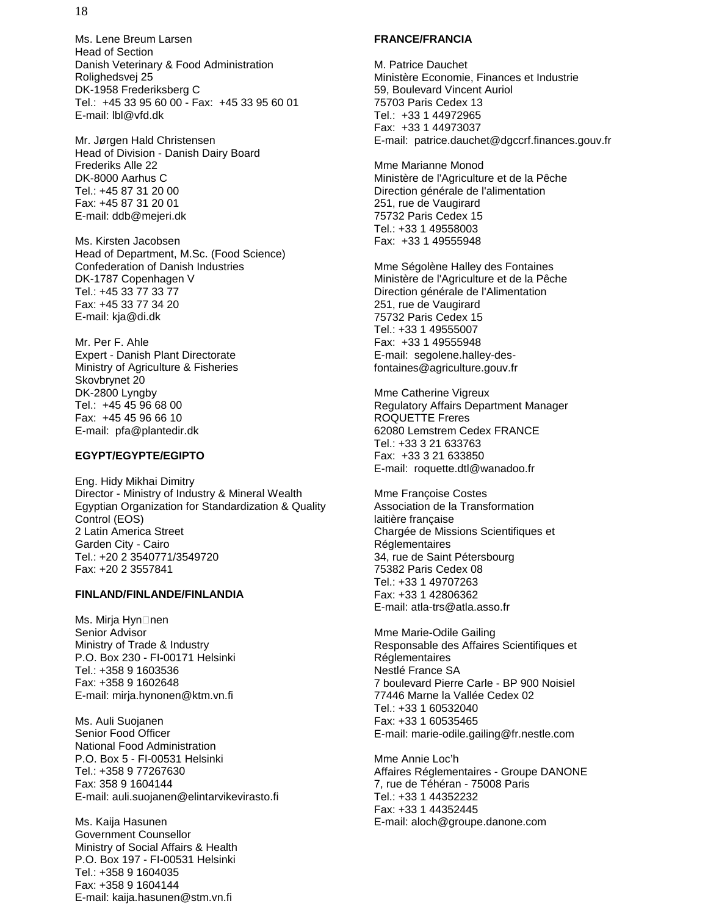Ms. Lene Breum Larsen Head of Section Danish Veterinary & Food Administration Rolighedsvej 25 DK-1958 Frederiksberg C Tel.: +45 33 95 60 00 - Fax: +45 33 95 60 01 E-mail: lbl@vfd.dk

Mr. Jørgen Hald Christensen Head of Division - Danish Dairy Board Frederiks Alle 22 DK-8000 Aarhus C Tel.: +45 87 31 20 00 Fax: +45 87 31 20 01 E-mail: ddb@mejeri.dk

Ms. Kirsten Jacobsen Head of Department, M.Sc. (Food Science) Confederation of Danish Industries DK-1787 Copenhagen V Tel.: +45 33 77 33 77 Fax: +45 33 77 34 20 E-mail: kja@di.dk

Mr. Per F. Ahle Expert - Danish Plant Directorate Ministry of Agriculture & Fisheries Skovbrynet 20 DK-2800 Lyngby Tel.: +45 45 96 68 00 Fax: +45 45 96 66 10 E-mail: pfa@plantedir.dk

#### **EGYPT/EGYPTE/EGIPTO**

Eng. Hidy Mikhai Dimitry Director - Ministry of Industry & Mineral Wealth Egyptian Organization for Standardization & Quality Control (EOS) 2 Latin America Street Garden City - Cairo Tel.: +20 2 3540771/3549720 Fax: +20 2 3557841

#### **FINLAND/FINLANDE/FINLANDIA**

Ms. Mirja Hyn nen Senior Advisor Ministry of Trade & Industry P.O. Box 230 - FI-00171 Helsinki Tel.: +358 9 1603536 Fax: +358 9 1602648 E-mail: mirja.hynonen@ktm.vn.fi

Ms. Auli Suojanen Senior Food Officer National Food Administration P.O. Box 5 - FI-00531 Helsinki Tel.: +358 9 77267630 Fax: 358 9 1604144 E-mail: auli.suojanen@elintarvikevirasto.fi

Ms. Kaija Hasunen Government Counsellor Ministry of Social Affairs & Health P.O. Box 197 - FI-00531 Helsinki Tel.: +358 9 1604035 Fax: +358 9 1604144 E-mail: kaija.hasunen@stm.vn.fi

#### **FRANCE/FRANCIA**

M. Patrice Dauchet Ministère Economie, Finances et Industrie 59, Boulevard Vincent Auriol 75703 Paris Cedex 13 Tel.: +33 1 44972965 Fax: +33 1 44973037 E-mail: patrice.dauchet@dgccrf.finances.gouv.fr

Mme Marianne Monod Ministère de l'Agriculture et de la Pêche Direction générale de l'alimentation 251, rue de Vaugirard 75732 Paris Cedex 15 Tel.: +33 1 49558003 Fax: +33 1 49555948

Mme Ségolène Halley des Fontaines Ministère de l'Agriculture et de la Pêche Direction générale de l'Alimentation 251, rue de Vaugirard 75732 Paris Cedex 15 Tel.: +33 1 49555007 Fax: +33 1 49555948 E-mail: segolene.halley-desfontaines@agriculture.gouv.fr

Mme Catherine Vigreux Regulatory Affairs Department Manager ROQUETTE Freres 62080 Lemstrem Cedex FRANCE Tel.: +33 3 21 633763 Fax: +33 3 21 633850 E-mail: roquette.dtl@wanadoo.fr

Mme Françoise Costes Association de la Transformation laitière française Chargée de Missions Scientifiques et Réglementaires 34, rue de Saint Pétersbourg 75382 Paris Cedex 08 Tel.: +33 1 49707263 Fax: +33 1 42806362 E-mail: atla-trs@atla.asso.fr

Mme Marie-Odile Gailing Responsable des Affaires Scientifiques et Réglementaires Nestlé France SA 7 boulevard Pierre Carle - BP 900 Noisiel 77446 Marne la Vallée Cedex 02 Tel.: +33 1 60532040 Fax: +33 1 60535465 E-mail: marie-odile.gailing@fr.nestle.com

Mme Annie Loc'h Affaires Réglementaires - Groupe DANONE 7, rue de Téhéran - 75008 Paris Tel.: +33 1 44352232 Fax: +33 1 44352445 E-mail: aloch@groupe.danone.com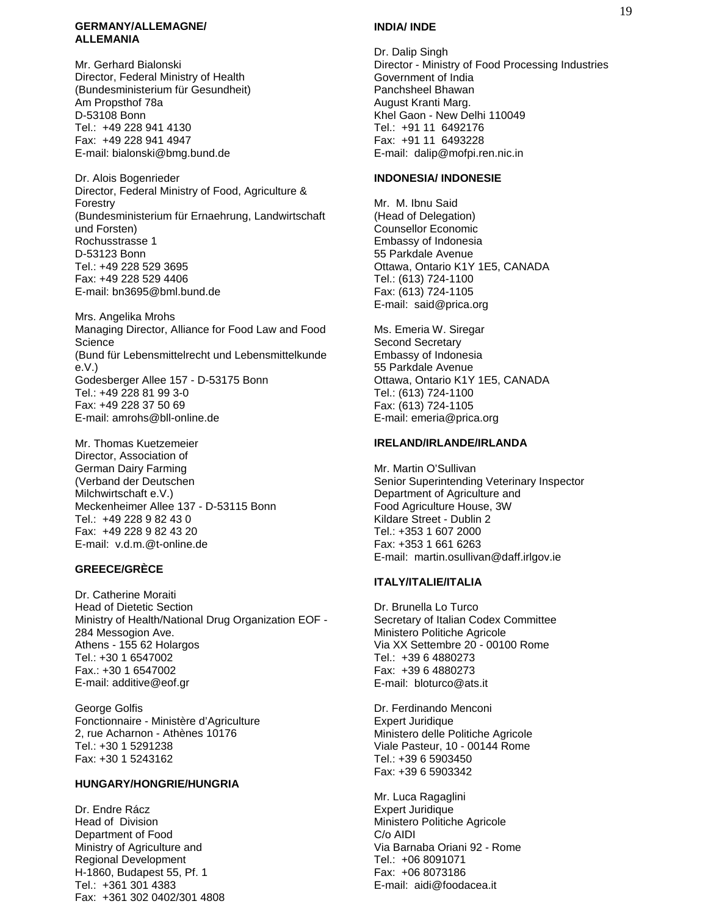#### **GERMANY/ALLEMAGNE/ ALLEMANIA**

Mr. Gerhard Bialonski Director, Federal Ministry of Health (Bundesministerium für Gesundheit) Am Propsthof 78a D-53108 Bonn Tel.: +49 228 941 4130 Fax: +49 228 941 4947 E-mail: bialonski@bmg.bund.de

Dr. Alois Bogenrieder Director, Federal Ministry of Food, Agriculture & Forestry (Bundesministerium für Ernaehrung, Landwirtschaft und Forsten) Rochusstrasse 1 D-53123 Bonn Tel.: +49 228 529 3695 Fax: +49 228 529 4406 E-mail: bn3695@bml.bund.de

Mrs. Angelika Mrohs Managing Director, Alliance for Food Law and Food Science (Bund für Lebensmittelrecht und Lebensmittelkunde e.V.) Godesberger Allee 157 - D-53175 Bonn Tel.: +49 228 81 99 3-0 Fax: +49 228 37 50 69 E-mail: amrohs@bll-online.de

Mr. Thomas Kuetzemeier Director, Association of German Dairy Farming (Verband der Deutschen Milchwirtschaft e.V.) Meckenheimer Allee 137 - D-53115 Bonn Tel.: +49 228 9 82 43 0 Fax: +49 228 9 82 43 20 E-mail: v.d.m.@t-online.de

#### **GREECE/GRÈCE**

Dr. Catherine Moraiti Head of Dietetic Section Ministry of Health/National Drug Organization EOF - 284 Messogion Ave. Athens - 155 62 Holargos Tel.: +30 1 6547002 Fax.: +30 1 6547002 E-mail: additive@eof.gr

George Golfis Fonctionnaire - Ministère d'Agriculture 2, rue Acharnon - Athènes 10176 Tel.: +30 1 5291238 Fax: +30 1 5243162

#### **HUNGARY/HONGRIE/HUNGRIA**

Dr. Endre Rácz Head of Division Department of Food Ministry of Agriculture and Regional Development H-1860, Budapest 55, Pf. 1 Tel.: +361 301 4383 Fax: +361 302 0402/301 4808

#### **INDIA/ INDE**

Dr. Dalip Singh Director - Ministry of Food Processing Industries Government of India Panchsheel Bhawan August Kranti Marg. Khel Gaon - New Delhi 110049 Tel.: +91 11 6492176 Fax: +91 11 6493228 E-mail: dalip@mofpi.ren.nic.in

#### **INDONESIA/ INDONESIE**

Mr. M. Ibnu Said (Head of Delegation) Counsellor Economic Embassy of Indonesia 55 Parkdale Avenue Ottawa, Ontario K1Y 1E5, CANADA Tel.: (613) 724-1100 Fax: (613) 724-1105 E-mail: said@prica.org

Ms. Emeria W. Siregar Second Secretary Embassy of Indonesia 55 Parkdale Avenue Ottawa, Ontario K1Y 1E5, CANADA Tel.: (613) 724-1100 Fax: (613) 724-1105 E-mail: emeria@prica.org

#### **IRELAND/IRLANDE/IRLANDA**

Mr. Martin O'Sullivan Senior Superintending Veterinary Inspector Department of Agriculture and Food Agriculture House, 3W Kildare Street - Dublin 2 Tel.: +353 1 607 2000 Fax: +353 1 661 6263 E-mail: martin.osullivan@daff.irlgov.ie

#### **ITALY/ITALIE/ITALIA**

Dr. Brunella Lo Turco Secretary of Italian Codex Committee Ministero Politiche Agricole Via XX Settembre 20 - 00100 Rome Tel.: +39 6 4880273 Fax: +39 6 4880273 E-mail: bloturco@ats.it

Dr. Ferdinando Menconi Expert Juridique Ministero delle Politiche Agricole Viale Pasteur, 10 - 00144 Rome Tel.: +39 6 5903450 Fax: +39 6 5903342

Mr. Luca Ragaglini Expert Juridique Ministero Politiche Agricole C/o AIDI Via Barnaba Oriani 92 - Rome Tel.: +06 8091071 Fax: +06 8073186 E-mail: aidi@foodacea.it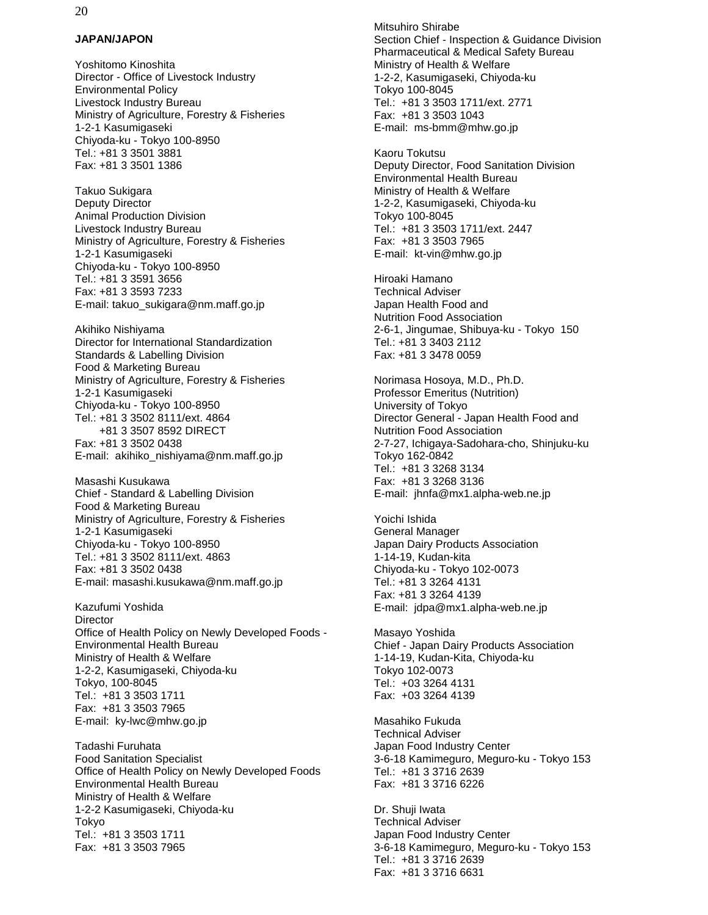#### **JAPAN/JAPON**

Yoshitomo Kinoshita Director - Office of Livestock Industry Environmental Policy Livestock Industry Bureau Ministry of Agriculture, Forestry & Fisheries 1-2-1 Kasumigaseki Chiyoda-ku - Tokyo 100-8950 Tel.: +81 3 3501 3881 Fax: +81 3 3501 1386

Takuo Sukigara Deputy Director Animal Production Division Livestock Industry Bureau Ministry of Agriculture, Forestry & Fisheries 1-2-1 Kasumigaseki Chiyoda-ku - Tokyo 100-8950 Tel.: +81 3 3591 3656 Fax: +81 3 3593 7233 E-mail: takuo\_sukigara@nm.maff.go.jp

Akihiko Nishiyama Director for International Standardization Standards & Labelling Division Food & Marketing Bureau Ministry of Agriculture, Forestry & Fisheries 1-2-1 Kasumigaseki Chiyoda-ku - Tokyo 100-8950 Tel.: +81 3 3502 8111/ext. 4864 +81 3 3507 8592 DIRECT Fax: +81 3 3502 0438 E-mail: akihiko\_nishiyama@nm.maff.go.jp

Masashi Kusukawa Chief - Standard & Labelling Division Food & Marketing Bureau Ministry of Agriculture, Forestry & Fisheries 1-2-1 Kasumigaseki Chiyoda-ku - Tokyo 100-8950 Tel.: +81 3 3502 8111/ext. 4863 Fax: +81 3 3502 0438 E-mail: masashi.kusukawa@nm.maff.go.jp

Kazufumi Yoshida **Director** Office of Health Policy on Newly Developed Foods - Environmental Health Bureau Ministry of Health & Welfare 1-2-2, Kasumigaseki, Chiyoda-ku Tokyo, 100-8045 Tel.: +81 3 3503 1711 Fax: +81 3 3503 7965 E-mail: ky-lwc@mhw.go.jp

Tadashi Furuhata Food Sanitation Specialist Office of Health Policy on Newly Developed Foods Environmental Health Bureau Ministry of Health & Welfare 1-2-2 Kasumigaseki, Chiyoda-ku Tokyo Tel.: +81 3 3503 1711 Fax: +81 3 3503 7965

Mitsuhiro Shirabe Section Chief - Inspection & Guidance Division Pharmaceutical & Medical Safety Bureau Ministry of Health & Welfare 1-2-2, Kasumigaseki, Chiyoda-ku Tokyo 100-8045 Tel.: +81 3 3503 1711/ext. 2771 Fax: +81 3 3503 1043 E-mail: ms-bmm@mhw.go.jp

Kaoru Tokutsu Deputy Director, Food Sanitation Division Environmental Health Bureau Ministry of Health & Welfare 1-2-2, Kasumigaseki, Chiyoda-ku Tokyo 100-8045 Tel.: +81 3 3503 1711/ext. 2447 Fax: +81 3 3503 7965 E-mail: kt-vin@mhw.go.jp

Hiroaki Hamano Technical Adviser Japan Health Food and Nutrition Food Association 2-6-1, Jingumae, Shibuya-ku - Tokyo 150 Tel.: +81 3 3403 2112 Fax: +81 3 3478 0059

Norimasa Hosoya, M.D., Ph.D. Professor Emeritus (Nutrition) University of Tokyo Director General - Japan Health Food and Nutrition Food Association 2-7-27, Ichigaya-Sadohara-cho, Shinjuku-ku Tokyo 162-0842 Tel.: +81 3 3268 3134 Fax: +81 3 3268 3136 E-mail: jhnfa@mx1.alpha-web.ne.jp

Yoichi Ishida General Manager Japan Dairy Products Association 1-14-19, Kudan-kita Chiyoda-ku - Tokyo 102-0073 Tel.: +81 3 3264 4131 Fax: +81 3 3264 4139 E-mail: jdpa@mx1.alpha-web.ne.jp

Masayo Yoshida Chief - Japan Dairy Products Association 1-14-19, Kudan-Kita, Chiyoda-ku Tokyo 102-0073 Tel.: +03 3264 4131 Fax: +03 3264 4139

Masahiko Fukuda Technical Adviser Japan Food Industry Center 3-6-18 Kamimeguro, Meguro-ku - Tokyo 153 Tel.: +81 3 3716 2639 Fax: +81 3 3716 6226

Dr. Shuji Iwata Technical Adviser Japan Food Industry Center 3-6-18 Kamimeguro, Meguro-ku - Tokyo 153 Tel.: +81 3 3716 2639 Fax: +81 3 3716 6631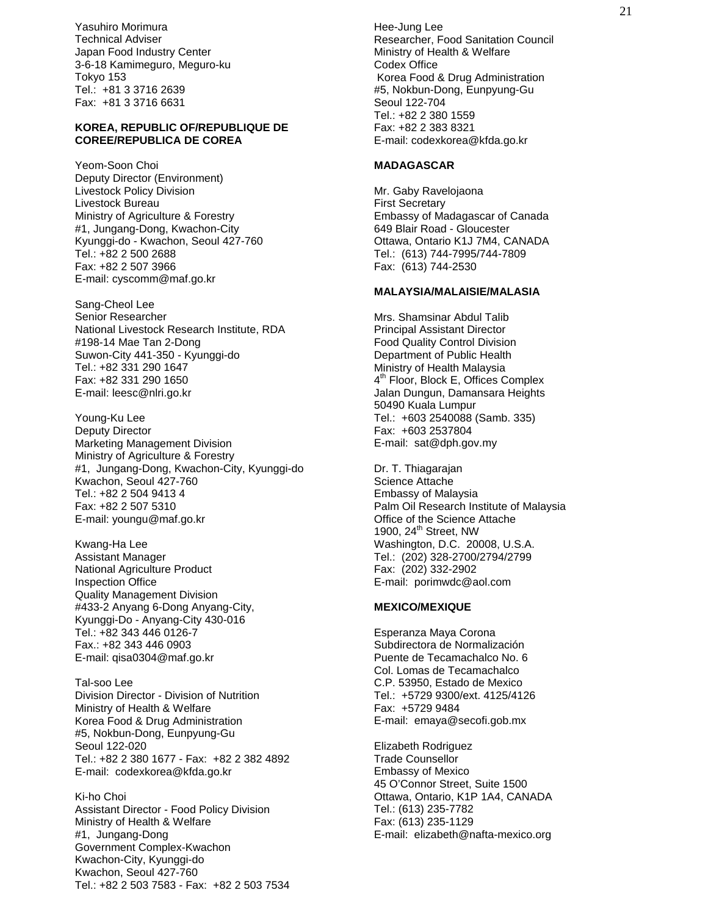Yasuhiro Morimura Technical Adviser Japan Food Industry Center 3-6-18 Kamimeguro, Meguro-ku Tokyo 153 Tel.: +81 3 3716 2639 Fax: +81 3 3716 6631

#### **KOREA, REPUBLIC OF/REPUBLIQUE DE COREE/REPUBLICA DE COREA**

Yeom-Soon Choi Deputy Director (Environment) Livestock Policy Division Livestock Bureau Ministry of Agriculture & Forestry #1, Jungang-Dong, Kwachon-City Kyunggi-do - Kwachon, Seoul 427-760 Tel.: +82 2 500 2688 Fax: +82 2 507 3966 E-mail: cyscomm@maf.go.kr

Sang-Cheol Lee Senior Researcher National Livestock Research Institute, RDA #198-14 Mae Tan 2-Dong Suwon-City 441-350 - Kyunggi-do Tel.: +82 331 290 1647 Fax: +82 331 290 1650 E-mail: leesc@nlri.go.kr

Young-Ku Lee Deputy Director Marketing Management Division Ministry of Agriculture & Forestry #1, Jungang-Dong, Kwachon-City, Kyunggi-do Kwachon, Seoul 427-760 Tel.: +82 2 504 9413 4 Fax: +82 2 507 5310 E-mail: youngu@maf.go.kr

Kwang-Ha Lee Assistant Manager National Agriculture Product Inspection Office Quality Management Division #433-2 Anyang 6-Dong Anyang-City, Kyunggi-Do - Anyang-City 430-016  $Tel: +82 343 446 0126-7$ Fax.: +82 343 446 0903 E-mail: qisa0304@maf.go.kr

Tal-soo Lee Division Director - Division of Nutrition Ministry of Health & Welfare Korea Food & Drug Administration #5, Nokbun-Dong, Eunpyung-Gu Seoul 122-020 Tel.: +82 2 380 1677 - Fax: +82 2 382 4892 E-mail: codexkorea@kfda.go.kr

Ki-ho Choi Assistant Director - Food Policy Division Ministry of Health & Welfare #1, Jungang-Dong Government Complex-Kwachon Kwachon-City, Kyunggi-do Kwachon, Seoul 427-760 Tel.: +82 2 503 7583 - Fax: +82 2 503 7534

Hee-Jung Lee Researcher, Food Sanitation Council Ministry of Health & Welfare Codex Office Korea Food & Drug Administration #5, Nokbun-Dong, Eunpyung-Gu Seoul 122-704 Tel.: +82 2 380 1559 Fax: +82 2 383 8321 E-mail: codexkorea@kfda.go.kr

#### **MADAGASCAR**

Mr. Gaby Ravelojaona First Secretary Embassy of Madagascar of Canada 649 Blair Road - Gloucester Ottawa, Ontario K1J 7M4, CANADA Tel.: (613) 744-7995/744-7809 Fax: (613) 744-2530

#### **MALAYSIA/MALAISIE/MALASIA**

Mrs. Shamsinar Abdul Talib Principal Assistant Director Food Quality Control Division Department of Public Health Ministry of Health Malaysia 4<sup>th</sup> Floor, Block E, Offices Complex Jalan Dungun, Damansara Heights 50490 Kuala Lumpur Tel.: +603 2540088 (Samb. 335) Fax: +603 2537804 E-mail: sat@dph.gov.my

Dr. T. Thiagarajan Science Attache Embassy of Malaysia Palm Oil Research Institute of Malaysia Office of the Science Attache 1900,  $24<sup>th</sup>$  Street, NW Washington, D.C. 20008, U.S.A. Tel.: (202) 328-2700/2794/2799 Fax: (202) 332-2902 E-mail: porimwdc@aol.com

#### **MEXICO/MEXIQUE**

Esperanza Maya Corona Subdirectora de Normalización Puente de Tecamachalco No. 6 Col. Lomas de Tecamachalco C.P. 53950, Estado de Mexico Tel.: +5729 9300/ext. 4125/4126 Fax: +5729 9484 E-mail: emaya@secofi.gob.mx

Elizabeth Rodriguez Trade Counsellor Embassy of Mexico 45 O'Connor Street, Suite 1500 Ottawa, Ontario, K1P 1A4, CANADA Tel.: (613) 235-7782 Fax: (613) 235-1129 E-mail: elizabeth@nafta-mexico.org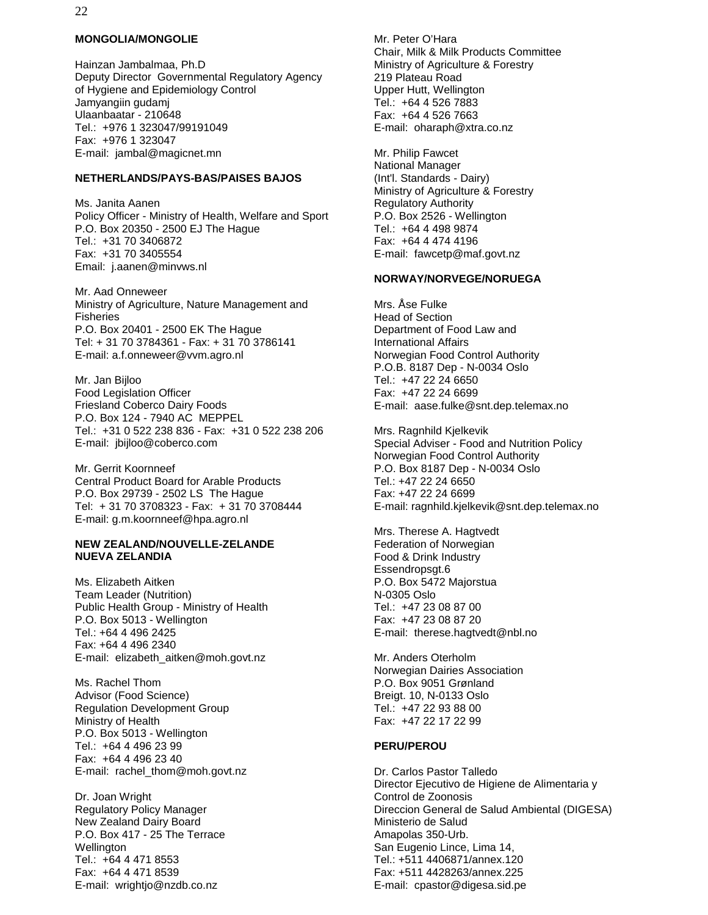#### **MONGOLIA/MONGOLIE**

Hainzan Jambalmaa, Ph.D Deputy Director Governmental Regulatory Agency of Hygiene and Epidemiology Control Jamyangiin gudamj Ulaanbaatar - 210648 Tel.: +976 1 323047/99191049 Fax: +976 1 323047 E-mail: jambal@magicnet.mn

#### **NETHERLANDS/PAYS-BAS/PAISES BAJOS**

Ms. Janita Aanen Policy Officer - Ministry of Health, Welfare and Sport P.O. Box 20350 - 2500 EJ The Hague Tel.: +31 70 3406872 Fax: +31 70 3405554 Email: j.aanen@minvws.nl

Mr. Aad Onneweer Ministry of Agriculture, Nature Management and Fisheries P.O. Box 20401 - 2500 EK The Hague Tel: + 31 70 3784361 - Fax: + 31 70 3786141 E-mail: a.f.onneweer@vvm.agro.nl

Mr. Jan Bijloo Food Legislation Officer Friesland Coberco Dairy Foods P.O. Box 124 - 7940 AC MEPPEL Tel.: +31 0 522 238 836 - Fax: +31 0 522 238 206 E-mail: jbijloo@coberco.com

Mr. Gerrit Koornneef Central Product Board for Arable Products P.O. Box 29739 - 2502 LS The Hague Tel: + 31 70 3708323 - Fax: + 31 70 3708444 E-mail: g.m.koornneef@hpa.agro.nl

#### **NEW ZEALAND/NOUVELLE-ZELANDE NUEVA ZELANDIA**

Ms. Elizabeth Aitken Team Leader (Nutrition) Public Health Group - Ministry of Health P.O. Box 5013 - Wellington  $Tel: +64 4 496 2425$ Fax: +64 4 496 2340 E-mail: elizabeth\_aitken@moh.govt.nz

Ms. Rachel Thom Advisor (Food Science) Regulation Development Group Ministry of Health P.O. Box 5013 - Wellington Tel.: +64 4 496 23 99 Fax: +64 4 496 23 40 E-mail: rachel\_thom@moh.govt.nz

Dr. Joan Wright Regulatory Policy Manager New Zealand Dairy Board P.O. Box 417 - 25 The Terrace Wellington Tel.: +64 4 471 8553 Fax: +64 4 471 8539 E-mail: wrightjo@nzdb.co.nz

Mr. Peter O'Hara Chair, Milk & Milk Products Committee Ministry of Agriculture & Forestry 219 Plateau Road Upper Hutt, Wellington Tel.: +64 4 526 7883 Fax: +64 4 526 7663 E-mail: oharaph@xtra.co.nz

Mr. Philip Fawcet National Manager (Int'l. Standards - Dairy) Ministry of Agriculture & Forestry Regulatory Authority P.O. Box 2526 - Wellington Tel.: +64 4 498 9874 Fax: +64 4 474 4196 E-mail: fawcetp@maf.govt.nz

#### **NORWAY/NORVEGE/NORUEGA**

Mrs. Åse Fulke Head of Section Department of Food Law and International Affairs Norwegian Food Control Authority P.O.B. 8187 Dep - N-0034 Oslo Tel.: +47 22 24 6650 Fax: +47 22 24 6699 E-mail: aase.fulke@snt.dep.telemax.no

Mrs. Ragnhild Kjelkevik Special Adviser - Food and Nutrition Policy Norwegian Food Control Authority P.O. Box 8187 Dep - N-0034 Oslo Tel.: +47 22 24 6650 Fax: +47 22 24 6699 E-mail: ragnhild.kjelkevik@snt.dep.telemax.no

Mrs. Therese A. Hagtvedt Federation of Norwegian Food & Drink Industry Essendropsgt.6 P.O. Box 5472 Majorstua N-0305 Oslo Tel.: +47 23 08 87 00 Fax: +47 23 08 87 20 E-mail: therese.hagtvedt@nbl.no

Mr. Anders Oterholm Norwegian Dairies Association P.O. Box 9051 Grønland Breigt. 10, N-0133 Oslo Tel.: +47 22 93 88 00 Fax: +47 22 17 22 99

#### **PERU/PEROU**

Dr. Carlos Pastor Talledo Director Ejecutivo de Higiene de Alimentaria y Control de Zoonosis Direccion General de Salud Ambiental (DIGESA) Ministerio de Salud Amapolas 350-Urb. San Eugenio Lince, Lima 14, Tel.: +511 4406871/annex.120 Fax: +511 4428263/annex.225 E-mail: cpastor@digesa.sid.pe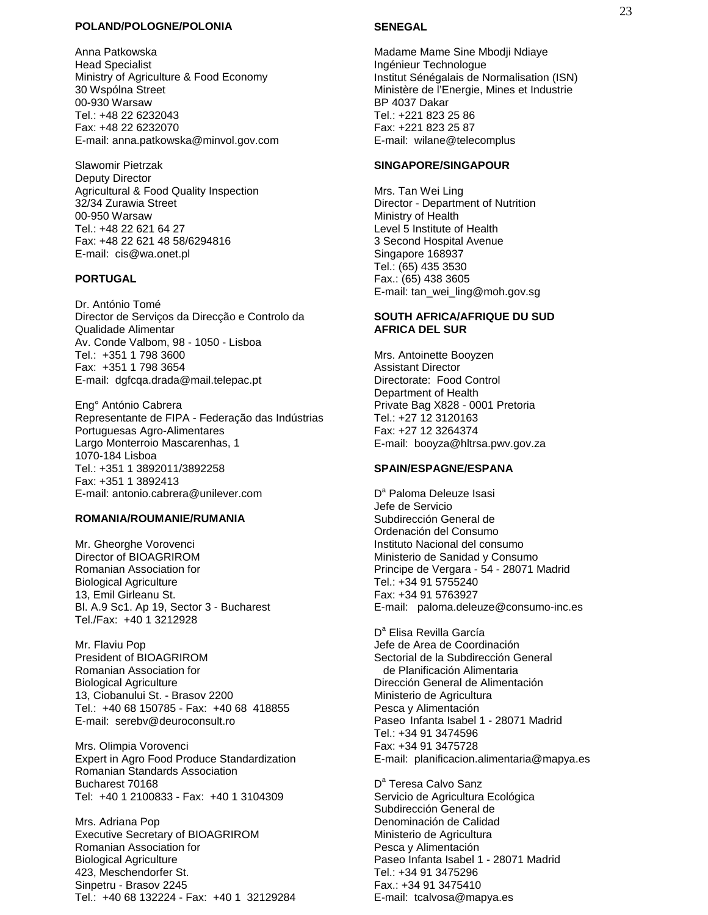#### **POLAND/POLOGNE/POLONIA**

Anna Patkowska Head Specialist Ministry of Agriculture & Food Economy 30 Wspólna Street 00-930 Warsaw Tel.: +48 22 6232043 Fax: +48 22 6232070 E-mail: anna.patkowska@minvol.gov.com

Slawomir Pietrzak Deputy Director Agricultural & Food Quality Inspection 32/34 Zurawia Street 00-950 Warsaw Tel.: +48 22 621 64 27 Fax: +48 22 621 48 58/6294816 E-mail: cis@wa.onet.pl

#### **PORTUGAL**

Dr. António Tomé Director de Serviços da Direcção e Controlo da Qualidade Alimentar Av. Conde Valbom, 98 - 1050 - Lisboa Tel.: +351 1 798 3600 Fax: +351 1 798 3654 E-mail: dgfcqa.drada@mail.telepac.pt

Eng° António Cabrera Representante de FIPA - Federação das Indústrias Portuguesas Agro-Alimentares Largo Monterroio Mascarenhas, 1 1070-184 Lisboa Tel.: +351 1 3892011/3892258 Fax: +351 1 3892413 E-mail: antonio.cabrera@unilever.com

#### **ROMANIA/ROUMANIE/RUMANIA**

Mr. Gheorghe Vorovenci Director of BIOAGRIROM Romanian Association for Biological Agriculture 13, Emil Girleanu St. Bl. A.9 Sc1. Ap 19, Sector 3 - Bucharest Tel./Fax: +40 1 3212928

Mr. Flaviu Pop President of BIOAGRIROM Romanian Association for Biological Agriculture 13, Ciobanului St. - Brasov 2200 Tel.: +40 68 150785 - Fax: +40 68 418855 E-mail: serebv@deuroconsult.ro

Mrs. Olimpia Vorovenci Expert in Agro Food Produce Standardization Romanian Standards Association Bucharest 70168 Tel: +40 1 2100833 - Fax: +40 1 3104309

Mrs. Adriana Pop Executive Secretary of BIOAGRIROM Romanian Association for Biological Agriculture 423, Meschendorfer St. Sinpetru - Brasov 2245 Tel.: +40 68 132224 - Fax: +40 1 32129284

#### **SENEGAL**

Madame Mame Sine Mbodji Ndiaye Ingénieur Technologue Institut Sénégalais de Normalisation (ISN) Ministère de l'Energie, Mines et Industrie BP 4037 Dakar Tel.: +221 823 25 86 Fax: +221 823 25 87 E-mail: wilane@telecomplus

#### **SINGAPORE/SINGAPOUR**

Mrs. Tan Wei Ling Director - Department of Nutrition Ministry of Health Level 5 Institute of Health 3 Second Hospital Avenue Singapore 168937 Tel.: (65) 435 3530 Fax.: (65) 438 3605 E-mail: tan\_wei\_ling@moh.gov.sg

#### **SOUTH AFRICA/AFRIQUE DU SUD AFRICA DEL SUR**

Mrs. Antoinette Booyzen Assistant Director Directorate: Food Control Department of Health Private Bag X828 - 0001 Pretoria Tel.: +27 12 3120163 Fax: +27 12 3264374 E-mail: booyza@hltrsa.pwv.gov.za

#### **SPAIN/ESPAGNE/ESPANA**

D<sup>a</sup> Paloma Deleuze Isasi Jefe de Servicio Subdirección General de Ordenación del Consumo Instituto Nacional del consumo Ministerio de Sanidad y Consumo Principe de Vergara - 54 - 28071 Madrid Tel.: +34 91 5755240 Fax: +34 91 5763927 E-mail: paloma.deleuze@consumo-inc.es

D<sup>a</sup> Elisa Revilla García Jefe de Area de Coordinación Sectorial de la Subdirección General de Planificación Alimentaria Dirección General de Alimentación Ministerio de Agricultura Pesca y Alimentación Paseo Infanta Isabel 1 - 28071 Madrid Tel.: +34 91 3474596 Fax: +34 91 3475728 E-mail: planificacion.alimentaria@mapya.es

D<sup>a</sup> Teresa Calvo Sanz Servicio de Agricultura Ecológica Subdirección General de Denominación de Calidad Ministerio de Agricultura Pesca y Alimentación Paseo Infanta Isabel 1 - 28071 Madrid Tel.: +34 91 3475296 Fax.: +34 91 3475410 E-mail: tcalvosa@mapya.es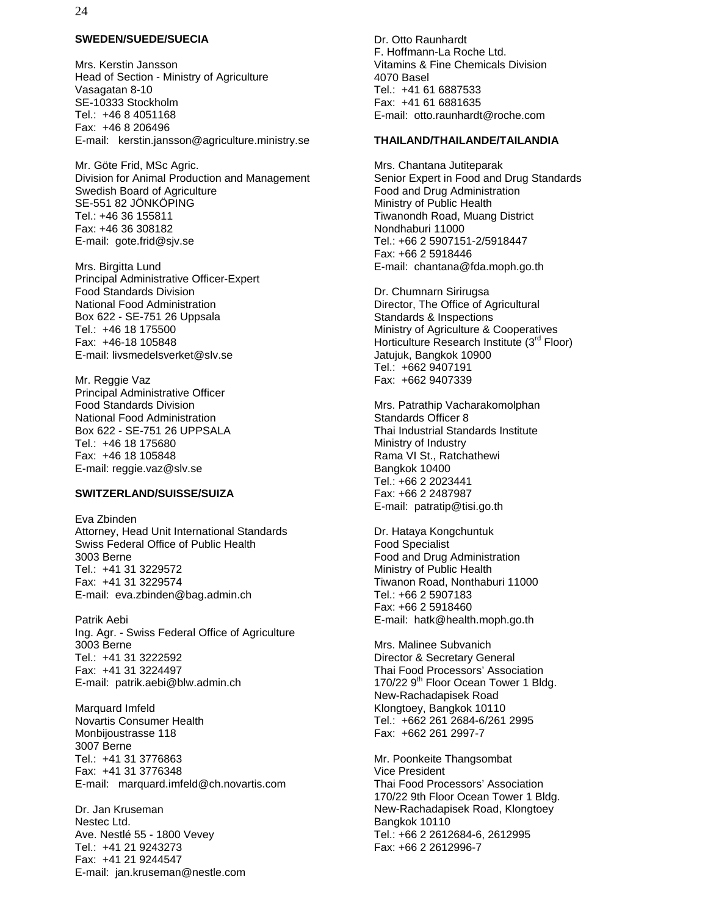#### **SWEDEN/SUEDE/SUECIA**

Mrs. Kerstin Jansson Head of Section - Ministry of Agriculture Vasagatan 8-10 SE-10333 Stockholm Tel.: +46 8 4051168 Fax: +46 8 206496 E-mail: kerstin.jansson@agriculture.ministry.se

Mr. Göte Frid, MSc Agric. Division for Animal Production and Management Swedish Board of Agriculture SE-551 82 JÖNKÖPING Tel.: +46 36 155811 Fax: +46 36 308182 E-mail: gote.frid@sjv.se

Mrs. Birgitta Lund Principal Administrative Officer-Expert Food Standards Division National Food Administration Box 622 - SE-751 26 Uppsala Tel.: +46 18 175500 Fax: +46-18 105848 E-mail: livsmedelsverket@slv.se

Mr. Reggie Vaz Principal Administrative Officer Food Standards Division National Food Administration Box 622 - SE-751 26 UPPSALA Tel.: +46 18 175680 Fax: +46 18 105848 E-mail: reggie.vaz@slv.se

#### **SWITZERLAND/SUISSE/SUIZA**

Eva Zbinden Attorney, Head Unit International Standards Swiss Federal Office of Public Health 3003 Berne Tel.: +41 31 3229572 Fax: +41 31 3229574 E-mail: eva.zbinden@bag.admin.ch

Patrik Aebi Ing. Agr. - Swiss Federal Office of Agriculture 3003 Berne Tel.: +41 31 3222592 Fax: +41 31 3224497 E-mail: patrik.aebi@blw.admin.ch

Marquard Imfeld Novartis Consumer Health Monbijoustrasse 118 3007 Berne Tel.: +41 31 3776863 Fax: +41 31 3776348 E-mail: marquard.imfeld@ch.novartis.com

Dr. Jan Kruseman Nestec Ltd. Ave. Nestlé 55 - 1800 Vevey Tel.: +41 21 9243273 Fax: +41 21 9244547 E-mail: jan.kruseman@nestle.com Dr. Otto Raunhardt F. Hoffmann-La Roche Ltd. Vitamins & Fine Chemicals Division 4070 Basel Tel.: +41 61 6887533 Fax: +41 61 6881635 E-mail: otto.raunhardt@roche.com

#### **THAILAND/THAILANDE/TAILANDIA**

Mrs. Chantana Jutiteparak Senior Expert in Food and Drug Standards Food and Drug Administration Ministry of Public Health Tiwanondh Road, Muang District Nondhaburi 11000 Tel.: +66 2 5907151-2/5918447 Fax: +66 2 5918446 E-mail: chantana@fda.moph.go.th

Dr. Chumnarn Sirirugsa Director, The Office of Agricultural Standards & Inspections Ministry of Agriculture & Cooperatives Horticulture Research Institute (3rd Floor) Jatujuk, Bangkok 10900 Tel.: +662 9407191 Fax: +662 9407339

Mrs. Patrathip Vacharakomolphan Standards Officer 8 Thai Industrial Standards Institute Ministry of Industry Rama VI St., Ratchathewi Bangkok 10400 Tel.: +66 2 2023441 Fax: +66 2 2487987 E-mail: patratip@tisi.go.th

Dr. Hataya Kongchuntuk Food Specialist Food and Drug Administration Ministry of Public Health Tiwanon Road, Nonthaburi 11000 Tel.: +66 2 5907183 Fax: +66 2 5918460 E-mail: hatk@health.moph.go.th

Mrs. Malinee Subvanich Director & Secretary General Thai Food Processors' Association 170/22 9<sup>th</sup> Floor Ocean Tower 1 Bldg. New-Rachadapisek Road Klongtoey, Bangkok 10110 Tel.: +662 261 2684-6/261 2995 Fax: +662 261 2997-7

Mr. Poonkeite Thangsombat Vice President Thai Food Processors' Association 170/22 9th Floor Ocean Tower 1 Bldg. New-Rachadapisek Road, Klongtoey Bangkok 10110 Tel.: +66 2 2612684-6, 2612995 Fax: +66 2 2612996-7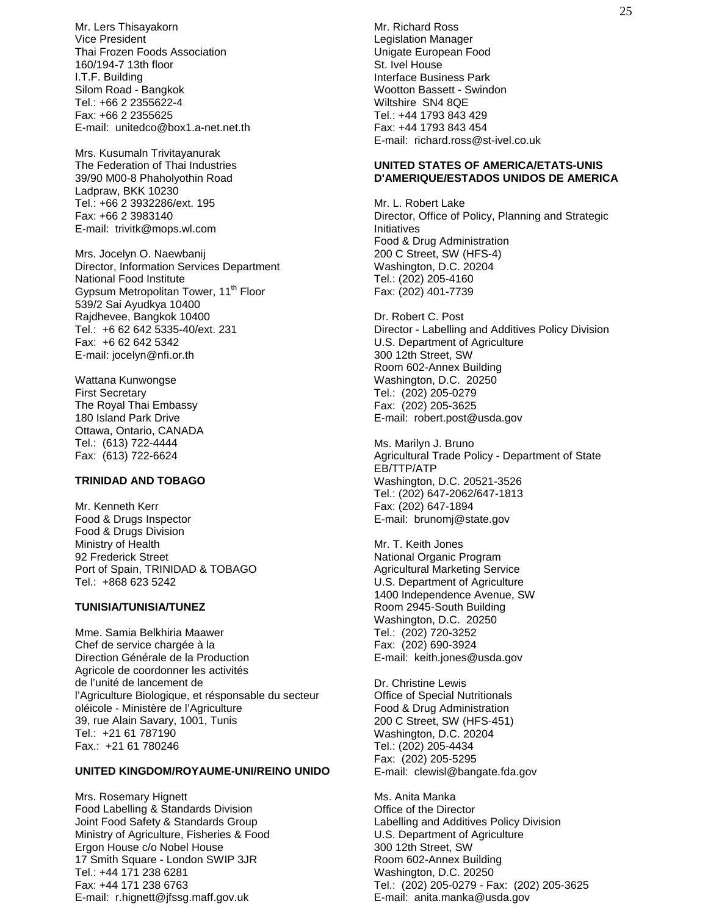Mr. Lers Thisayakorn Vice President Thai Frozen Foods Association 160/194-7 13th floor I.T.F. Building Silom Road - Bangkok Tel.: +66 2 2355622-4 Fax: +66 2 2355625 E-mail: unitedco@box1.a-net.net.th

Mrs. Kusumaln Trivitayanurak The Federation of Thai Industries 39/90 M00-8 Phaholyothin Road Ladpraw, BKK 10230 Tel.: +66 2 3932286/ext. 195 Fax: +66 2 3983140 E-mail: trivitk@mops.wl.com

Mrs. Jocelyn O. Naewbanij Director, Information Services Department National Food Institute Gypsum Metropolitan Tower, 11<sup>th</sup> Floor 539/2 Sai Ayudkya 10400 Rajdhevee, Bangkok 10400 Tel.: +6 62 642 5335-40/ext. 231 Fax: +6 62 642 5342 E-mail: jocelyn@nfi.or.th

Wattana Kunwongse First Secretary The Royal Thai Embassy 180 Island Park Drive Ottawa, Ontario, CANADA Tel.: (613) 722-4444 Fax: (613) 722-6624

#### **TRINIDAD AND TOBAGO**

Mr. Kenneth Kerr Food & Drugs Inspector Food & Drugs Division Ministry of Health 92 Frederick Street Port of Spain, TRINIDAD & TOBAGO Tel.: +868 623 5242

#### **TUNISIA/TUNISIA/TUNEZ**

Mme. Samia Belkhiria Maawer Chef de service chargée à la Direction Générale de la Production Agricole de coordonner les activités de l'unité de lancement de l'Agriculture Biologique, et résponsable du secteur oléicole - Ministère de l'Agriculture 39, rue Alain Savary, 1001, Tunis Tel.: +21 61 787190 Fax.: +21 61 780246

#### **UNITED KINGDOM/ROYAUME-UNI/REINO UNIDO**

Mrs. Rosemary Hignett Food Labelling & Standards Division Joint Food Safety & Standards Group Ministry of Agriculture, Fisheries & Food Ergon House c/o Nobel House 17 Smith Square - London SWIP 3JR Tel.: +44 171 238 6281 Fax: +44 171 238 6763 E-mail: r.hignett@jfssg.maff.gov.uk

Mr. Richard Ross Legislation Manager Unigate European Food St. Ivel House Interface Business Park Wootton Bassett - Swindon Wiltshire SN4 8QE Tel.: +44 1793 843 429 Fax: +44 1793 843 454 E-mail: richard.ross@st-ivel.co.uk

#### **UNITED STATES OF AMERICA/ETATS-UNIS D'AMERIQUE/ESTADOS UNIDOS DE AMERICA**

Mr. L. Robert Lake Director, Office of Policy, Planning and Strategic Initiatives Food & Drug Administration 200 C Street, SW (HFS-4) Washington, D.C. 20204 Tel.: (202) 205-4160 Fax: (202) 401-7739

Dr. Robert C. Post Director - Labelling and Additives Policy Division U.S. Department of Agriculture 300 12th Street, SW Room 602-Annex Building Washington, D.C. 20250 Tel.: (202) 205-0279 Fax: (202) 205-3625 E-mail: robert.post@usda.gov

Ms. Marilyn J. Bruno Agricultural Trade Policy - Department of State EB/TTP/ATP Washington, D.C. 20521-3526 Tel.: (202) 647-2062/647-1813 Fax: (202) 647-1894 E-mail: brunomj@state.gov

Mr. T. Keith Jones National Organic Program Agricultural Marketing Service U.S. Department of Agriculture 1400 Independence Avenue, SW Room 2945-South Building Washington, D.C. 20250 Tel.: (202) 720-3252 Fax: (202) 690-3924 E-mail: keith.jones@usda.gov

Dr. Christine Lewis Office of Special Nutritionals Food & Drug Administration 200 C Street, SW (HFS-451) Washington, D.C. 20204 Tel.: (202) 205-4434 Fax: (202) 205-5295 E-mail: clewisl@bangate.fda.gov

Ms. Anita Manka Office of the Director Labelling and Additives Policy Division U.S. Department of Agriculture 300 12th Street, SW Room 602-Annex Building Washington, D.C. 20250 Tel.: (202) 205-0279 - Fax: (202) 205-3625 E-mail: anita.manka@usda.gov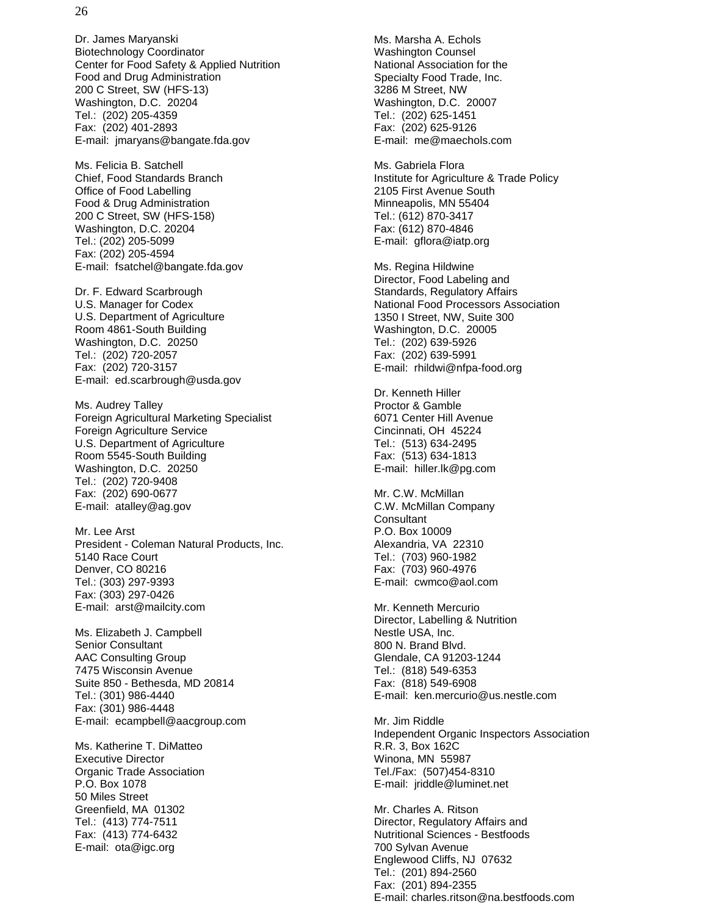Dr. James Maryanski Biotechnology Coordinator Center for Food Safety & Applied Nutrition Food and Drug Administration 200 C Street, SW (HFS-13) Washington, D.C. 20204 Tel.: (202) 205-4359 Fax: (202) 401-2893 E-mail: jmaryans@bangate.fda.gov

Ms. Felicia B. Satchell Chief, Food Standards Branch Office of Food Labelling Food & Drug Administration 200 C Street, SW (HFS-158) Washington, D.C. 20204 Tel.: (202) 205-5099 Fax: (202) 205-4594 E-mail: fsatchel@bangate.fda.gov

Dr. F. Edward Scarbrough U.S. Manager for Codex U.S. Department of Agriculture Room 4861-South Building Washington, D.C. 20250 Tel.: (202) 720-2057 Fax: (202) 720-3157 E-mail: ed.scarbrough@usda.gov

Ms. Audrey Talley Foreign Agricultural Marketing Specialist Foreign Agriculture Service U.S. Department of Agriculture Room 5545-South Building Washington, D.C. 20250 Tel.: (202) 720-9408 Fax: (202) 690-0677 E-mail: atalley@ag.gov

Mr. Lee Arst President - Coleman Natural Products, Inc. 5140 Race Court Denver, CO 80216 Tel.: (303) 297-9393 Fax: (303) 297-0426 E-mail: arst@mailcity.com

Ms. Elizabeth J. Campbell Senior Consultant AAC Consulting Group 7475 Wisconsin Avenue Suite 850 - Bethesda, MD 20814 Tel.: (301) 986-4440 Fax: (301) 986-4448 E-mail: ecampbell@aacgroup.com

Ms. Katherine T. DiMatteo Executive Director Organic Trade Association P.O. Box 1078 50 Miles Street Greenfield, MA 01302 Tel.: (413) 774-7511 Fax: (413) 774-6432 E-mail: ota@igc.org

Ms. Marsha A. Echols Washington Counsel National Association for the Specialty Food Trade, Inc. 3286 M Street, NW Washington, D.C. 20007 Tel.: (202) 625-1451 Fax: (202) 625-9126 E-mail: me@maechols.com

Ms. Gabriela Flora Institute for Agriculture & Trade Policy 2105 First Avenue South Minneapolis, MN 55404 Tel.: (612) 870-3417 Fax: (612) 870-4846 E-mail: gflora@iatp.org

Ms. Regina Hildwine Director, Food Labeling and Standards, Regulatory Affairs National Food Processors Association 1350 I Street, NW, Suite 300 Washington, D.C. 20005 Tel.: (202) 639-5926 Fax: (202) 639-5991 E-mail: rhildwi@nfpa-food.org

Dr. Kenneth Hiller Proctor & Gamble 6071 Center Hill Avenue Cincinnati, OH 45224 Tel.: (513) 634-2495 Fax: (513) 634-1813 E-mail: hiller.lk@pg.com

Mr. C.W. McMillan C.W. McMillan Company **Consultant** P.O. Box 10009 Alexandria, VA 22310 Tel.: (703) 960-1982 Fax: (703) 960-4976 E-mail: cwmco@aol.com

Mr. Kenneth Mercurio Director, Labelling & Nutrition Nestle USA, Inc. 800 N. Brand Blvd. Glendale, CA 91203-1244 Tel.: (818) 549-6353 Fax: (818) 549-6908 E-mail: ken.mercurio@us.nestle.com

Mr. Jim Riddle Independent Organic Inspectors Association R.R. 3, Box 162C Winona, MN 55987 Tel./Fax: (507)454-8310 E-mail: jriddle@luminet.net

Mr. Charles A. Ritson Director, Regulatory Affairs and Nutritional Sciences - Bestfoods 700 Sylvan Avenue Englewood Cliffs, NJ 07632 Tel.: (201) 894-2560 Fax: (201) 894-2355 E-mail: charles.ritson@na.bestfoods.com

#### 26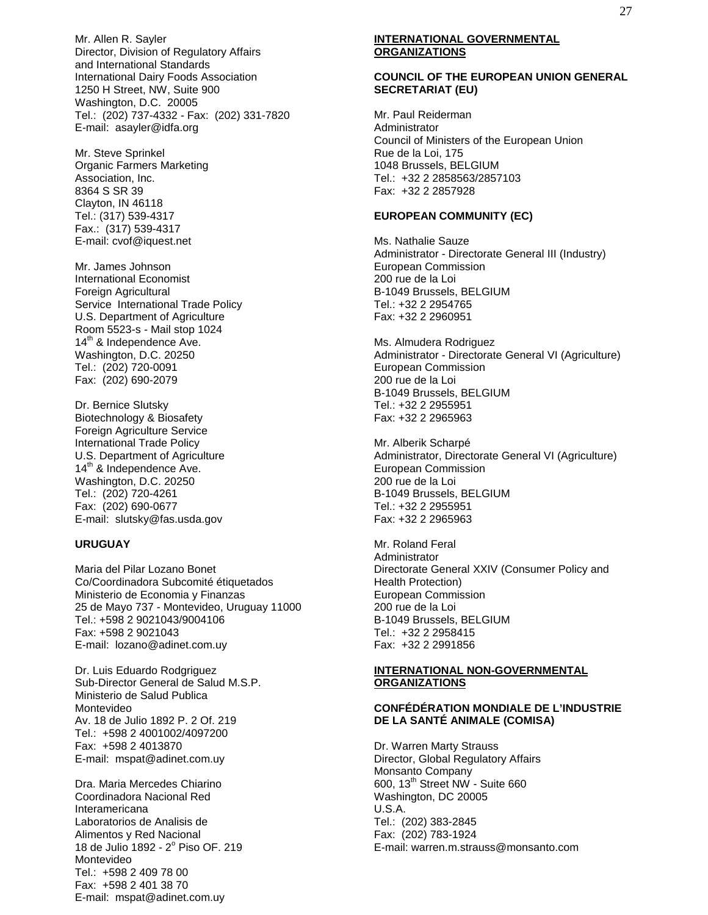Mr. Allen R. Sayler Director, Division of Regulatory Affairs and International Standards International Dairy Foods Association 1250 H Street, NW, Suite 900 Washington, D.C. 20005 Tel.: (202) 737-4332 - Fax: (202) 331-7820 E-mail: asayler@idfa.org

Mr. Steve Sprinkel Organic Farmers Marketing Association, Inc. 8364 S SR 39 Clayton, IN 46118 Tel.: (317) 539-4317 Fax.: (317) 539-4317 E-mail: cvof@iquest.net

Mr. James Johnson International Economist Foreign Agricultural Service International Trade Policy U.S. Department of Agriculture Room 5523-s - Mail stop 1024 14<sup>th</sup> & Independence Ave. Washington, D.C. 20250 Tel.: (202) 720-0091 Fax: (202) 690-2079

Dr. Bernice Slutsky Biotechnology & Biosafety Foreign Agriculture Service International Trade Policy U.S. Department of Agriculture 14<sup>th</sup> & Independence Ave. Washington, D.C. 20250 Tel.: (202) 720-4261 Fax: (202) 690-0677 E-mail: slutsky@fas.usda.gov

#### **URUGUAY**

Maria del Pilar Lozano Bonet Co/Coordinadora Subcomité étiquetados Ministerio de Economia y Finanzas 25 de Mayo 737 - Montevideo, Uruguay 11000 Tel.: +598 2 9021043/9004106 Fax: +598 2 9021043 E-mail: lozano@adinet.com.uy

Dr. Luis Eduardo Rodgriguez Sub-Director General de Salud M.S.P. Ministerio de Salud Publica Montevideo Av. 18 de Julio 1892 P. 2 Of. 219 Tel.: +598 2 4001002/4097200 Fax: +598 2 4013870 E-mail: mspat@adinet.com.uy

Dra. Maria Mercedes Chiarino Coordinadora Nacional Red Interamericana Laboratorios de Analisis de Alimentos y Red Nacional 18 de Julio 1892 - 2º Piso OF. 219 Montevideo Tel.: +598 2 409 78 00 Fax: +598 2 401 38 70 E-mail: mspat@adinet.com.uy

#### **INTERNATIONAL GOVERNMENTAL ORGANIZATIONS**

#### **COUNCIL OF THE EUROPEAN UNION GENERAL SECRETARIAT (EU)**

Mr. Paul Reiderman Administrator Council of Ministers of the European Union Rue de la Loi, 175 1048 Brussels, BELGIUM Tel.: +32 2 2858563/2857103 Fax: +32 2 2857928

#### **EUROPEAN COMMUNITY (EC)**

Ms. Nathalie Sauze Administrator - Directorate General III (Industry) European Commission 200 rue de la Loi B-1049 Brussels, BELGIUM Tel.: +32 2 2954765 Fax: +32 2 2960951

Ms. Almudera Rodriguez Administrator - Directorate General VI (Agriculture) European Commission 200 rue de la Loi B-1049 Brussels, BELGIUM Tel.: +32 2 2955951 Fax: +32 2 2965963

Mr. Alberik Scharpé Administrator, Directorate General VI (Agriculture) European Commission 200 rue de la Loi B-1049 Brussels, BELGIUM Tel.: +32 2 2955951 Fax: +32 2 2965963

Mr. Roland Feral Administrator Directorate General XXIV (Consumer Policy and Health Protection) European Commission 200 rue de la Loi B-1049 Brussels, BELGIUM Tel.: +32 2 2958415 Fax: +32 2 2991856

#### **INTERNATIONAL NON-GOVERNMENTAL ORGANIZATIONS**

#### **CONFÉDÉRATION MONDIALE DE L'INDUSTRIE DE LA SANTÉ ANIMALE (COMISA)**

Dr. Warren Marty Strauss Director, Global Regulatory Affairs Monsanto Company  $600.13<sup>th</sup>$  Street NW - Suite 660 Washington, DC 20005 U.S.A. Tel.: (202) 383-2845 Fax: (202) 783-1924 E-mail: warren.m.strauss@monsanto.com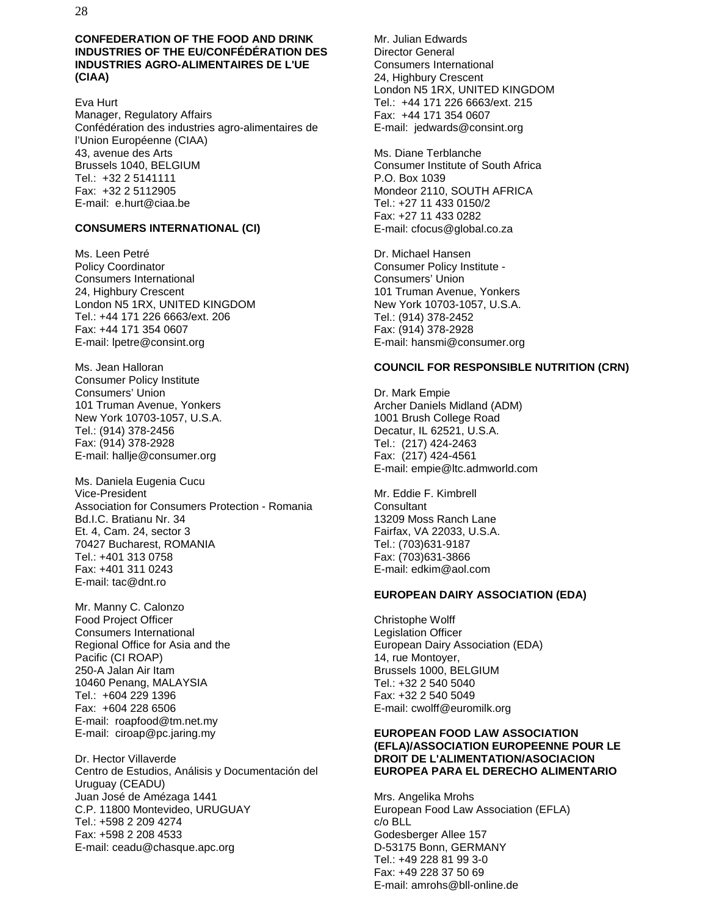28

#### **CONFEDERATION OF THE FOOD AND DRINK INDUSTRIES OF THE EU/CONFÉDÉRATION DES INDUSTRIES AGRO-ALIMENTAIRES DE L'UE (CIAA)**

Eva Hurt Manager, Regulatory Affairs Confédération des industries agro-alimentaires de l'Union Européenne (CIAA) 43, avenue des Arts Brussels 1040, BELGIUM Tel.: +32 2 5141111 Fax: +32 2 5112905 E-mail: e.hurt@ciaa.be

#### **CONSUMERS INTERNATIONAL (CI)**

Ms. Leen Petré Policy Coordinator Consumers International 24, Highbury Crescent London N5 1RX, UNITED KINGDOM Tel.: +44 171 226 6663/ext. 206 Fax: +44 171 354 0607 E-mail: lpetre@consint.org

Ms. Jean Halloran Consumer Policy Institute Consumers' Union 101 Truman Avenue, Yonkers New York 10703-1057, U.S.A. Tel.: (914) 378-2456 Fax: (914) 378-2928 E-mail: hallje@consumer.org

Ms. Daniela Eugenia Cucu Vice-President Association for Consumers Protection - Romania Bd.I.C. Bratianu Nr. 34 Et. 4, Cam. 24, sector 3 70427 Bucharest, ROMANIA Tel.: +401 313 0758 Fax: +401 311 0243 E-mail: tac@dnt.ro

Mr. Manny C. Calonzo Food Project Officer Consumers International Regional Office for Asia and the Pacific (CI ROAP) 250-A Jalan Air Itam 10460 Penang, MALAYSIA Tel.: +604 229 1396 Fax: +604 228 6506 E-mail: roapfood@tm.net.my E-mail: ciroap@pc.jaring.my

Dr. Hector Villaverde Centro de Estudios, Análisis y Documentación del Uruguay (CEADU) Juan José de Amézaga 1441 C.P. 11800 Montevideo, URUGUAY Tel.: +598 2 209 4274 Fax: +598 2 208 4533 E-mail: ceadu@chasque.apc.org

Mr. Julian Edwards Director General Consumers International 24, Highbury Crescent London N5 1RX, UNITED KINGDOM Tel.: +44 171 226 6663/ext. 215 Fax: +44 171 354 0607 E-mail: jedwards@consint.org

Ms. Diane Terblanche Consumer Institute of South Africa P.O. Box 1039 Mondeor 2110, SOUTH AFRICA Tel.: +27 11 433 0150/2 Fax: +27 11 433 0282 E-mail: cfocus@global.co.za

Dr. Michael Hansen Consumer Policy Institute - Consumers' Union 101 Truman Avenue, Yonkers New York 10703-1057, U.S.A. Tel.: (914) 378-2452 Fax: (914) 378-2928 E-mail: hansmi@consumer.org

#### **COUNCIL FOR RESPONSIBLE NUTRITION (CRN)**

Dr. Mark Empie Archer Daniels Midland (ADM) 1001 Brush College Road Decatur, IL 62521, U.S.A. Tel.: (217) 424-2463 Fax: (217) 424-4561 E-mail: empie@ltc.admworld.com

Mr. Eddie F. Kimbrell **Consultant** 13209 Moss Ranch Lane Fairfax, VA 22033, U.S.A. Tel.: (703)631-9187 Fax: (703)631-3866 E-mail: edkim@aol.com

#### **EUROPEAN DAIRY ASSOCIATION (EDA)**

Christophe Wolff Legislation Officer European Dairy Association (EDA) 14, rue Montoyer, Brussels 1000, BELGIUM Tel.: +32 2 540 5040 Fax: +32 2 540 5049 E-mail: cwolff@euromilk.org

#### **EUROPEAN FOOD LAW ASSOCIATION (EFLA)/ASSOCIATION EUROPEENNE POUR LE DROIT DE L'ALIMENTATION/ASOCIACION EUROPEA PARA EL DERECHO ALIMENTARIO**

Mrs. Angelika Mrohs European Food Law Association (EFLA) c/o BLL Godesberger Allee 157 D-53175 Bonn, GERMANY Tel.: +49 228 81 99 3-0 Fax: +49 228 37 50 69 E-mail: amrohs@bll-online.de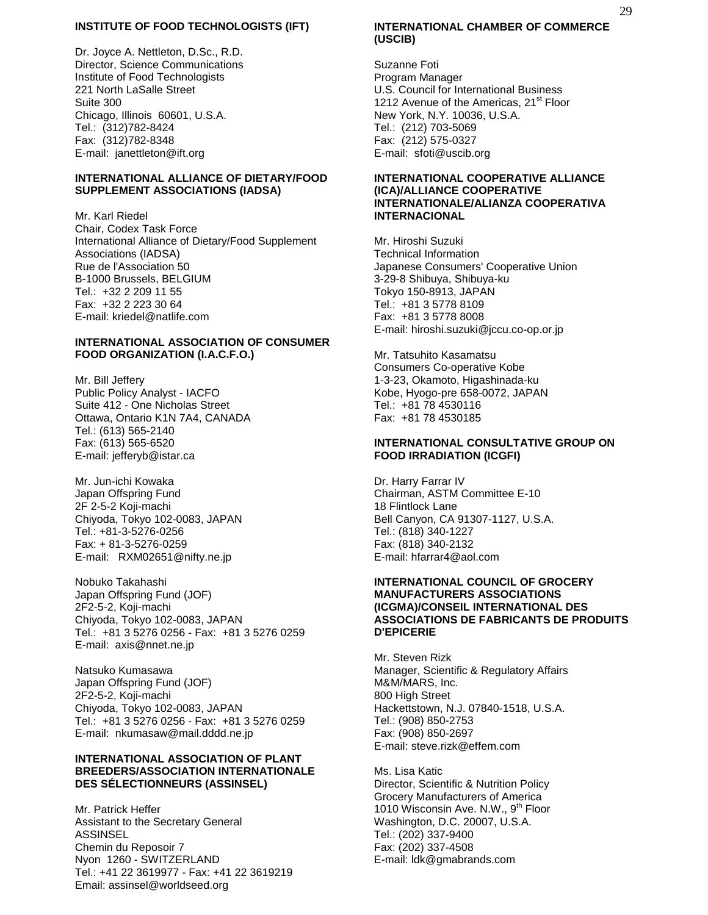#### **INSTITUTE OF FOOD TECHNOLOGISTS (IFT)**

Dr. Joyce A. Nettleton, D.Sc., R.D. Director, Science Communications Institute of Food Technologists 221 North LaSalle Street Suite 300 Chicago, Illinois 60601, U.S.A. Tel.: (312)782-8424 Fax: (312)782-8348 E-mail: janettleton@ift.org

#### **INTERNATIONAL ALLIANCE OF DIETARY/FOOD SUPPLEMENT ASSOCIATIONS (IADSA)**

Mr. Karl Riedel Chair, Codex Task Force International Alliance of Dietary/Food Supplement Associations (IADSA) Rue de l'Association 50 B-1000 Brussels, BELGIUM Tel.: +32 2 209 11 55 Fax: +32 2 223 30 64 E-mail: kriedel@natlife.com

#### **INTERNATIONAL ASSOCIATION OF CONSUMER FOOD ORGANIZATION (I.A.C.F.O.)**

Mr. Bill Jeffery Public Policy Analyst - IACFO Suite 412 - One Nicholas Street Ottawa, Ontario K1N 7A4, CANADA Tel.: (613) 565-2140 Fax: (613) 565-6520 E-mail: jefferyb@istar.ca

Mr. Jun-ichi Kowaka Japan Offspring Fund 2F 2-5-2 Koji-machi Chiyoda, Tokyo 102-0083, JAPAN Tel.: +81-3-5276-0256 Fax: + 81-3-5276-0259 E-mail: RXM02651@nifty.ne.jp

Nobuko Takahashi Japan Offspring Fund (JOF) 2F2-5-2, Koji-machi Chiyoda, Tokyo 102-0083, JAPAN Tel.: +81 3 5276 0256 - Fax: +81 3 5276 0259 E-mail: axis@nnet.ne.jp

Natsuko Kumasawa Japan Offspring Fund (JOF) 2F2-5-2, Koji-machi Chiyoda, Tokyo 102-0083, JAPAN Tel.: +81 3 5276 0256 - Fax: +81 3 5276 0259 E-mail: nkumasaw@mail.dddd.ne.jp

#### **INTERNATIONAL ASSOCIATION OF PLANT BREEDERS/ASSOCIATION INTERNATIONALE DES SÉLECTIONNEURS (ASSINSEL)**

Mr. Patrick Heffer Assistant to the Secretary General ASSINSEL Chemin du Reposoir 7 Nyon 1260 - SWITZERLAND Tel.: +41 22 3619977 - Fax: +41 22 3619219 Email: assinsel@worldseed.org

#### **INTERNATIONAL CHAMBER OF COMMERCE (USCIB)**

Suzanne Foti Program Manager U.S. Council for International Business 1212 Avenue of the Americas, 21<sup>st</sup> Floor New York, N.Y. 10036, U.S.A. Tel.: (212) 703-5069 Fax: (212) 575-0327 E-mail: sfoti@uscib.org

#### **INTERNATIONAL COOPERATIVE ALLIANCE (ICA)/ALLIANCE COOPERATIVE INTERNATIONALE/ALIANZA COOPERATIVA INTERNACIONAL**

Mr. Hiroshi Suzuki Technical Information Japanese Consumers' Cooperative Union 3-29-8 Shibuya, Shibuya-ku Tokyo 150-8913, JAPAN Tel.: +81 3 5778 8109 Fax: +81 3 5778 8008 E-mail: hiroshi.suzuki@jccu.co-op.or.jp

Mr. Tatsuhito Kasamatsu Consumers Co-operative Kobe 1-3-23, Okamoto, Higashinada-ku Kobe, Hyogo-pre 658-0072, JAPAN Tel.: +81 78 4530116 Fax: +81 78 4530185

#### **INTERNATIONAL CONSULTATIVE GROUP ON FOOD IRRADIATION (ICGFI)**

Dr. Harry Farrar IV Chairman, ASTM Committee E-10 18 Flintlock Lane Bell Canyon, CA 91307-1127, U.S.A. Tel.: (818) 340-1227 Fax: (818) 340-2132 E-mail: hfarrar4@aol.com

#### **INTERNATIONAL COUNCIL OF GROCERY MANUFACTURERS ASSOCIATIONS (ICGMA)/CONSEIL INTERNATIONAL DES ASSOCIATIONS DE FABRICANTS DE PRODUITS D'EPICERIE**

Mr. Steven Rizk Manager, Scientific & Regulatory Affairs M&M/MARS, Inc. 800 High Street Hackettstown, N.J. 07840-1518, U.S.A. Tel.: (908) 850-2753 Fax: (908) 850-2697 E-mail: steve.rizk@effem.com

Ms. Lisa Katic Director, Scientific & Nutrition Policy Grocery Manufacturers of America 1010 Wisconsin Ave. N.W., 9<sup>th</sup> Floor Washington, D.C. 20007, U.S.A. Tel.: (202) 337-9400 Fax: (202) 337-4508 E-mail: ldk@gmabrands.com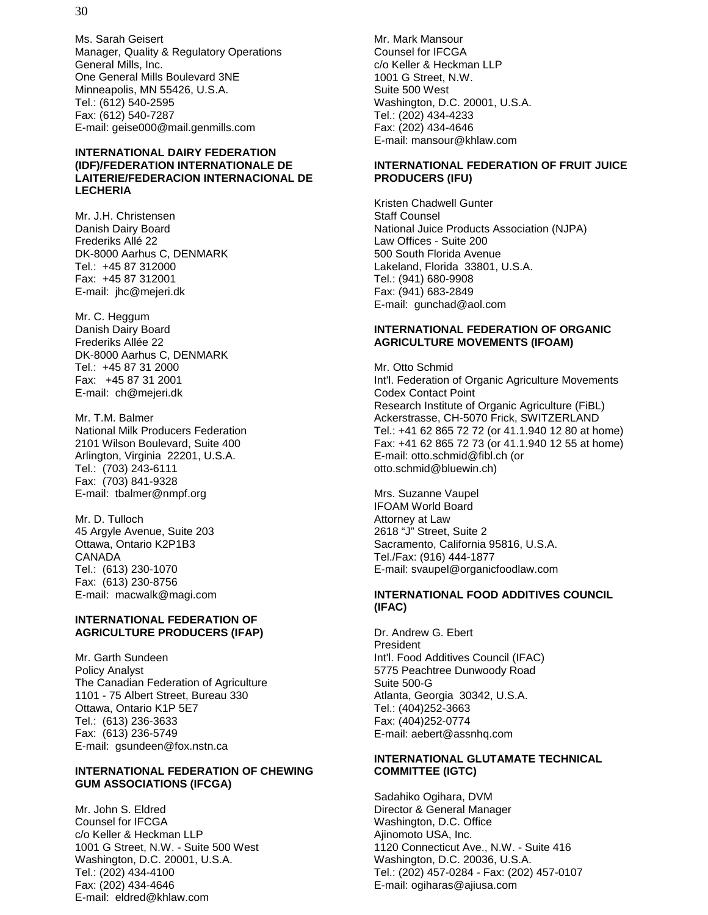Ms. Sarah Geisert Manager, Quality & Regulatory Operations General Mills, Inc. One General Mills Boulevard 3NE Minneapolis, MN 55426, U.S.A. Tel.: (612) 540-2595 Fax: (612) 540-7287 E-mail: geise000@mail.genmills.com

#### **INTERNATIONAL DAIRY FEDERATION (IDF)/FEDERATION INTERNATIONALE DE LAITERIE/FEDERACION INTERNACIONAL DE LECHERIA**

Mr. J.H. Christensen Danish Dairy Board Frederiks Allé 22 DK-8000 Aarhus C, DENMARK Tel.: +45 87 312000 Fax: +45 87 312001 E-mail: jhc@mejeri.dk

Mr. C. Heggum Danish Dairy Board Frederiks Allée 22 DK-8000 Aarhus C, DENMARK Tel.: +45 87 31 2000 Fax: +45 87 31 2001 E-mail: ch@mejeri.dk

Mr. T.M. Balmer National Milk Producers Federation 2101 Wilson Boulevard, Suite 400 Arlington, Virginia 22201, U.S.A. Tel.: (703) 243-6111 Fax: (703) 841-9328 E-mail: tbalmer@nmpf.org

Mr. D. Tulloch 45 Argyle Avenue, Suite 203 Ottawa, Ontario K2P1B3 CANADA Tel.: (613) 230-1070 Fax: (613) 230-8756 E-mail: macwalk@magi.com

#### **INTERNATIONAL FEDERATION OF AGRICULTURE PRODUCERS (IFAP)**

Mr. Garth Sundeen Policy Analyst The Canadian Federation of Agriculture 1101 - 75 Albert Street, Bureau 330 Ottawa, Ontario K1P 5E7 Tel.: (613) 236-3633 Fax: (613) 236-5749 E-mail: gsundeen@fox.nstn.ca

#### **INTERNATIONAL FEDERATION OF CHEWING GUM ASSOCIATIONS (IFCGA)**

Mr. John S. Eldred Counsel for IFCGA c/o Keller & Heckman LLP 1001 G Street, N.W. - Suite 500 West Washington, D.C. 20001, U.S.A. Tel.: (202) 434-4100 Fax: (202) 434-4646 E-mail: eldred@khlaw.com

Mr. Mark Mansour Counsel for IFCGA c/o Keller & Heckman LLP 1001 G Street, N.W. Suite 500 West Washington, D.C. 20001, U.S.A. Tel.: (202) 434-4233 Fax: (202) 434-4646 E-mail: mansour@khlaw.com

#### **INTERNATIONAL FEDERATION OF FRUIT JUICE PRODUCERS (IFU)**

Kristen Chadwell Gunter Staff Counsel National Juice Products Association (NJPA) Law Offices - Suite 200 500 South Florida Avenue Lakeland, Florida 33801, U.S.A. Tel.: (941) 680-9908 Fax: (941) 683-2849 E-mail: gunchad@aol.com

#### **INTERNATIONAL FEDERATION OF ORGANIC AGRICULTURE MOVEMENTS (IFOAM)**

Mr. Otto Schmid Int'l. Federation of Organic Agriculture Movements Codex Contact Point Research Institute of Organic Agriculture (FiBL) Ackerstrasse, CH-5070 Frick, SWITZERLAND Tel.: +41 62 865 72 72 (or 41.1.940 12 80 at home) Fax: +41 62 865 72 73 (or 41.1.940 12 55 at home) E-mail: otto.schmid@fibl.ch (or otto.schmid@bluewin.ch)

Mrs. Suzanne Vaupel IFOAM World Board Attorney at Law 2618 "J" Street, Suite 2 Sacramento, California 95816, U.S.A. Tel./Fax: (916) 444-1877 E-mail: svaupel@organicfoodlaw.com

#### **INTERNATIONAL FOOD ADDITIVES COUNCIL (IFAC)**

Dr. Andrew G. Ebert President Int'l. Food Additives Council (IFAC) 5775 Peachtree Dunwoody Road Suite 500-G Atlanta, Georgia 30342, U.S.A. Tel.: (404)252-3663 Fax: (404)252-0774 E-mail: aebert@assnhq.com

#### **INTERNATIONAL GLUTAMATE TECHNICAL COMMITTEE (IGTC)**

Sadahiko Ogihara, DVM Director & General Manager Washington, D.C. Office Ajinomoto USA, Inc. 1120 Connecticut Ave., N.W. - Suite 416 Washington, D.C. 20036, U.S.A. Tel.: (202) 457-0284 - Fax: (202) 457-0107 E-mail: ogiharas@ajiusa.com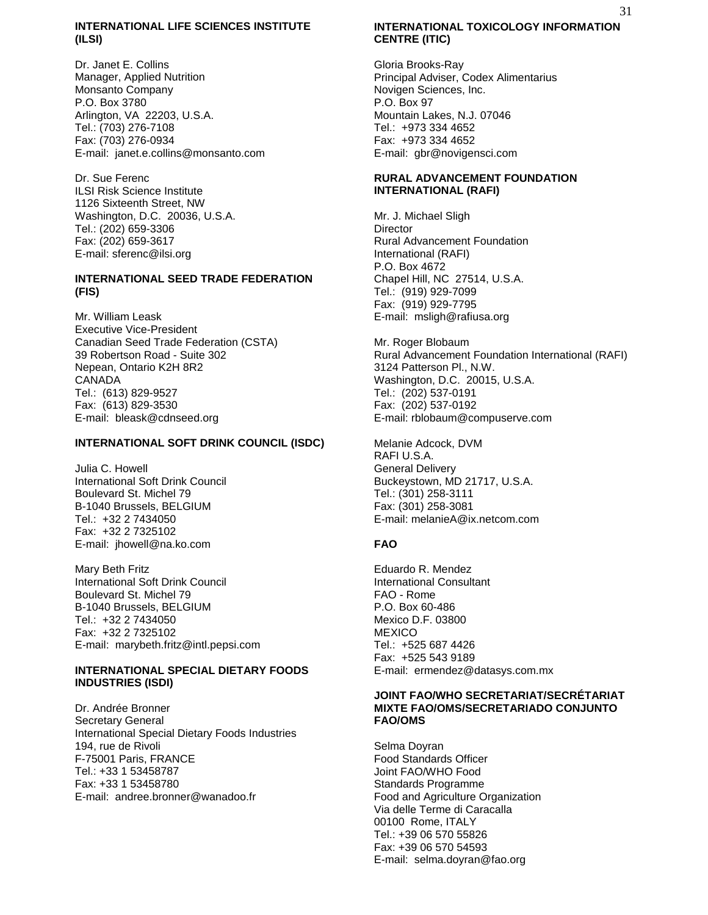#### **INTERNATIONAL LIFE SCIENCES INSTITUTE (ILSI)**

Dr. Janet E. Collins Manager, Applied Nutrition Monsanto Company P.O. Box 3780 Arlington, VA 22203, U.S.A. Tel.: (703) 276-7108 Fax: (703) 276-0934 E-mail: janet.e.collins@monsanto.com

Dr. Sue Ferenc ILSI Risk Science Institute 1126 Sixteenth Street, NW Washington, D.C. 20036, U.S.A. Tel.: (202) 659-3306 Fax: (202) 659-3617 E-mail: sferenc@ilsi.org

#### **INTERNATIONAL SEED TRADE FEDERATION (FIS)**

Mr. William Leask Executive Vice-President Canadian Seed Trade Federation (CSTA) 39 Robertson Road - Suite 302 Nepean, Ontario K2H 8R2 CANADA Tel.: (613) 829-9527 Fax: (613) 829-3530 E-mail: bleask@cdnseed.org

#### **INTERNATIONAL SOFT DRINK COUNCIL (ISDC)**

Julia C. Howell International Soft Drink Council Boulevard St. Michel 79 B-1040 Brussels, BELGIUM Tel.: +32 2 7434050 Fax: +32 2 7325102 E-mail: jhowell@na.ko.com

Mary Beth Fritz International Soft Drink Council Boulevard St. Michel 79 B-1040 Brussels, BELGIUM Tel.: +32 2 7434050 Fax: +32 2 7325102 E-mail: marybeth.fritz@intl.pepsi.com

#### **INTERNATIONAL SPECIAL DIETARY FOODS INDUSTRIES (ISDI)**

Dr. Andrée Bronner Secretary General International Special Dietary Foods Industries 194, rue de Rivoli F-75001 Paris, FRANCE Tel.: +33 1 53458787 Fax: +33 1 53458780 E-mail: andree.bronner@wanadoo.fr

## **INTERNATIONAL TOXICOLOGY INFORMATION CENTRE (ITIC)**

Gloria Brooks-Ray Principal Adviser, Codex Alimentarius Novigen Sciences, Inc. P.O. Box 97 Mountain Lakes, N.J. 07046 Tel.: +973 334 4652 Fax: +973 334 4652 E-mail: gbr@novigensci.com

#### **RURAL ADVANCEMENT FOUNDATION INTERNATIONAL (RAFI)**

Mr. J. Michael Sligh **Director** Rural Advancement Foundation International (RAFI) P.O. Box 4672 Chapel Hill, NC 27514, U.S.A. Tel.: (919) 929-7099 Fax: (919) 929-7795 E-mail: msligh@rafiusa.org

Mr. Roger Blobaum Rural Advancement Foundation International (RAFI) 3124 Patterson Pl., N.W. Washington, D.C. 20015, U.S.A. Tel.: (202) 537-0191 Fax: (202) 537-0192 E-mail: rblobaum@compuserve.com

Melanie Adcock, DVM RAFI U.S.A. General Delivery Buckeystown, MD 21717, U.S.A. Tel.: (301) 258-3111 Fax: (301) 258-3081 E-mail: melanieA@ix.netcom.com

#### **FAO**

Eduardo R. Mendez International Consultant FAO - Rome P.O. Box 60-486 Mexico D.F. 03800 **MEXICO** Tel.: +525 687 4426 Fax: +525 543 9189 E-mail: ermendez@datasys.com.mx

#### **JOINT FAO/WHO SECRETARIAT/SECRÉTARIAT MIXTE FAO/OMS/SECRETARIADO CONJUNTO FAO/OMS**

Selma Doyran Food Standards Officer Joint FAO/WHO Food Standards Programme Food and Agriculture Organization Via delle Terme di Caracalla 00100 Rome, ITALY Tel.: +39 06 570 55826 Fax: +39 06 570 54593 E-mail: selma.doyran@fao.org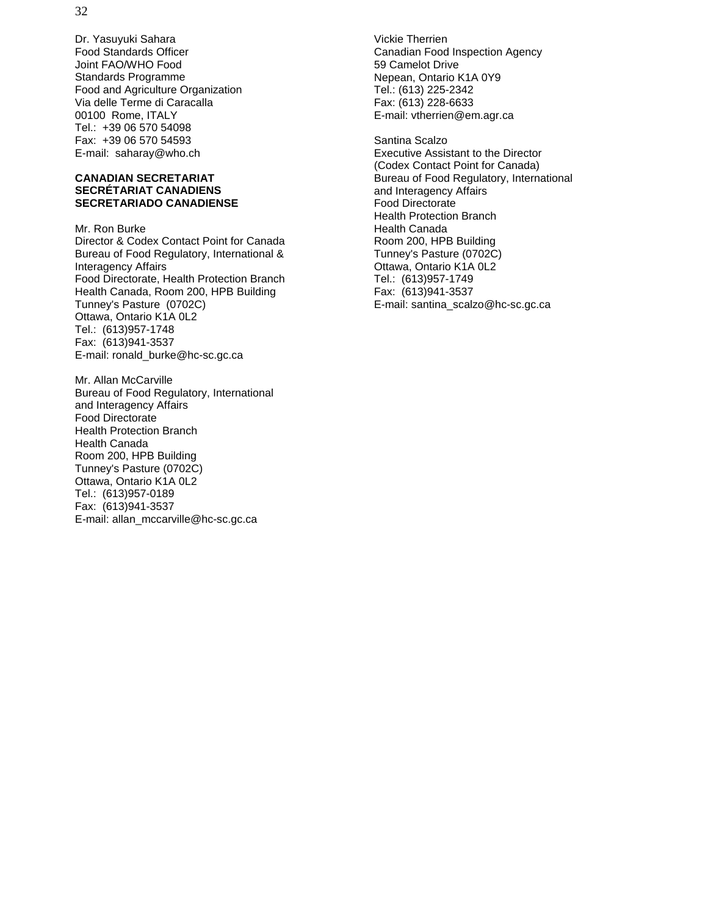Dr. Yasuyuki Sahara Food Standards Officer Joint FAO/WHO Food Standards Programme Food and Agriculture Organization Via delle Terme di Caracalla 00100 Rome, ITALY Tel.: +39 06 570 54098 Fax: +39 06 570 54593 E-mail: saharay@who.ch

#### **CANADIAN SECRETARIAT SECRÉTARIAT CANADIENS SECRETARIADO CANADIENSE**

Mr. Ron Burke Director & Codex Contact Point for Canada Bureau of Food Regulatory, International & Interagency Affairs Food Directorate, Health Protection Branch Health Canada, Room 200, HPB Building Tunney's Pasture (0702C) Ottawa, Ontario K1A 0L2 Tel.: (613)957-1748 Fax: (613)941-3537 E-mail: ronald\_burke@hc-sc.gc.ca

Mr. Allan McCarville Bureau of Food Regulatory, International and Interagency Affairs Food Directorate Health Protection Branch Health Canada Room 200, HPB Building Tunney's Pasture (0702C) Ottawa, Ontario K1A 0L2 Tel.: (613)957-0189 Fax: (613)941-3537 E-mail: allan\_mccarville@hc-sc.gc.ca

Vickie Therrien Canadian Food Inspection Agency 59 Camelot Drive Nepean, Ontario K1A 0Y9 Tel.: (613) 225-2342 Fax: (613) 228-6633 E-mail: vtherrien@em.agr.ca

Santina Scalzo Executive Assistant to the Director (Codex Contact Point for Canada) Bureau of Food Regulatory, International and Interagency Affairs Food Directorate Health Protection Branch Health Canada Room 200, HPB Building Tunney's Pasture (0702C) Ottawa, Ontario K1A 0L2 Tel.: (613)957-1749 Fax: (613)941-3537 E-mail: santina\_scalzo@hc-sc.gc.ca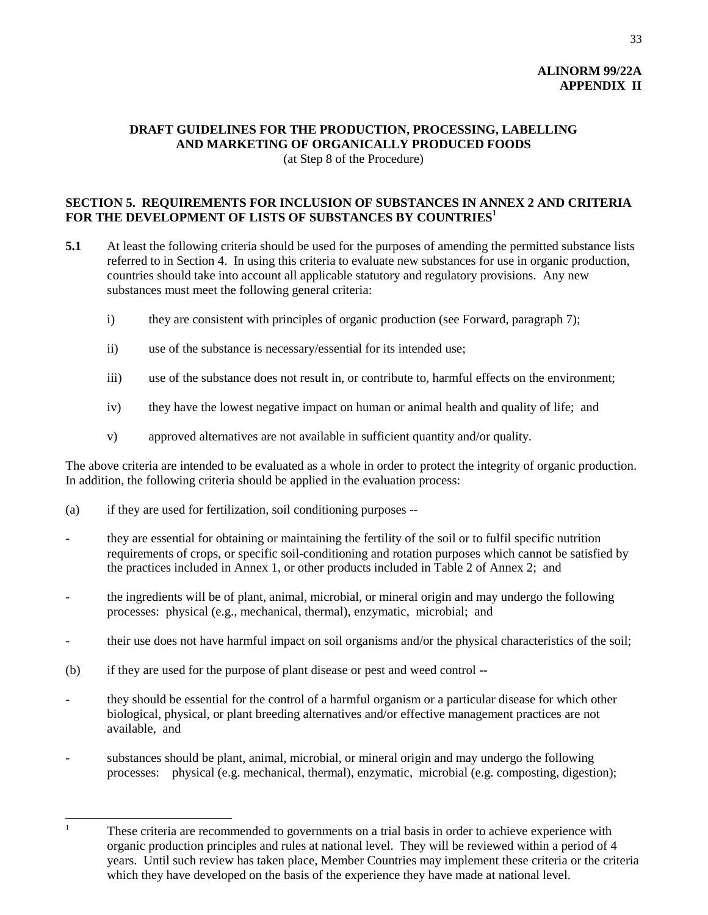## **ALINORM 99/22A APPENDIX II**

### **DRAFT GUIDELINES FOR THE PRODUCTION, PROCESSING, LABELLING AND MARKETING OF ORGANICALLY PRODUCED FOODS** (at Step 8 of the Procedure)

## **SECTION 5. REQUIREMENTS FOR INCLUSION OF SUBSTANCES IN ANNEX 2 AND CRITERIA** FOR THE DEVELOPMENT OF LISTS OF SUBSTANCES BY COUNTRIES<sup>1</sup>

- **5.1** At least the following criteria should be used for the purposes of amending the permitted substance lists referred to in Section 4. In using this criteria to evaluate new substances for use in organic production, countries should take into account all applicable statutory and regulatory provisions. Any new substances must meet the following general criteria:
	- i) they are consistent with principles of organic production (see Forward, paragraph 7);
	- ii) use of the substance is necessary/essential for its intended use;
	- iii) use of the substance does not result in, or contribute to, harmful effects on the environment;
	- iv) they have the lowest negative impact on human or animal health and quality of life; and
	- v) approved alternatives are not available in sufficient quantity and/or quality.

The above criteria are intended to be evaluated as a whole in order to protect the integrity of organic production. In addition, the following criteria should be applied in the evaluation process:

- (a) if they are used for fertilization, soil conditioning purposes --
- they are essential for obtaining or maintaining the fertility of the soil or to fulfil specific nutrition requirements of crops, or specific soil-conditioning and rotation purposes which cannot be satisfied by the practices included in Annex 1, or other products included in Table 2 of Annex 2; and
- the ingredients will be of plant, animal, microbial, or mineral origin and may undergo the following processes: physical (e.g., mechanical, thermal), enzymatic, microbial; and
- their use does not have harmful impact on soil organisms and/or the physical characteristics of the soil;
- (b) if they are used for the purpose of plant disease or pest and weed control --
- they should be essential for the control of a harmful organism or a particular disease for which other biological, physical, or plant breeding alternatives and/or effective management practices are not available, and
- substances should be plant, animal, microbial, or mineral origin and may undergo the following processes: physical (e.g. mechanical, thermal), enzymatic, microbial (e.g. composting, digestion);

<sup>&</sup>lt;sup>1</sup> These criteria are recommended to governments on a trial basis in order to achieve experience with organic production principles and rules at national level. They will be reviewed within a period of 4 years. Until such review has taken place, Member Countries may implement these criteria or the criteria which they have developed on the basis of the experience they have made at national level.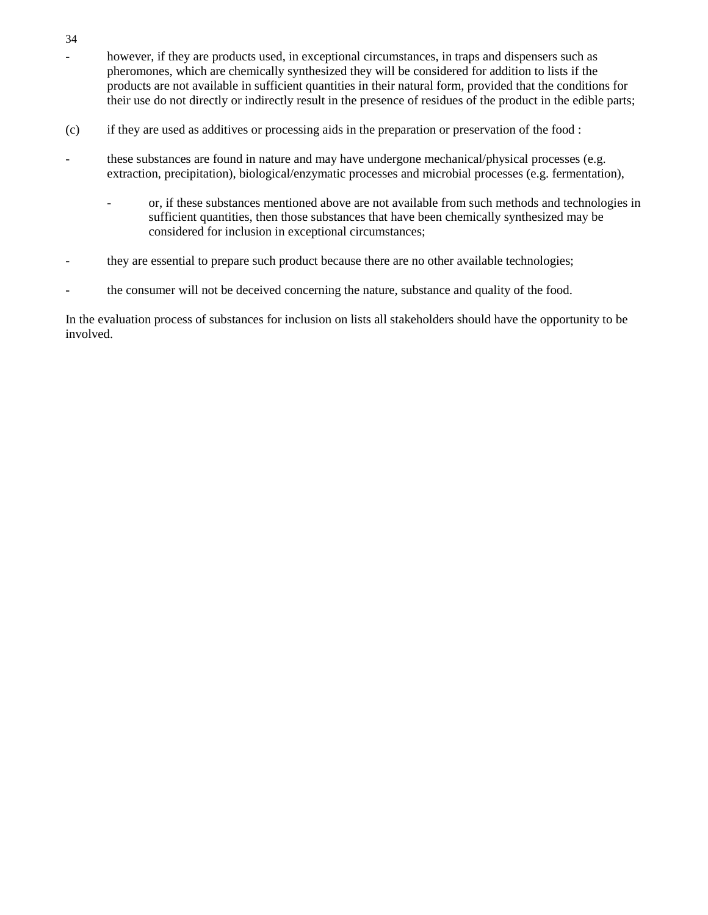- however, if they are products used, in exceptional circumstances, in traps and dispensers such as pheromones, which are chemically synthesized they will be considered for addition to lists if the products are not available in sufficient quantities in their natural form, provided that the conditions for their use do not directly or indirectly result in the presence of residues of the product in the edible parts;
- (c) if they are used as additives or processing aids in the preparation or preservation of the food :
- these substances are found in nature and may have undergone mechanical/physical processes (e.g. extraction, precipitation), biological/enzymatic processes and microbial processes (e.g. fermentation),
	- or, if these substances mentioned above are not available from such methods and technologies in sufficient quantities, then those substances that have been chemically synthesized may be considered for inclusion in exceptional circumstances;
- they are essential to prepare such product because there are no other available technologies;
- the consumer will not be deceived concerning the nature, substance and quality of the food.

In the evaluation process of substances for inclusion on lists all stakeholders should have the opportunity to be involved.

34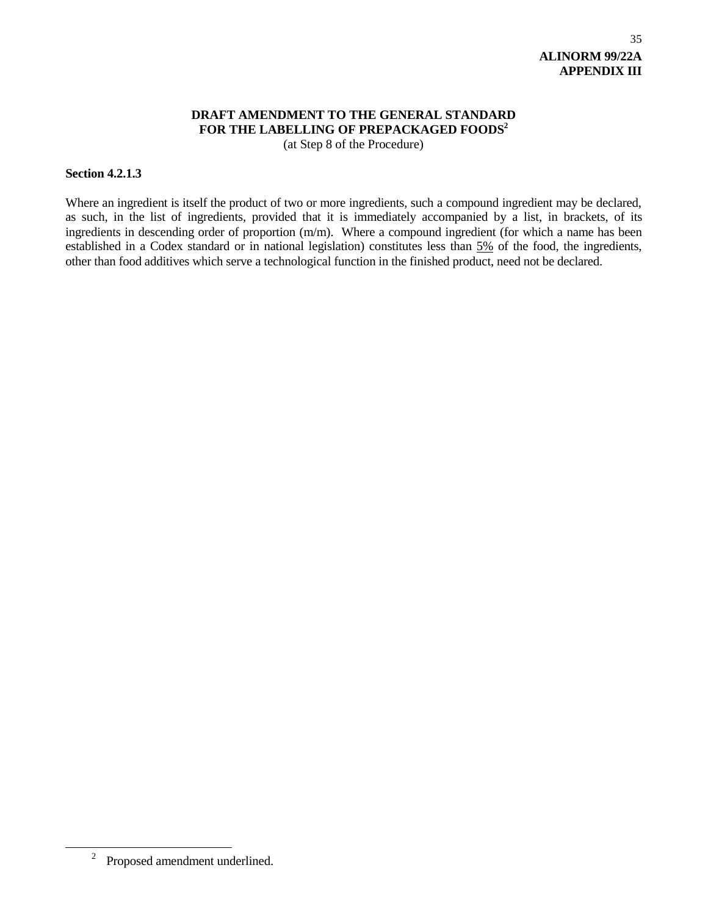## **DRAFT AMENDMENT TO THE GENERAL STANDARD** FOR THE LABELLING OF PREPACKAGED FOODS<sup>2</sup> (at Step 8 of the Procedure)

#### **Section 4.2.1.3**

Where an ingredient is itself the product of two or more ingredients, such a compound ingredient may be declared, as such, in the list of ingredients, provided that it is immediately accompanied by a list, in brackets, of its ingredients in descending order of proportion (m/m). Where a compound ingredient (for which a name has been established in a Codex standard or in national legislation) constitutes less than 5% of the food, the ingredients, other than food additives which serve a technological function in the finished product, need not be declared.

<sup>2</sup> Proposed amendment underlined.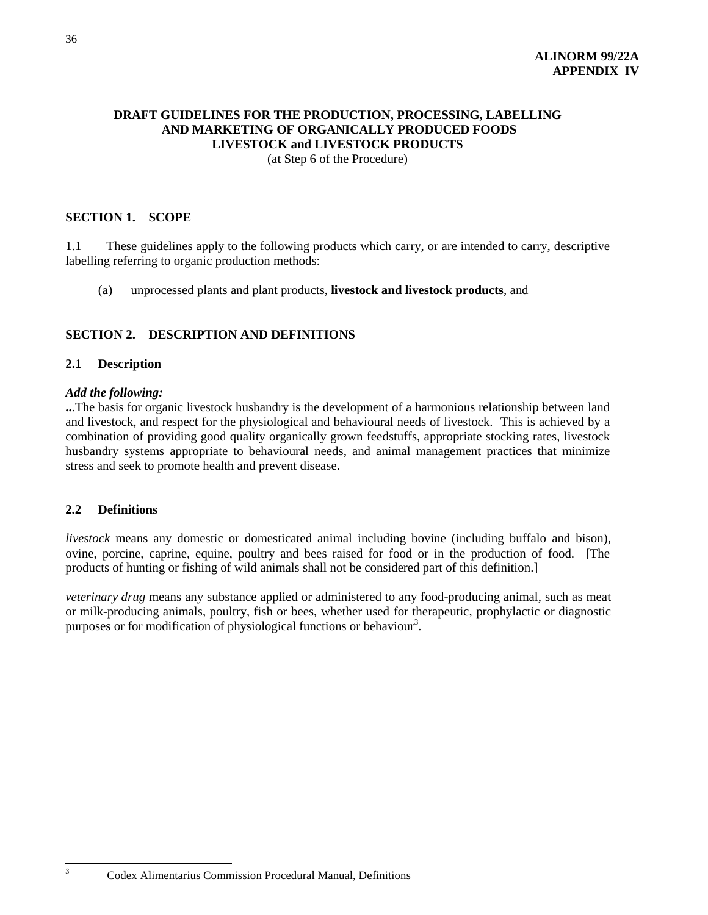## **DRAFT GUIDELINES FOR THE PRODUCTION, PROCESSING, LABELLING AND MARKETING OF ORGANICALLY PRODUCED FOODS LIVESTOCK and LIVESTOCK PRODUCTS** (at Step 6 of the Procedure)

## **SECTION 1. SCOPE**

1.1 These guidelines apply to the following products which carry, or are intended to carry, descriptive labelling referring to organic production methods:

(a) unprocessed plants and plant products, **livestock and livestock products**, and

## **SECTION 2. DESCRIPTION AND DEFINITIONS**

#### **2.1 Description**

#### *Add the following:*

**..**.The basis for organic livestock husbandry is the development of a harmonious relationship between land and livestock, and respect for the physiological and behavioural needs of livestock. This is achieved by a combination of providing good quality organically grown feedstuffs, appropriate stocking rates, livestock husbandry systems appropriate to behavioural needs, and animal management practices that minimize stress and seek to promote health and prevent disease.

#### **2.2 Definitions**

*livestock* means any domestic or domesticated animal including bovine (including buffalo and bison), ovine, porcine, caprine, equine, poultry and bees raised for food or in the production of food. [The products of hunting or fishing of wild animals shall not be considered part of this definition.]

*veterinary drug* means any substance applied or administered to any food-producing animal, such as meat or milk-producing animals, poultry, fish or bees, whether used for therapeutic, prophylactic or diagnostic purposes or for modification of physiological functions or behaviour<sup>3</sup>.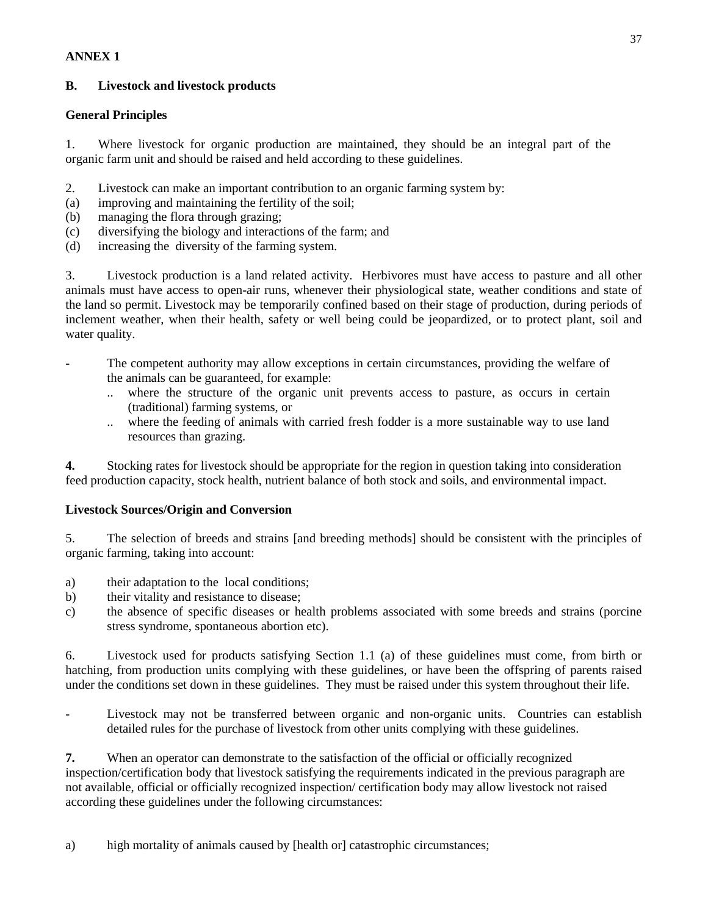## **ANNEX 1**

## **B. Livestock and livestock products**

## **General Principles**

1. Where livestock for organic production are maintained, they should be an integral part of the organic farm unit and should be raised and held according to these guidelines.

- 2. Livestock can make an important contribution to an organic farming system by:
- (a) improving and maintaining the fertility of the soil;
- (b) managing the flora through grazing;
- (c) diversifying the biology and interactions of the farm; and
- (d) increasing the diversity of the farming system.

3. Livestock production is a land related activity. Herbivores must have access to pasture and all other animals must have access to open-air runs, whenever their physiological state, weather conditions and state of the land so permit. Livestock may be temporarily confined based on their stage of production, during periods of inclement weather, when their health, safety or well being could be jeopardized, or to protect plant, soil and water quality.

- The competent authority may allow exceptions in certain circumstances, providing the welfare of the animals can be guaranteed, for example:
	- .. where the structure of the organic unit prevents access to pasture, as occurs in certain (traditional) farming systems, or
	- .. where the feeding of animals with carried fresh fodder is a more sustainable way to use land resources than grazing.

**4.** Stocking rates for livestock should be appropriate for the region in question taking into consideration feed production capacity, stock health, nutrient balance of both stock and soils, and environmental impact.

## **Livestock Sources/Origin and Conversion**

5. The selection of breeds and strains [and breeding methods] should be consistent with the principles of organic farming, taking into account:

- a) their adaptation to the local conditions;
- b) their vitality and resistance to disease;
- c) the absence of specific diseases or health problems associated with some breeds and strains (porcine stress syndrome, spontaneous abortion etc).

6. Livestock used for products satisfying Section 1.1 (a) of these guidelines must come, from birth or hatching, from production units complying with these guidelines, or have been the offspring of parents raised under the conditions set down in these guidelines. They must be raised under this system throughout their life.

Livestock may not be transferred between organic and non-organic units. Countries can establish detailed rules for the purchase of livestock from other units complying with these guidelines.

**7.** When an operator can demonstrate to the satisfaction of the official or officially recognized inspection/certification body that livestock satisfying the requirements indicated in the previous paragraph are not available, official or officially recognized inspection/ certification body may allow livestock not raised according these guidelines under the following circumstances: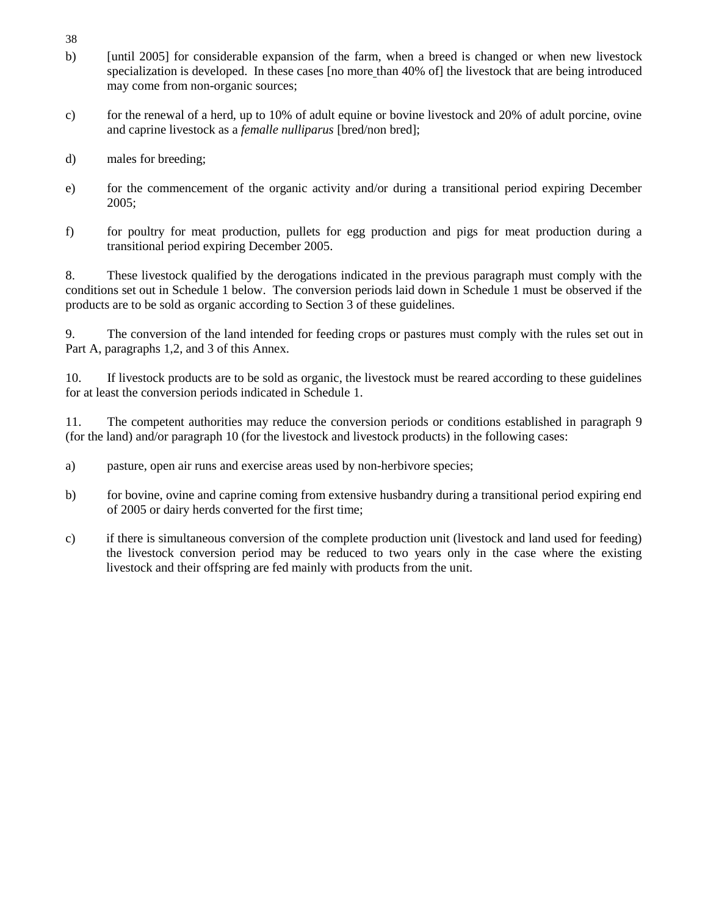- 38
- b) [until 2005] for considerable expansion of the farm, when a breed is changed or when new livestock specialization is developed. In these cases [no more than 40% of] the livestock that are being introduced may come from non-organic sources;
- c) for the renewal of a herd, up to 10% of adult equine or bovine livestock and 20% of adult porcine, ovine and caprine livestock as a *femalle nulliparus* [bred/non bred];
- d) males for breeding;
- e) for the commencement of the organic activity and/or during a transitional period expiring December 2005;
- f) for poultry for meat production, pullets for egg production and pigs for meat production during a transitional period expiring December 2005.

8. These livestock qualified by the derogations indicated in the previous paragraph must comply with the conditions set out in Schedule 1 below. The conversion periods laid down in Schedule 1 must be observed if the products are to be sold as organic according to Section 3 of these guidelines.

9. The conversion of the land intended for feeding crops or pastures must comply with the rules set out in Part A, paragraphs 1,2, and 3 of this Annex.

10. If livestock products are to be sold as organic, the livestock must be reared according to these guidelines for at least the conversion periods indicated in Schedule 1.

11. The competent authorities may reduce the conversion periods or conditions established in paragraph 9 (for the land) and/or paragraph 10 (for the livestock and livestock products) in the following cases:

- a) pasture, open air runs and exercise areas used by non-herbivore species;
- b) for bovine, ovine and caprine coming from extensive husbandry during a transitional period expiring end of 2005 or dairy herds converted for the first time;
- c) if there is simultaneous conversion of the complete production unit (livestock and land used for feeding) the livestock conversion period may be reduced to two years only in the case where the existing livestock and their offspring are fed mainly with products from the unit.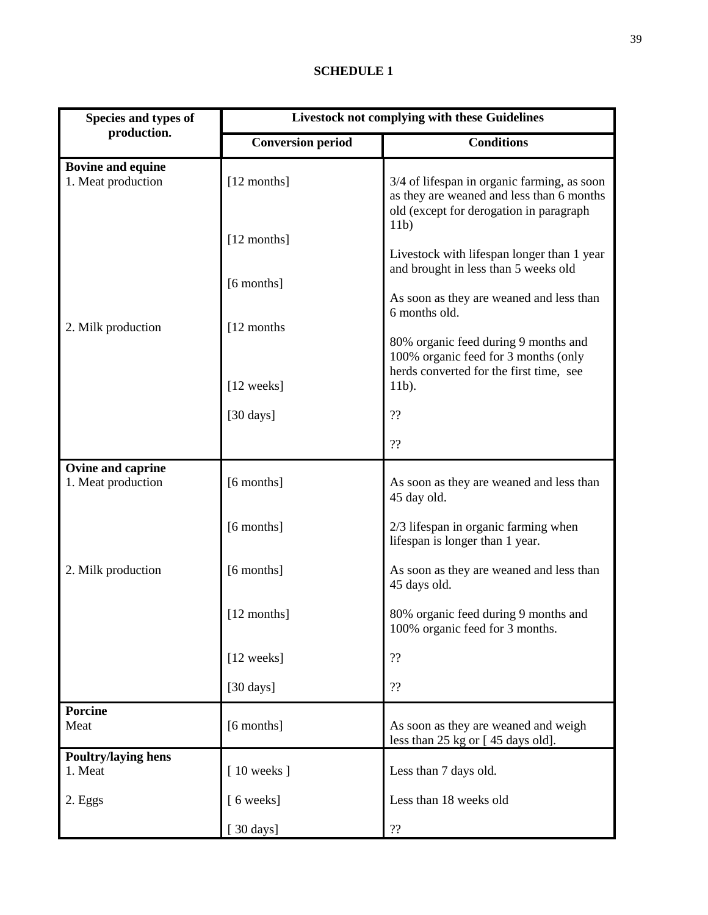## **SCHEDULE 1**

| Species and types of                           | <b>Livestock not complying with these Guidelines</b> |                                                                                                                                           |  |  |
|------------------------------------------------|------------------------------------------------------|-------------------------------------------------------------------------------------------------------------------------------------------|--|--|
| production.                                    | <b>Conversion period</b>                             | <b>Conditions</b>                                                                                                                         |  |  |
| <b>Bovine and equine</b><br>1. Meat production | [12 months]                                          | 3/4 of lifespan in organic farming, as soon<br>as they are weaned and less than 6 months<br>old (except for derogation in paragraph       |  |  |
|                                                | [12 months]<br>[6 months]                            | 11 <sub>b</sub><br>Livestock with lifespan longer than 1 year<br>and brought in less than 5 weeks old                                     |  |  |
| 2. Milk production                             | [12 months]                                          | As soon as they are weaned and less than<br>6 months old.<br>80% organic feed during 9 months and<br>100% organic feed for 3 months (only |  |  |
|                                                | [12 weeks]                                           | herds converted for the first time, see<br>11b).                                                                                          |  |  |
|                                                | $[30 \, \text{days}]$                                | ??                                                                                                                                        |  |  |
|                                                |                                                      | ??                                                                                                                                        |  |  |
| Ovine and caprine<br>1. Meat production        | [6 months]                                           | As soon as they are weaned and less than<br>45 day old.                                                                                   |  |  |
|                                                | [6 months]                                           | 2/3 lifespan in organic farming when<br>lifespan is longer than 1 year.                                                                   |  |  |
| 2. Milk production                             | [6 months]                                           | As soon as they are weaned and less than<br>45 days old.                                                                                  |  |  |
|                                                | [12 months]                                          | 80% organic feed during 9 months and<br>100% organic feed for 3 months.                                                                   |  |  |
|                                                | [12 weeks]                                           | ??                                                                                                                                        |  |  |
|                                                | $[30 \text{ days}]$                                  | ??                                                                                                                                        |  |  |
| <b>Porcine</b><br>Meat                         | [6 months]                                           | As soon as they are weaned and weigh<br>less than 25 kg or [45 days old].                                                                 |  |  |
| <b>Poultry/laying hens</b><br>1. Meat          | $[10$ weeks $]$                                      | Less than 7 days old.                                                                                                                     |  |  |
| 2. Eggs                                        | [6 weeks]                                            | Less than 18 weeks old                                                                                                                    |  |  |
|                                                | [ $30 \text{ days}$ ]                                | 22                                                                                                                                        |  |  |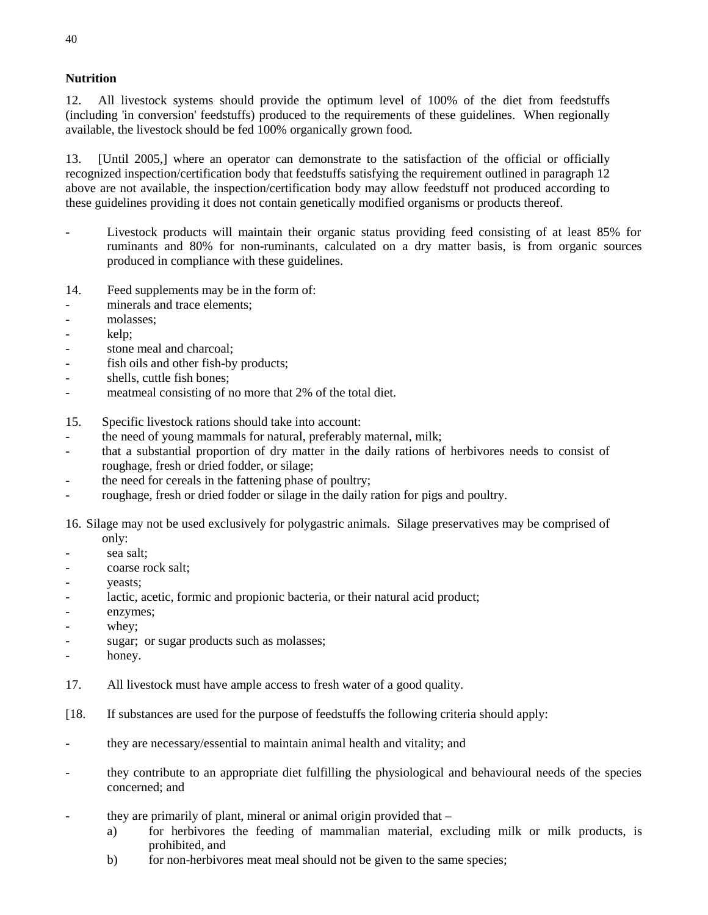## **Nutrition**

12. All livestock systems should provide the optimum level of 100% of the diet from feedstuffs (including 'in conversion' feedstuffs) produced to the requirements of these guidelines. When regionally available, the livestock should be fed 100% organically grown food.

13. [Until 2005,] where an operator can demonstrate to the satisfaction of the official or officially recognized inspection/certification body that feedstuffs satisfying the requirement outlined in paragraph 12 above are not available, the inspection/certification body may allow feedstuff not produced according to these guidelines providing it does not contain genetically modified organisms or products thereof.

- Livestock products will maintain their organic status providing feed consisting of at least 85% for ruminants and 80% for non-ruminants, calculated on a dry matter basis, is from organic sources produced in compliance with these guidelines.
- 14. Feed supplements may be in the form of:
- minerals and trace elements:
- molasses;
- kelp;
- stone meal and charcoal;
- fish oils and other fish-by products;
- shells, cuttle fish bones;
- meatmeal consisting of no more that 2% of the total diet.
- 15. Specific livestock rations should take into account:
- the need of young mammals for natural, preferably maternal, milk;
- that a substantial proportion of dry matter in the daily rations of herbivores needs to consist of roughage, fresh or dried fodder, or silage;
- the need for cereals in the fattening phase of poultry;
- roughage, fresh or dried fodder or silage in the daily ration for pigs and poultry.

16. Silage may not be used exclusively for polygastric animals. Silage preservatives may be comprised of only:

- sea salt;
- coarse rock salt:
- yeasts;
- lactic, acetic, formic and propionic bacteria, or their natural acid product;
- enzymes;
- whey;
- sugar; or sugar products such as molasses;
- honey.
- 17. All livestock must have ample access to fresh water of a good quality.
- [18. If substances are used for the purpose of feedstuffs the following criteria should apply:
- they are necessary/essential to maintain animal health and vitality; and
- they contribute to an appropriate diet fulfilling the physiological and behavioural needs of the species concerned; and
- they are primarily of plant, mineral or animal origin provided that  $$ 
	- a) for herbivores the feeding of mammalian material, excluding milk or milk products, is prohibited, and
	- b) for non-herbivores meat meal should not be given to the same species;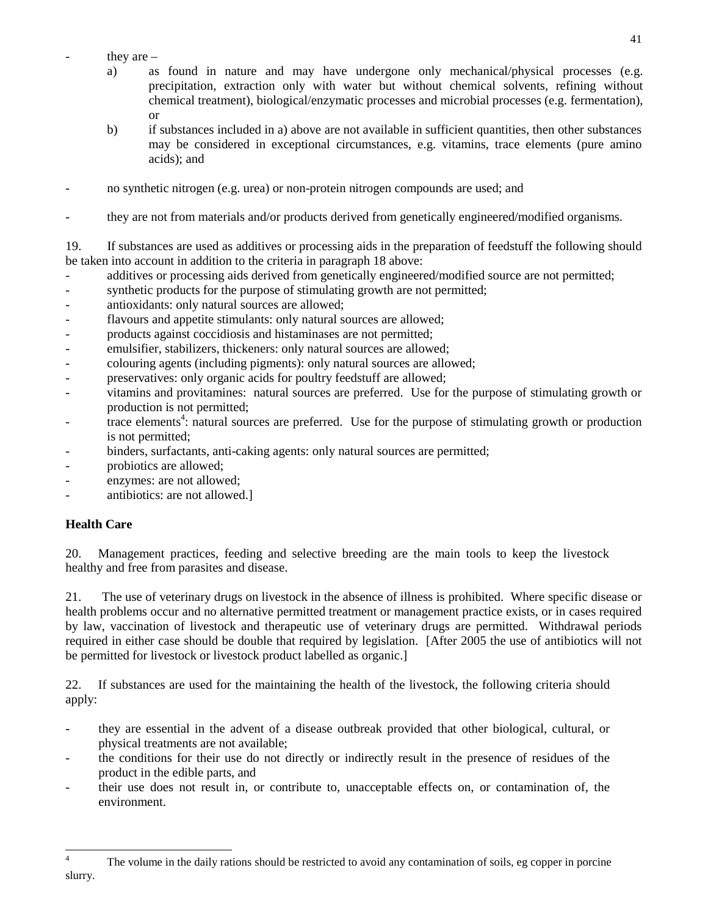- they are  $$ 
	- a) as found in nature and may have undergone only mechanical/physical processes (e.g. precipitation, extraction only with water but without chemical solvents, refining without chemical treatment), biological/enzymatic processes and microbial processes (e.g. fermentation), or
	- b) if substances included in a) above are not available in sufficient quantities, then other substances may be considered in exceptional circumstances, e.g. vitamins, trace elements (pure amino acids); and
- no synthetic nitrogen (e.g. urea) or non-protein nitrogen compounds are used; and
- they are not from materials and/or products derived from genetically engineered/modified organisms.

19. If substances are used as additives or processing aids in the preparation of feedstuff the following should be taken into account in addition to the criteria in paragraph 18 above:

- additives or processing aids derived from genetically engineered/modified source are not permitted;
- synthetic products for the purpose of stimulating growth are not permitted;
- antioxidants: only natural sources are allowed;
- flavours and appetite stimulants: only natural sources are allowed;
- products against coccidiosis and histaminases are not permitted;
- emulsifier, stabilizers, thickeners: only natural sources are allowed;
- colouring agents (including pigments): only natural sources are allowed;
- preservatives: only organic acids for poultry feedstuff are allowed;
- vitamins and provitamines: natural sources are preferred. Use for the purpose of stimulating growth or production is not permitted;
- trace elements<sup>4</sup>: natural sources are preferred. Use for the purpose of stimulating growth or production is not permitted;
- binders, surfactants, anti-caking agents: only natural sources are permitted;
- probiotics are allowed;
- enzymes: are not allowed;
- antibiotics: are not allowed.]

## **Health Care**

20. Management practices, feeding and selective breeding are the main tools to keep the livestock healthy and free from parasites and disease.

21. The use of veterinary drugs on livestock in the absence of illness is prohibited. Where specific disease or health problems occur and no alternative permitted treatment or management practice exists, or in cases required by law, vaccination of livestock and therapeutic use of veterinary drugs are permitted. Withdrawal periods required in either case should be double that required by legislation. [After 2005 the use of antibiotics will not be permitted for livestock or livestock product labelled as organic.]

22. If substances are used for the maintaining the health of the livestock, the following criteria should apply:

- they are essential in the advent of a disease outbreak provided that other biological, cultural, or physical treatments are not available;
- the conditions for their use do not directly or indirectly result in the presence of residues of the product in the edible parts, and
- their use does not result in, or contribute to, unacceptable effects on, or contamination of, the environment.

<sup>&</sup>lt;sup>4</sup> The volume in the daily rations should be restricted to avoid any contamination of soils, eg copper in porcine slurry.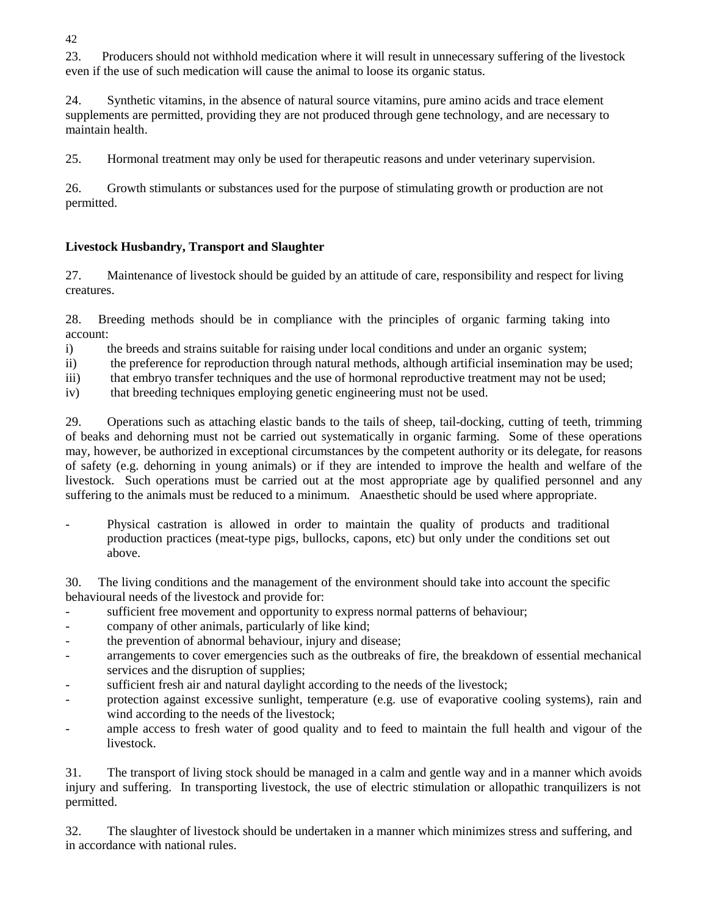42

23. Producers should not withhold medication where it will result in unnecessary suffering of the livestock even if the use of such medication will cause the animal to loose its organic status.

24. Synthetic vitamins, in the absence of natural source vitamins, pure amino acids and trace element supplements are permitted, providing they are not produced through gene technology, and are necessary to maintain health.

25. Hormonal treatment may only be used for therapeutic reasons and under veterinary supervision.

26. Growth stimulants or substances used for the purpose of stimulating growth or production are not permitted.

## **Livestock Husbandry, Transport and Slaughter**

27. Maintenance of livestock should be guided by an attitude of care, responsibility and respect for living creatures.

28. Breeding methods should be in compliance with the principles of organic farming taking into account:

i) the breeds and strains suitable for raising under local conditions and under an organic system;

ii) the preference for reproduction through natural methods, although artificial insemination may be used;

- iii) that embryo transfer techniques and the use of hormonal reproductive treatment may not be used;
- iv) that breeding techniques employing genetic engineering must not be used.

29. Operations such as attaching elastic bands to the tails of sheep, tail-docking, cutting of teeth, trimming of beaks and dehorning must not be carried out systematically in organic farming. Some of these operations may, however, be authorized in exceptional circumstances by the competent authority or its delegate, for reasons of safety (e.g. dehorning in young animals) or if they are intended to improve the health and welfare of the livestock. Such operations must be carried out at the most appropriate age by qualified personnel and any suffering to the animals must be reduced to a minimum. Anaesthetic should be used where appropriate.

- Physical castration is allowed in order to maintain the quality of products and traditional production practices (meat-type pigs, bullocks, capons, etc) but only under the conditions set out above.

30. The living conditions and the management of the environment should take into account the specific behavioural needs of the livestock and provide for:

- sufficient free movement and opportunity to express normal patterns of behaviour;
- company of other animals, particularly of like kind;
- the prevention of abnormal behaviour, injury and disease;
- arrangements to cover emergencies such as the outbreaks of fire, the breakdown of essential mechanical services and the disruption of supplies;
- sufficient fresh air and natural daylight according to the needs of the livestock;
- protection against excessive sunlight, temperature (e.g. use of evaporative cooling systems), rain and wind according to the needs of the livestock;
- ample access to fresh water of good quality and to feed to maintain the full health and vigour of the livestock.

31. The transport of living stock should be managed in a calm and gentle way and in a manner which avoids injury and suffering. In transporting livestock, the use of electric stimulation or allopathic tranquilizers is not permitted.

32. The slaughter of livestock should be undertaken in a manner which minimizes stress and suffering, and in accordance with national rules.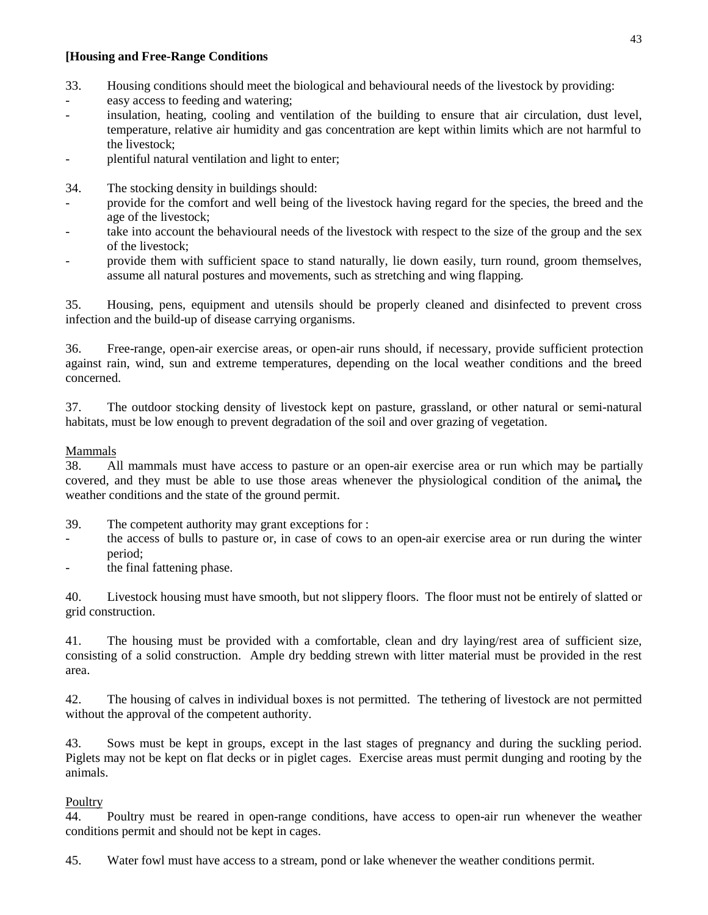## **[Housing and Free-Range Conditions**

- 33. Housing conditions should meet the biological and behavioural needs of the livestock by providing:
- easy access to feeding and watering;
- insulation, heating, cooling and ventilation of the building to ensure that air circulation, dust level, temperature, relative air humidity and gas concentration are kept within limits which are not harmful to the livestock;
- plentiful natural ventilation and light to enter;
- 34. The stocking density in buildings should:
- provide for the comfort and well being of the livestock having regard for the species, the breed and the age of the livestock;
- take into account the behavioural needs of the livestock with respect to the size of the group and the sex of the livestock;
- provide them with sufficient space to stand naturally, lie down easily, turn round, groom themselves, assume all natural postures and movements, such as stretching and wing flapping.

35. Housing, pens, equipment and utensils should be properly cleaned and disinfected to prevent cross infection and the build-up of disease carrying organisms.

36. Free-range, open-air exercise areas, or open-air runs should, if necessary, provide sufficient protection against rain, wind, sun and extreme temperatures, depending on the local weather conditions and the breed concerned.

37. The outdoor stocking density of livestock kept on pasture, grassland, or other natural or semi-natural habitats, must be low enough to prevent degradation of the soil and over grazing of vegetation.

## Mammals

38. All mammals must have access to pasture or an open-air exercise area or run which may be partially covered, and they must be able to use those areas whenever the physiological condition of the animal**,** the weather conditions and the state of the ground permit.

- 39. The competent authority may grant exceptions for :
- the access of bulls to pasture or, in case of cows to an open-air exercise area or run during the winter period;
- the final fattening phase.

40. Livestock housing must have smooth, but not slippery floors. The floor must not be entirely of slatted or grid construction.

41. The housing must be provided with a comfortable, clean and dry laying/rest area of sufficient size, consisting of a solid construction. Ample dry bedding strewn with litter material must be provided in the rest area.

42. The housing of calves in individual boxes is not permitted. The tethering of livestock are not permitted without the approval of the competent authority.

43. Sows must be kept in groups, except in the last stages of pregnancy and during the suckling period. Piglets may not be kept on flat decks or in piglet cages. Exercise areas must permit dunging and rooting by the animals.

## **Poultry**

44. Poultry must be reared in open-range conditions, have access to open-air run whenever the weather conditions permit and should not be kept in cages.

45. Water fowl must have access to a stream, pond or lake whenever the weather conditions permit.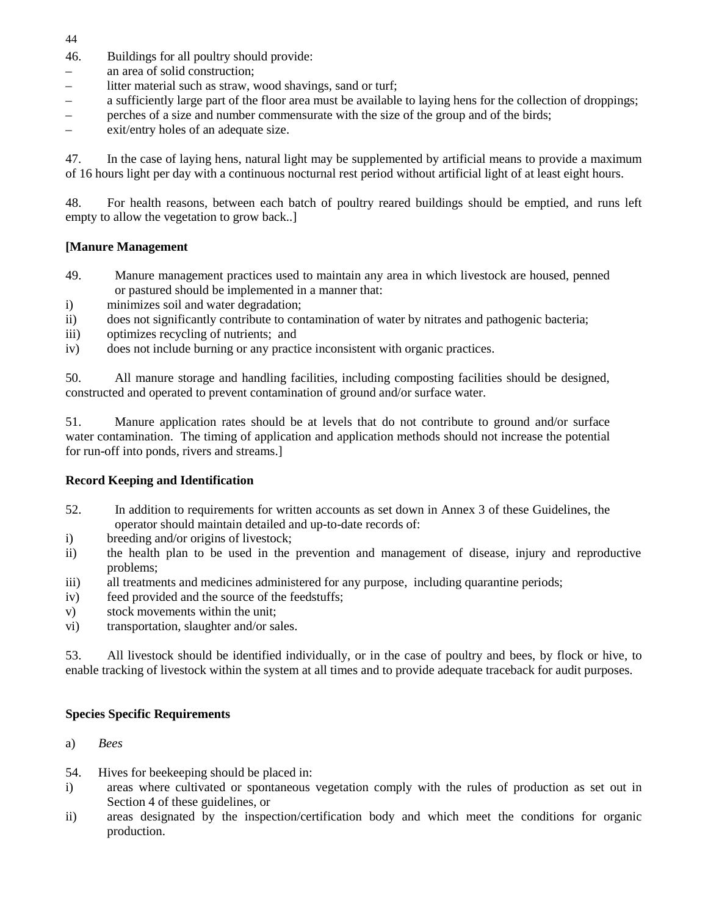44

- 46. Buildings for all poultry should provide:
- an area of solid construction;
- litter material such as straw, wood shavings, sand or turf;
- a sufficiently large part of the floor area must be available to laying hens for the collection of droppings;
- perches of a size and number commensurate with the size of the group and of the birds;
- exit/entry holes of an adequate size.

47. In the case of laying hens, natural light may be supplemented by artificial means to provide a maximum of 16 hours light per day with a continuous nocturnal rest period without artificial light of at least eight hours.

48. For health reasons, between each batch of poultry reared buildings should be emptied, and runs left empty to allow the vegetation to grow back..]

## **[Manure Management**

- 49. Manure management practices used to maintain any area in which livestock are housed, penned or pastured should be implemented in a manner that:
- i) minimizes soil and water degradation;
- ii) does not significantly contribute to contamination of water by nitrates and pathogenic bacteria;
- iii) optimizes recycling of nutrients; and
- iv) does not include burning or any practice inconsistent with organic practices.

50. All manure storage and handling facilities, including composting facilities should be designed, constructed and operated to prevent contamination of ground and/or surface water.

51. Manure application rates should be at levels that do not contribute to ground and/or surface water contamination. The timing of application and application methods should not increase the potential for run-off into ponds, rivers and streams.]

## **Record Keeping and Identification**

- 52. In addition to requirements for written accounts as set down in Annex 3 of these Guidelines, the operator should maintain detailed and up-to-date records of:
- i) breeding and/or origins of livestock;
- ii) the health plan to be used in the prevention and management of disease, injury and reproductive problems;
- iii) all treatments and medicines administered for any purpose, including quarantine periods;
- iv) feed provided and the source of the feedstuffs;
- v) stock movements within the unit;
- vi) transportation, slaughter and/or sales.

53. All livestock should be identified individually, or in the case of poultry and bees, by flock or hive, to enable tracking of livestock within the system at all times and to provide adequate traceback for audit purposes.

## **Species Specific Requirements**

- a) *Bees*
- 54. Hives for beekeeping should be placed in:
- i) areas where cultivated or spontaneous vegetation comply with the rules of production as set out in Section 4 of these guidelines, or
- ii) areas designated by the inspection/certification body and which meet the conditions for organic production.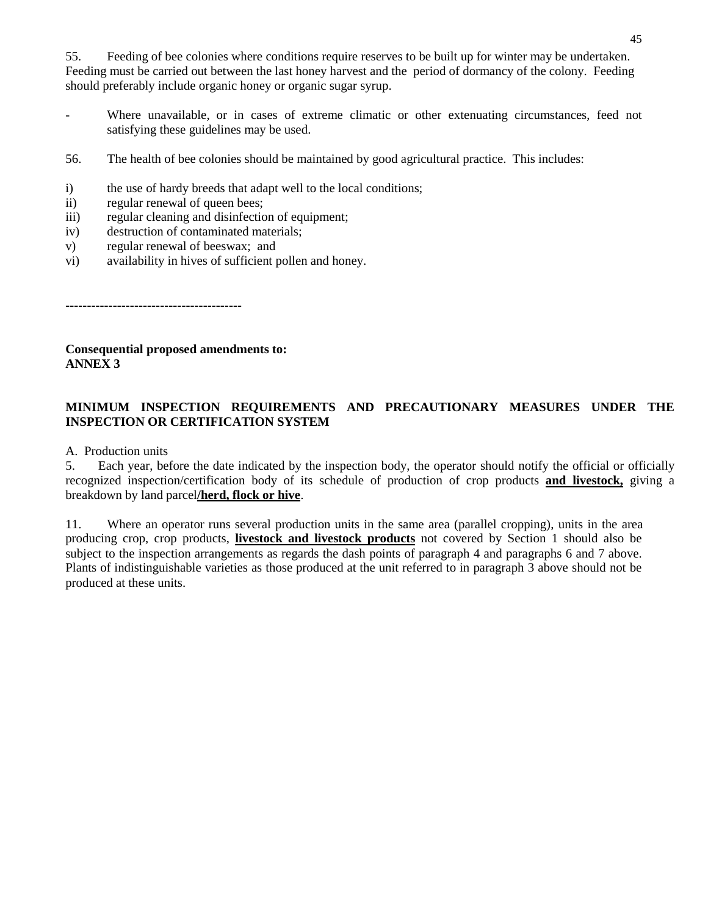55. Feeding of bee colonies where conditions require reserves to be built up for winter may be undertaken. Feeding must be carried out between the last honey harvest and the period of dormancy of the colony. Feeding should preferably include organic honey or organic sugar syrup.

- Where unavailable, or in cases of extreme climatic or other extenuating circumstances, feed not satisfying these guidelines may be used.
- 56. The health of bee colonies should be maintained by good agricultural practice. This includes:
- i) the use of hardy breeds that adapt well to the local conditions;
- ii) regular renewal of queen bees;
- iii) regular cleaning and disinfection of equipment;
- iv) destruction of contaminated materials;
- v) regular renewal of beeswax; and
- vi) availability in hives of sufficient pollen and honey.

**-----------------------------------------**

**Consequential proposed amendments to: ANNEX 3**

## **MINIMUM INSPECTION REQUIREMENTS AND PRECAUTIONARY MEASURES UNDER THE INSPECTION OR CERTIFICATION SYSTEM**

A. Production units

5. Each year, before the date indicated by the inspection body, the operator should notify the official or officially recognized inspection/certification body of its schedule of production of crop products **and livestock,** giving a breakdown by land parcel**/herd, flock or hive**.

11. Where an operator runs several production units in the same area (parallel cropping), units in the area producing crop, crop products, **livestock and livestock products** not covered by Section 1 should also be subject to the inspection arrangements as regards the dash points of paragraph 4 and paragraphs 6 and 7 above. Plants of indistinguishable varieties as those produced at the unit referred to in paragraph 3 above should not be produced at these units.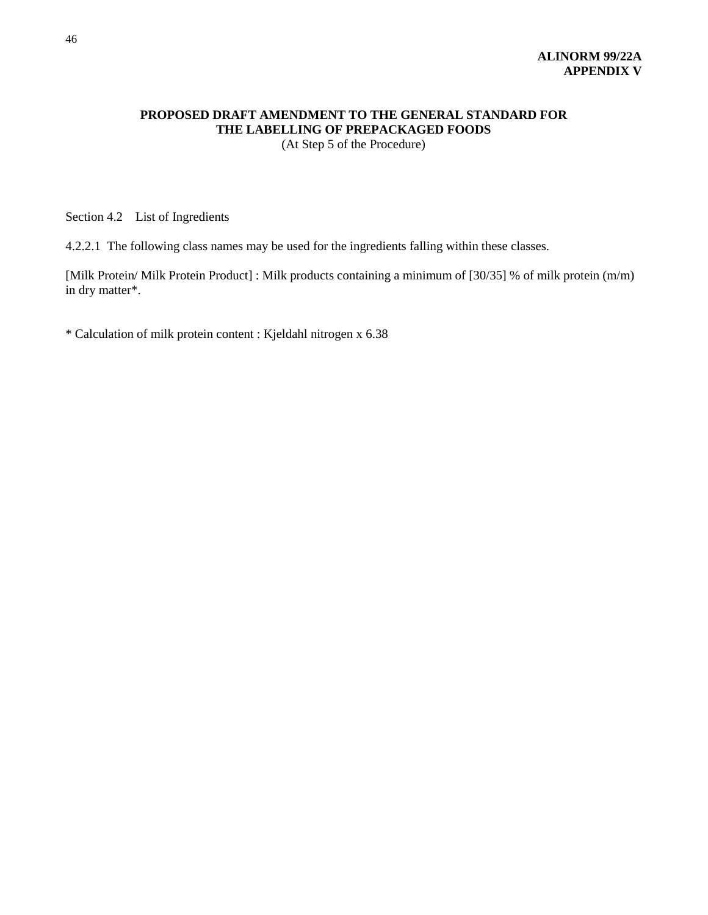## **PROPOSED DRAFT AMENDMENT TO THE GENERAL STANDARD FOR THE LABELLING OF PREPACKAGED FOODS** (At Step 5 of the Procedure)

Section 4.2 List of Ingredients

4.2.2.1 The following class names may be used for the ingredients falling within these classes.

[Milk Protein/ Milk Protein Product] : Milk products containing a minimum of [30/35] % of milk protein (m/m) in dry matter\*.

\* Calculation of milk protein content : Kjeldahl nitrogen x 6.38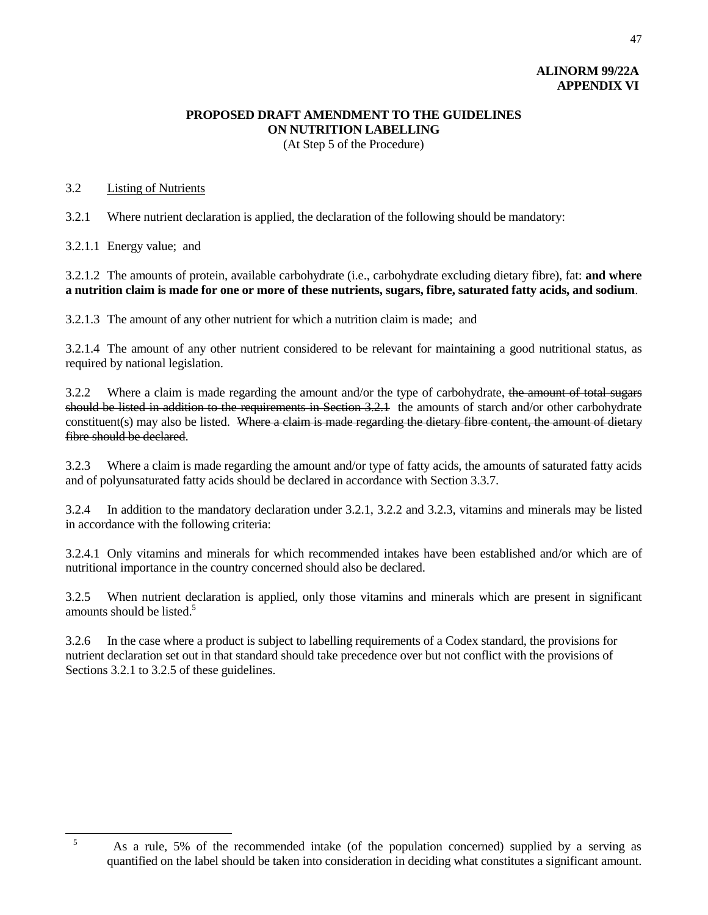## **ALINORM 99/22A APPENDIX VI**

47

## **PROPOSED DRAFT AMENDMENT TO THE GUIDELINES ON NUTRITION LABELLING** (At Step 5 of the Procedure)

### 3.2 Listing of Nutrients

3.2.1 Where nutrient declaration is applied, the declaration of the following should be mandatory:

3.2.1.1 Energy value; and

3.2.1.2 The amounts of protein, available carbohydrate (i.e., carbohydrate excluding dietary fibre), fat: **and where a nutrition claim is made for one or more of these nutrients, sugars, fibre, saturated fatty acids, and sodium**.

3.2.1.3 The amount of any other nutrient for which a nutrition claim is made; and

3.2.1.4 The amount of any other nutrient considered to be relevant for maintaining a good nutritional status, as required by national legislation.

3.2.2 Where a claim is made regarding the amount and/or the type of carbohydrate, the amount of total sugars should be listed in addition to the requirements in Section 3.2.1 the amounts of starch and/or other carbohydrate constituent(s) may also be listed. Where a claim is made regarding the dietary fibre content, the amount of dietary fibre should be declared.

3.2.3 Where a claim is made regarding the amount and/or type of fatty acids, the amounts of saturated fatty acids and of polyunsaturated fatty acids should be declared in accordance with Section 3.3.7.

3.2.4 In addition to the mandatory declaration under 3.2.1, 3.2.2 and 3.2.3, vitamins and minerals may be listed in accordance with the following criteria:

3.2.4.1 Only vitamins and minerals for which recommended intakes have been established and/or which are of nutritional importance in the country concerned should also be declared.

3.2.5 When nutrient declaration is applied, only those vitamins and minerals which are present in significant amounts should be listed.<sup>5</sup>

3.2.6 In the case where a product is subject to labelling requirements of a Codex standard, the provisions for nutrient declaration set out in that standard should take precedence over but not conflict with the provisions of Sections 3.2.1 to 3.2.5 of these guidelines.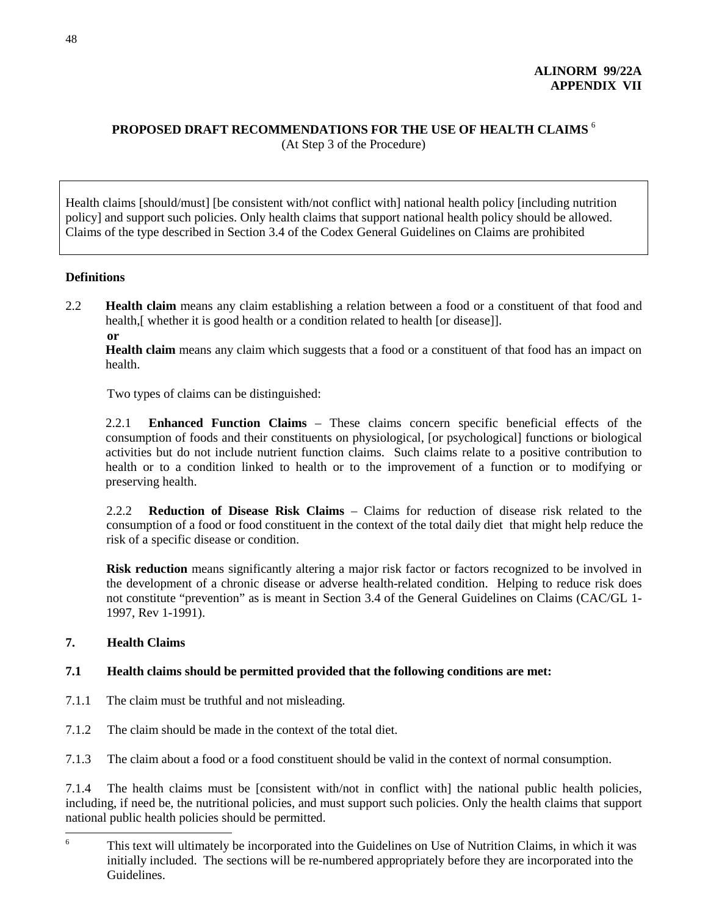## **PROPOSED DRAFT RECOMMENDATIONS FOR THE USE OF HEALTH CLAIMS** <sup>6</sup> (At Step 3 of the Procedure)

Health claims [should/must] [be consistent with/not conflict with] national health policy [including nutrition policy] and support such policies. Only health claims that support national health policy should be allowed. Claims of the type described in Section 3.4 of the Codex General Guidelines on Claims are prohibited

## **Definitions**

- 2.2 **Health claim** means any claim establishing a relation between a food or a constituent of that food and health,[ whether it is good health or a condition related to health [or disease]].
	- **or**

**Health claim** means any claim which suggests that a food or a constituent of that food has an impact on health.

Two types of claims can be distinguished:

2.2.1 **Enhanced Function Claims** – These claims concern specific beneficial effects of the consumption of foods and their constituents on physiological, [or psychological] functions or biological activities but do not include nutrient function claims. Such claims relate to a positive contribution to health or to a condition linked to health or to the improvement of a function or to modifying or preserving health.

2.2.2 **Reduction of Disease Risk Claims** – Claims for reduction of disease risk related to the consumption of a food or food constituent in the context of the total daily diet that might help reduce the risk of a specific disease or condition.

**Risk reduction** means significantly altering a major risk factor or factors recognized to be involved in the development of a chronic disease or adverse health-related condition. Helping to reduce risk does not constitute "prevention" as is meant in Section 3.4 of the General Guidelines on Claims (CAC/GL 1- 1997, Rev 1-1991).

## **7. Health Claims**

## **7.1 Health claims should be permitted provided that the following conditions are met:**

- 7.1.1 The claim must be truthful and not misleading.
- 7.1.2 The claim should be made in the context of the total diet.
- 7.1.3 The claim about a food or a food constituent should be valid in the context of normal consumption.

7.1.4 The health claims must be [consistent with/not in conflict with] the national public health policies, including, if need be, the nutritional policies, and must support such policies. Only the health claims that support national public health policies should be permitted.

<sup>&</sup>lt;sup>6</sup> This text will ultimately be incorporated into the Guidelines on Use of Nutrition Claims, in which it was initially included. The sections will be re-numbered appropriately before they are incorporated into the Guidelines.